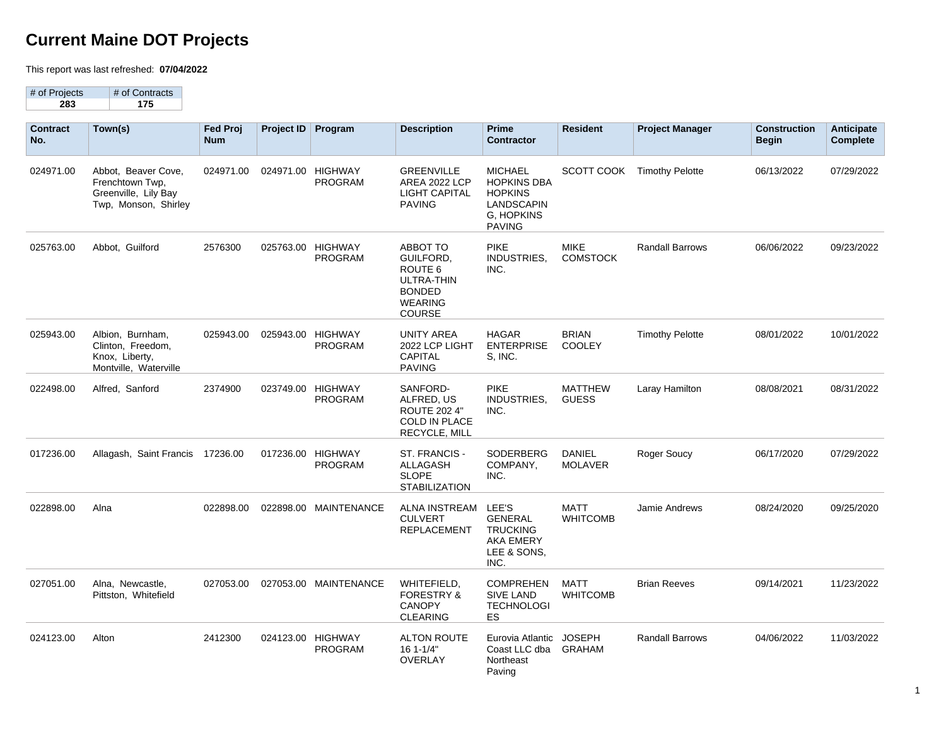# **Current Maine DOT Projects**

This report was last refreshed: **07/04/2022**

| # of Projects | # of Contracts |
|---------------|----------------|
| 283.          | 175            |

| <b>Contract</b><br>No. | Town(s)                                                                                | <b>Fed Proj</b><br><b>Num</b> | Project ID $ $ | Program                             | <b>Description</b>                                                                                            | <b>Prime</b><br><b>Contractor</b>                                                                          | <b>Resident</b>                 | <b>Project Manager</b> | <b>Construction</b><br><b>Begin</b> | <b>Anticipate</b><br>Complete |
|------------------------|----------------------------------------------------------------------------------------|-------------------------------|----------------|-------------------------------------|---------------------------------------------------------------------------------------------------------------|------------------------------------------------------------------------------------------------------------|---------------------------------|------------------------|-------------------------------------|-------------------------------|
| 024971.00              | Abbot, Beaver Cove,<br>Frenchtown Twp,<br>Greenville, Lily Bay<br>Twp, Monson, Shirley | 024971.00                     | 024971.00      | <b>HIGHWAY</b><br><b>PROGRAM</b>    | <b>GREENVILLE</b><br>AREA 2022 LCP<br><b>LIGHT CAPITAL</b><br><b>PAVING</b>                                   | <b>MICHAEL</b><br><b>HOPKINS DBA</b><br><b>HOPKINS</b><br>LANDSCAPIN<br><b>G. HOPKINS</b><br><b>PAVING</b> | SCOTT COOK                      | <b>Timothy Pelotte</b> | 06/13/2022                          | 07/29/2022                    |
| 025763.00              | Abbot, Guilford                                                                        | 2576300                       |                | 025763.00 HIGHWAY<br><b>PROGRAM</b> | <b>ABBOT TO</b><br>GUILFORD,<br>ROUTE <sub>6</sub><br>ULTRA-THIN<br><b>BONDED</b><br><b>WEARING</b><br>COURSE | <b>PIKE</b><br>INDUSTRIES,<br>INC.                                                                         | <b>MIKE</b><br><b>COMSTOCK</b>  | <b>Randall Barrows</b> | 06/06/2022                          | 09/23/2022                    |
| 025943.00              | Albion, Burnham,<br>Clinton, Freedom,<br>Knox, Liberty,<br>Montville, Waterville       | 025943.00                     | 025943.00      | HIGHWAY<br><b>PROGRAM</b>           | <b>UNITY AREA</b><br>2022 LCP LIGHT<br><b>CAPITAL</b><br><b>PAVING</b>                                        | <b>HAGAR</b><br><b>ENTERPRISE</b><br>S, INC.                                                               | <b>BRIAN</b><br><b>COOLEY</b>   | <b>Timothy Pelotte</b> | 08/01/2022                          | 10/01/2022                    |
| 022498.00              | Alfred, Sanford                                                                        | 2374900                       |                | 023749.00 HIGHWAY<br><b>PROGRAM</b> | SANFORD-<br>ALFRED, US<br><b>ROUTE 202 4"</b><br>COLD IN PLACE<br>RECYCLE, MILL                               | <b>PIKE</b><br><b>INDUSTRIES,</b><br>INC.                                                                  | <b>MATTHEW</b><br><b>GUESS</b>  | Laray Hamilton         | 08/08/2021                          | 08/31/2022                    |
| 017236.00              | Allagash, Saint Francis                                                                | 17236.00                      |                | 017236.00 HIGHWAY<br><b>PROGRAM</b> | ST. FRANCIS -<br>ALLAGASH<br><b>SLOPE</b><br><b>STABILIZATION</b>                                             | <b>SODERBERG</b><br>COMPANY,<br>INC.                                                                       | <b>DANIEL</b><br><b>MOLAVER</b> | Roger Soucy            | 06/17/2020                          | 07/29/2022                    |
| 022898.00              | Alna                                                                                   | 022898.00                     |                | 022898.00 MAINTENANCE               | ALNA INSTREAM<br><b>CULVERT</b><br><b>REPLACEMENT</b>                                                         | LEE'S<br><b>GENERAL</b><br><b>TRUCKING</b><br><b>AKA EMERY</b><br>LEE & SONS,<br>INC.                      | <b>MATT</b><br><b>WHITCOMB</b>  | Jamie Andrews          | 08/24/2020                          | 09/25/2020                    |
| 027051.00              | Alna. Newcastle.<br>Pittston, Whitefield                                               | 027053.00                     |                | 027053.00 MAINTENANCE               | WHITEFIELD,<br><b>FORESTRY &amp;</b><br><b>CANOPY</b><br><b>CLEARING</b>                                      | <b>COMPREHEN</b><br><b>SIVE LAND</b><br><b>TECHNOLOGI</b><br><b>ES</b>                                     | <b>MATT</b><br><b>WHITCOMB</b>  | <b>Brian Reeves</b>    | 09/14/2021                          | 11/23/2022                    |
| 024123.00              | Alton                                                                                  | 2412300                       |                | 024123.00 HIGHWAY<br><b>PROGRAM</b> | <b>ALTON ROUTE</b><br>16 1-1/4"<br><b>OVERLAY</b>                                                             | Eurovia Atlantic<br>Coast LLC dba<br>Northeast<br>Paving                                                   | <b>JOSEPH</b><br><b>GRAHAM</b>  | <b>Randall Barrows</b> | 04/06/2022                          | 11/03/2022                    |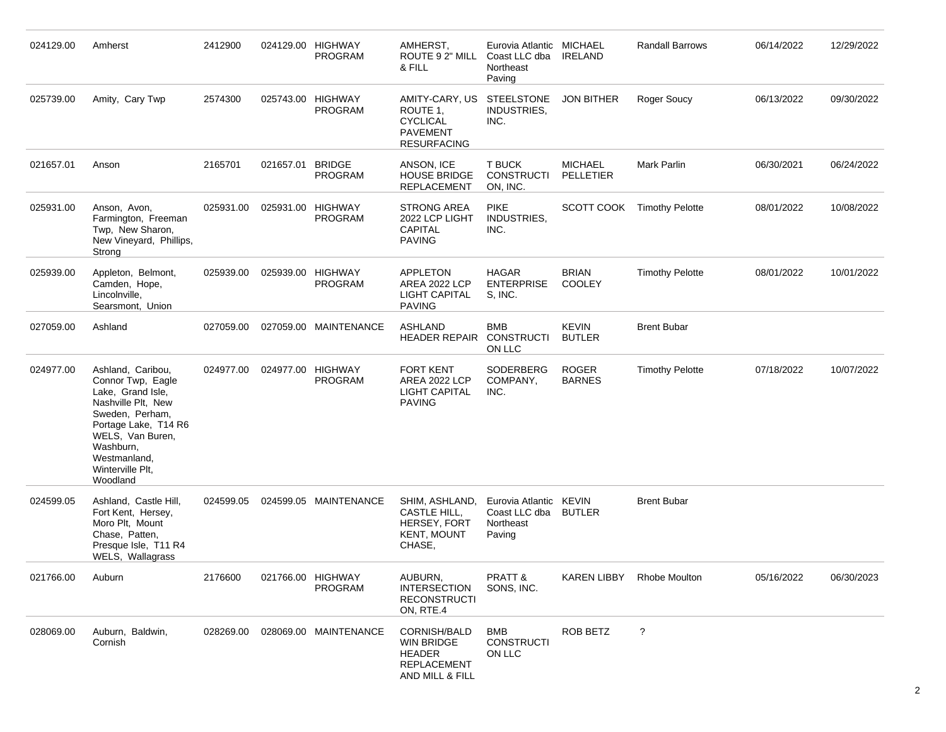| 024129.00 | Amherst                                                                                                                                                                                                       | 2412900   |           | 024129.00 HIGHWAY<br>PROGRAM        | AMHERST,<br>ROUTE 9 2" MILL<br>& FILL                                                             | Eurovia Atlantic<br>Coast LLC dba<br>Northeast<br>Paving | MICHAEL<br><b>IRELAND</b>     | <b>Randall Barrows</b> | 06/14/2022 | 12/29/2022 |
|-----------|---------------------------------------------------------------------------------------------------------------------------------------------------------------------------------------------------------------|-----------|-----------|-------------------------------------|---------------------------------------------------------------------------------------------------|----------------------------------------------------------|-------------------------------|------------------------|------------|------------|
| 025739.00 | Amity, Cary Twp                                                                                                                                                                                               | 2574300   |           | 025743.00 HIGHWAY<br><b>PROGRAM</b> | AMITY-CARY, US STEELSTONE<br>ROUTE 1,<br><b>CYCLICAL</b><br><b>PAVEMENT</b><br><b>RESURFACING</b> | INDUSTRIES,<br>INC.                                      | <b>JON BITHER</b>             | Roger Soucy            | 06/13/2022 | 09/30/2022 |
| 021657.01 | Anson                                                                                                                                                                                                         | 2165701   | 021657.01 | <b>BRIDGE</b><br><b>PROGRAM</b>     | ANSON, ICE<br><b>HOUSE BRIDGE</b><br><b>REPLACEMENT</b>                                           | T BUCK<br><b>CONSTRUCTI</b><br>ON, INC.                  | <b>MICHAEL</b><br>PELLETIER   | <b>Mark Parlin</b>     | 06/30/2021 | 06/24/2022 |
| 025931.00 | Anson, Avon,<br>Farmington, Freeman<br>Twp, New Sharon,<br>New Vineyard, Phillips,<br>Strong                                                                                                                  | 025931.00 |           | 025931.00 HIGHWAY<br><b>PROGRAM</b> | <b>STRONG AREA</b><br>2022 LCP LIGHT<br>CAPITAL<br><b>PAVING</b>                                  | <b>PIKE</b><br>INDUSTRIES,<br>INC.                       | SCOTT COOK                    | <b>Timothy Pelotte</b> | 08/01/2022 | 10/08/2022 |
| 025939.00 | Appleton, Belmont,<br>Camden, Hope,<br>Lincolnville,<br>Searsmont, Union                                                                                                                                      | 025939.00 |           | 025939.00 HIGHWAY<br>PROGRAM        | <b>APPLETON</b><br>AREA 2022 LCP<br>LIGHT CAPITAL<br><b>PAVING</b>                                | HAGAR<br><b>ENTERPRISE</b><br>S, INC.                    | <b>BRIAN</b><br><b>COOLEY</b> | <b>Timothy Pelotte</b> | 08/01/2022 | 10/01/2022 |
| 027059.00 | Ashland                                                                                                                                                                                                       | 027059.00 |           | 027059.00 MAINTENANCE               | <b>ASHLAND</b><br>HEADER REPAIR CONSTRUCTI                                                        | <b>BMB</b><br>ON LLC                                     | <b>KEVIN</b><br><b>BUTLER</b> | <b>Brent Bubar</b>     |            |            |
| 024977.00 | Ashland, Caribou,<br>Connor Twp, Eagle<br>Lake, Grand Isle,<br>Nashville Plt, New<br>Sweden, Perham,<br>Portage Lake, T14 R6<br>WELS, Van Buren,<br>Washburn,<br>Westmanland,<br>Winterville Plt,<br>Woodland | 024977.00 |           | 024977.00 HIGHWAY<br><b>PROGRAM</b> | <b>FORT KENT</b><br>AREA 2022 LCP<br>LIGHT CAPITAL<br><b>PAVING</b>                               | SODERBERG<br>COMPANY,<br>INC.                            | <b>ROGER</b><br><b>BARNES</b> | <b>Timothy Pelotte</b> | 07/18/2022 | 10/07/2022 |
| 024599.05 | Ashland, Castle Hill,<br>Fort Kent, Hersey,<br>Moro Plt, Mount<br>Chase, Patten,<br>Presque Isle, T11 R4<br>WELS, Wallagrass                                                                                  | 024599.05 |           | 024599.05 MAINTENANCE               | SHIM, ASHLAND,<br>CASTLE HILL,<br><b>HERSEY, FORT</b><br><b>KENT, MOUNT</b><br>CHASE,             | Eurovia Atlantic<br>Coast LLC dba<br>Northeast<br>Paving | KEVIN<br><b>BUTLER</b>        | <b>Brent Bubar</b>     |            |            |
| 021766.00 | Auburn                                                                                                                                                                                                        | 2176600   |           | 021766.00 HIGHWAY<br>PROGRAM        | AUBURN,<br><b>INTERSECTION</b><br><b>RECONSTRUCTI</b><br>ON, RTE.4                                | PRATT &<br>SONS, INC.                                    | KAREN LIBBY                   | <b>Rhobe Moulton</b>   | 05/16/2022 | 06/30/2023 |
| 028069.00 | Auburn, Baldwin,<br>Cornish                                                                                                                                                                                   | 028269.00 |           | 028069.00 MAINTENANCE               | CORNISH/BALD<br><b>WIN BRIDGE</b><br><b>HEADER</b><br><b>REPLACEMENT</b><br>AND MILL & FILL       | <b>BMB</b><br><b>CONSTRUCTI</b><br>ON LLC                | ROB BETZ                      | $\overline{\cdot}$     |            |            |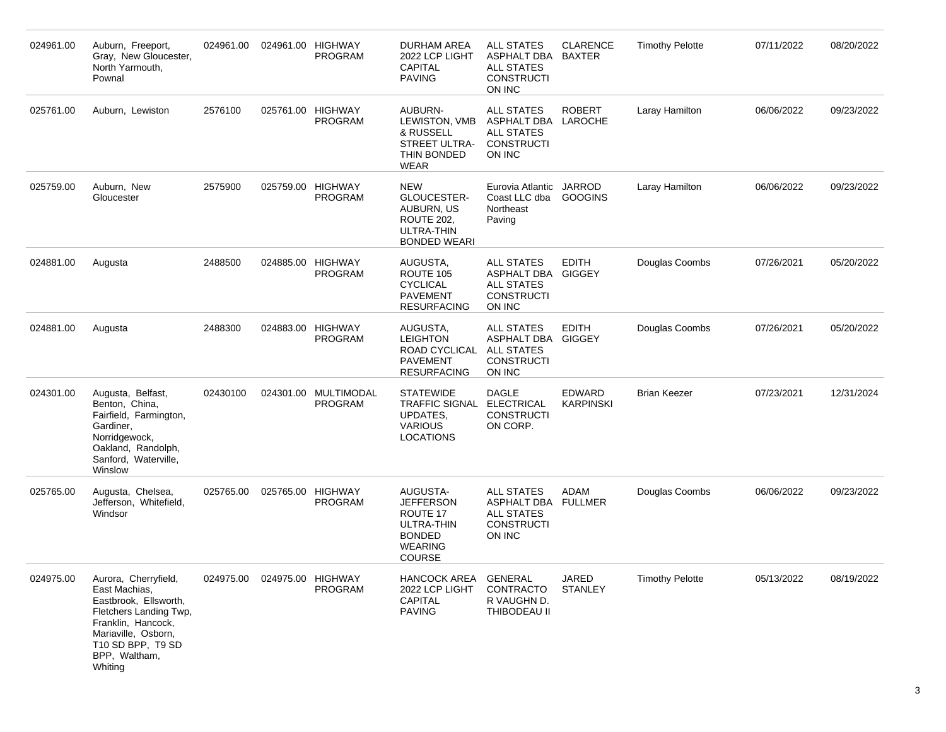| 024961.00 | Auburn, Freeport,<br>Gray, New Gloucester,<br>North Yarmouth,<br>Pownal                                                                                                                | 024961.00 |           | 024961.00 HIGHWAY<br><b>PROGRAM</b>    | DURHAM AREA<br>2022 LCP LIGHT<br><b>CAPITAL</b><br><b>PAVING</b>                                           | <b>ALL STATES</b><br>ASPHALT DBA<br><b>ALL STATES</b><br><b>CONSTRUCTI</b><br>ON INC         | <b>CLARENCE</b><br><b>BAXTER</b>  | <b>Timothy Pelotte</b> | 07/11/2022 | 08/20/2022 |
|-----------|----------------------------------------------------------------------------------------------------------------------------------------------------------------------------------------|-----------|-----------|----------------------------------------|------------------------------------------------------------------------------------------------------------|----------------------------------------------------------------------------------------------|-----------------------------------|------------------------|------------|------------|
| 025761.00 | Auburn, Lewiston                                                                                                                                                                       | 2576100   |           | 025761.00 HIGHWAY<br><b>PROGRAM</b>    | AUBURN-<br>LEWISTON, VMB<br>& RUSSELL<br>STREET ULTRA-<br>THIN BONDED<br><b>WEAR</b>                       | <b>ALL STATES</b><br><b>ASPHALT DBA</b><br><b>ALL STATES</b><br><b>CONSTRUCTI</b><br>ON INC  | <b>ROBERT</b><br>LAROCHE          | Laray Hamilton         | 06/06/2022 | 09/23/2022 |
| 025759.00 | Auburn, New<br>Gloucester                                                                                                                                                              | 2575900   |           | 025759.00 HIGHWAY<br><b>PROGRAM</b>    | <b>NEW</b><br>GLOUCESTER-<br>AUBURN, US<br>ROUTE 202,<br><b>ULTRA-THIN</b><br><b>BONDED WEARI</b>          | Eurovia Atlantic<br>Coast LLC dba<br>Northeast<br>Paving                                     | JARROD<br><b>GOOGINS</b>          | Laray Hamilton         | 06/06/2022 | 09/23/2022 |
| 024881.00 | Augusta                                                                                                                                                                                | 2488500   |           | 024885.00 HIGHWAY<br>PROGRAM           | AUGUSTA,<br>ROUTE 105<br><b>CYCLICAL</b><br><b>PAVEMENT</b><br><b>RESURFACING</b>                          | <b>ALL STATES</b><br>ASPHALT DBA GIGGEY<br><b>ALL STATES</b><br><b>CONSTRUCTI</b><br>ON INC  | <b>EDITH</b>                      | Douglas Coombs         | 07/26/2021 | 05/20/2022 |
| 024881.00 | Augusta                                                                                                                                                                                | 2488300   |           | 024883.00 HIGHWAY<br>PROGRAM           | AUGUSTA,<br><b>LEIGHTON</b><br>ROAD CYCLICAL<br><b>PAVEMENT</b><br><b>RESURFACING</b>                      | <b>ALL STATES</b><br><b>ASPHALT DBA</b><br><b>ALL STATES</b><br><b>CONSTRUCTI</b><br>ON INC  | <b>EDITH</b><br>GIGGEY            | Douglas Coombs         | 07/26/2021 | 05/20/2022 |
| 024301.00 | Augusta, Belfast,<br>Benton, China,<br>Fairfield, Farmington,<br>Gardiner,<br>Norridgewock,<br>Oakland, Randolph,<br>Sanford, Waterville,<br>Winslow                                   | 02430100  |           | 024301.00 MULTIMODAL<br><b>PROGRAM</b> | <b>STATEWIDE</b><br><b>TRAFFIC SIGNAL</b><br>UPDATES,<br><b>VARIOUS</b><br><b>LOCATIONS</b>                | <b>DAGLE</b><br><b>ELECTRICAL</b><br><b>CONSTRUCTI</b><br>ON CORP.                           | <b>EDWARD</b><br><b>KARPINSKI</b> | <b>Brian Keezer</b>    | 07/23/2021 | 12/31/2024 |
| 025765.00 | Augusta, Chelsea,<br>Jefferson, Whitefield,<br>Windsor                                                                                                                                 | 025765.00 | 025765.00 | <b>HIGHWAY</b><br><b>PROGRAM</b>       | AUGUSTA-<br><b>JEFFERSON</b><br>ROUTE 17<br><b>ULTRA-THIN</b><br><b>BONDED</b><br><b>WEARING</b><br>COURSE | <b>ALL STATES</b><br>ASPHALT DBA FULLMER<br><b>ALL STATES</b><br><b>CONSTRUCTI</b><br>ON INC | ADAM                              | Douglas Coombs         | 06/06/2022 | 09/23/2022 |
| 024975.00 | Aurora, Cherryfield,<br>East Machias,<br>Eastbrook, Ellsworth,<br>Fletchers Landing Twp,<br>Franklin, Hancock,<br>Mariaville, Osborn,<br>T10 SD BPP, T9 SD<br>BPP, Waltham,<br>Whiting | 024975.00 |           | 024975.00 HIGHWAY<br>PROGRAM           | <b>HANCOCK AREA</b><br>2022 LCP LIGHT<br><b>CAPITAL</b><br><b>PAVING</b>                                   | <b>GENERAL</b><br>CONTRACTO<br>R VAUGHN D.<br>THIBODEAU II                                   | JARED<br><b>STANLEY</b>           | <b>Timothy Pelotte</b> | 05/13/2022 | 08/19/2022 |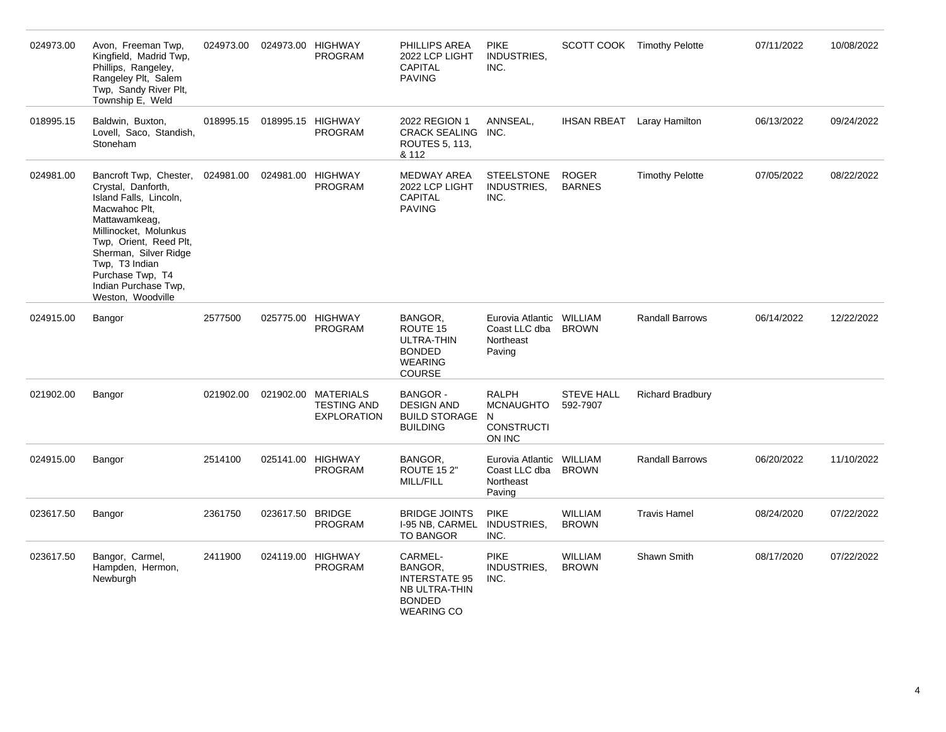| 024973.00 | Avon, Freeman Twp,<br>Kingfield, Madrid Twp,<br>Phillips, Rangeley,<br>Rangeley Plt, Salem<br>Twp, Sandy River Plt,<br>Township E, Weld                                                                                                                                 | 024973.00 |                  | 024973.00 HIGHWAY<br><b>PROGRAM</b>                             | <b>PHILLIPS AREA</b><br>2022 LCP LIGHT<br>CAPITAL<br><b>PAVING</b>                                | <b>PIKE</b><br>INDUSTRIES,<br>INC.                              |                                | SCOTT COOK Timothy Pelotte | 07/11/2022 | 10/08/2022 |
|-----------|-------------------------------------------------------------------------------------------------------------------------------------------------------------------------------------------------------------------------------------------------------------------------|-----------|------------------|-----------------------------------------------------------------|---------------------------------------------------------------------------------------------------|-----------------------------------------------------------------|--------------------------------|----------------------------|------------|------------|
| 018995.15 | Baldwin, Buxton,<br>Lovell, Saco, Standish,<br>Stoneham                                                                                                                                                                                                                 | 018995.15 |                  | 018995.15 HIGHWAY<br><b>PROGRAM</b>                             | 2022 REGION 1<br>CRACK SEALING INC.<br><b>ROUTES 5, 113,</b><br>& 112                             | ANNSEAL,                                                        | <b>IHSAN RBEAT</b>             | Laray Hamilton             | 06/13/2022 | 09/24/2022 |
| 024981.00 | Bancroft Twp, Chester,<br>Crystal, Danforth,<br>Island Falls, Lincoln,<br>Macwahoc Plt,<br>Mattawamkeag,<br>Millinocket, Molunkus<br>Twp, Orient, Reed Plt,<br>Sherman, Silver Ridge<br>Twp. T3 Indian<br>Purchase Twp, T4<br>Indian Purchase Twp,<br>Weston, Woodville | 024981.00 |                  | 024981.00 HIGHWAY<br><b>PROGRAM</b>                             | <b>MEDWAY AREA</b><br>2022 LCP LIGHT<br>CAPITAL<br><b>PAVING</b>                                  | <b>STEELSTONE</b><br>INDUSTRIES,<br>INC.                        | <b>ROGER</b><br><b>BARNES</b>  | <b>Timothy Pelotte</b>     | 07/05/2022 | 08/22/2022 |
| 024915.00 | Bangor                                                                                                                                                                                                                                                                  | 2577500   |                  | 025775.00 HIGHWAY<br><b>PROGRAM</b>                             | BANGOR,<br>ROUTE 15<br>ULTRA-THIN<br><b>BONDED</b><br><b>WEARING</b><br><b>COURSE</b>             | Eurovia Atlantic<br>Coast LLC dba<br>Northeast<br>Paving        | WILLIAM<br><b>BROWN</b>        | <b>Randall Barrows</b>     | 06/14/2022 | 12/22/2022 |
| 021902.00 | Bangor                                                                                                                                                                                                                                                                  | 021902.00 |                  | 021902.00 MATERIALS<br><b>TESTING AND</b><br><b>EXPLORATION</b> | <b>BANGOR -</b><br><b>DESIGN AND</b><br><b>BUILD STORAGE N</b><br><b>BUILDING</b>                 | <b>RALPH</b><br><b>MCNAUGHTO</b><br><b>CONSTRUCTI</b><br>ON INC | <b>STEVE HALL</b><br>592-7907  | <b>Richard Bradbury</b>    |            |            |
| 024915.00 | Bangor                                                                                                                                                                                                                                                                  | 2514100   |                  | 025141.00 HIGHWAY<br><b>PROGRAM</b>                             | BANGOR,<br><b>ROUTE 15 2"</b><br>MILL/FILL                                                        | Eurovia Atlantic<br>Coast LLC dba<br>Northeast<br>Paving        | <b>WILLIAM</b><br><b>BROWN</b> | <b>Randall Barrows</b>     | 06/20/2022 | 11/10/2022 |
| 023617.50 | Bangor                                                                                                                                                                                                                                                                  | 2361750   | 023617.50 BRIDGE | <b>PROGRAM</b>                                                  | <b>BRIDGE JOINTS</b><br>I-95 NB, CARMEL<br>TO BANGOR                                              | <b>PIKE</b><br>INDUSTRIES,<br>INC.                              | <b>WILLIAM</b><br><b>BROWN</b> | <b>Travis Hamel</b>        | 08/24/2020 | 07/22/2022 |
| 023617.50 | Bangor, Carmel,<br>Hampden, Hermon,<br>Newburgh                                                                                                                                                                                                                         | 2411900   |                  | 024119.00 HIGHWAY<br><b>PROGRAM</b>                             | CARMEL-<br>BANGOR,<br><b>INTERSTATE 95</b><br>NB ULTRA-THIN<br><b>BONDED</b><br><b>WEARING CO</b> | <b>PIKE</b><br>INDUSTRIES.<br>INC.                              | <b>WILLIAM</b><br><b>BROWN</b> | <b>Shawn Smith</b>         | 08/17/2020 | 07/22/2022 |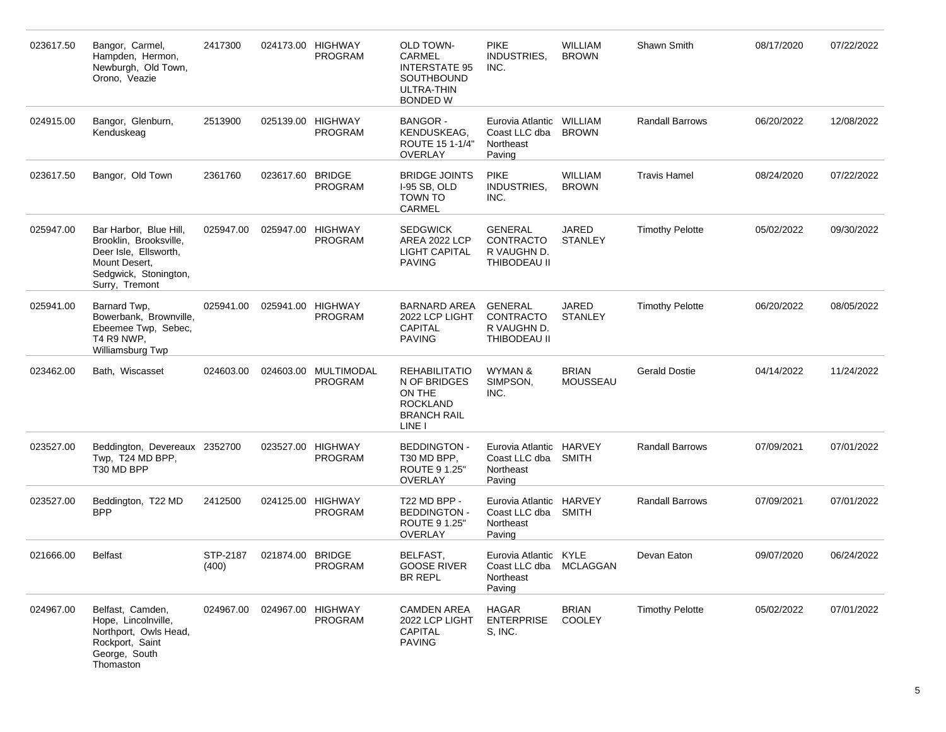| 023617.50 | Bangor, Carmel,<br>Hampden, Hermon,<br>Newburgh, Old Town,<br>Orono, Veazie                                                           | 2417300           |                  | 024173.00 HIGHWAY<br><b>PROGRAM</b>    | <b>OLD TOWN-</b><br>CARMEL<br><b>INTERSTATE 95</b><br>SOUTHBOUND<br>ULTRA-THIN<br><b>BONDED W</b> | <b>PIKE</b><br>INDUSTRIES,<br>INC.                                       | <b>WILLIAM</b><br><b>BROWN</b>  | Shawn Smith            | 08/17/2020 | 07/22/2022 |
|-----------|---------------------------------------------------------------------------------------------------------------------------------------|-------------------|------------------|----------------------------------------|---------------------------------------------------------------------------------------------------|--------------------------------------------------------------------------|---------------------------------|------------------------|------------|------------|
| 024915.00 | Bangor, Glenburn,<br>Kenduskeag                                                                                                       | 2513900           |                  | 025139.00 HIGHWAY<br><b>PROGRAM</b>    | <b>BANGOR -</b><br>KENDUSKEAG,<br>ROUTE 15 1-1/4"<br><b>OVERLAY</b>                               | Eurovia Atlantic<br>Coast LLC dba<br>Northeast<br>Paving                 | WILLIAM<br><b>BROWN</b>         | <b>Randall Barrows</b> | 06/20/2022 | 12/08/2022 |
| 023617.50 | Bangor, Old Town                                                                                                                      | 2361760           | 023617.60 BRIDGE | <b>PROGRAM</b>                         | <b>BRIDGE JOINTS</b><br>I-95 SB, OLD<br><b>TOWN TO</b><br>CARMEL                                  | <b>PIKE</b><br>INDUSTRIES,<br>INC.                                       | <b>WILLIAM</b><br><b>BROWN</b>  | <b>Travis Hamel</b>    | 08/24/2020 | 07/22/2022 |
| 025947.00 | Bar Harbor, Blue Hill,<br>Brooklin, Brooksville,<br>Deer Isle, Ellsworth,<br>Mount Desert,<br>Sedgwick, Stonington,<br>Surry, Tremont | 025947.00         |                  | 025947.00 HIGHWAY<br><b>PROGRAM</b>    | <b>SEDGWICK</b><br>AREA 2022 LCP<br>LIGHT CAPITAL<br><b>PAVING</b>                                | <b>GENERAL</b><br><b>CONTRACTO</b><br>R VAUGHN D.<br><b>THIBODEAU II</b> | <b>JARED</b><br><b>STANLEY</b>  | <b>Timothy Pelotte</b> | 05/02/2022 | 09/30/2022 |
| 025941.00 | Barnard Twp,<br>Bowerbank, Brownville,<br>Ebeemee Twp, Sebec,<br>T4 R9 NWP,<br>Williamsburg Twp                                       | 025941.00         |                  | 025941.00 HIGHWAY<br><b>PROGRAM</b>    | <b>BARNARD AREA</b><br>2022 LCP LIGHT<br>CAPITAL<br><b>PAVING</b>                                 | <b>GENERAL</b><br>CONTRACTO<br>R VAUGHN D.<br><b>THIBODEAU II</b>        | <b>JARED</b><br><b>STANLEY</b>  | <b>Timothy Pelotte</b> | 06/20/2022 | 08/05/2022 |
| 023462.00 | Bath, Wiscasset                                                                                                                       | 024603.00         |                  | 024603.00 MULTIMODAL<br><b>PROGRAM</b> | <b>REHABILITATIO</b><br>N OF BRIDGES<br>ON THE<br><b>ROCKLAND</b><br><b>BRANCH RAIL</b><br>LINE I | WYMAN &<br>SIMPSON,<br>INC.                                              | <b>BRIAN</b><br><b>MOUSSEAU</b> | <b>Gerald Dostie</b>   | 04/14/2022 | 11/24/2022 |
| 023527.00 | Beddington, Devereaux 2352700<br>Twp, T24 MD BPP,<br>T30 MD BPP                                                                       |                   |                  | 023527.00 HIGHWAY<br><b>PROGRAM</b>    | <b>BEDDINGTON -</b><br>T <sub>30</sub> MD BPP,<br><b>ROUTE 9 1.25"</b><br>OVERLAY                 | Eurovia Atlantic<br>Coast LLC dba<br>Northeast<br>Paving                 | <b>HARVEY</b><br><b>SMITH</b>   | <b>Randall Barrows</b> | 07/09/2021 | 07/01/2022 |
| 023527.00 | Beddington, T22 MD<br><b>BPP</b>                                                                                                      | 2412500           |                  | 024125.00 HIGHWAY<br><b>PROGRAM</b>    | T22 MD BPP -<br><b>BEDDINGTON -</b><br>ROUTE 9 1.25"<br>OVERLAY                                   | Eurovia Atlantic HARVEY<br>Coast LLC dba<br>Northeast<br>Paving          | SMITH                           | <b>Randall Barrows</b> | 07/09/2021 | 07/01/2022 |
| 021666.00 | <b>Belfast</b>                                                                                                                        | STP-2187<br>(400) | 021874.00        | <b>BRIDGE</b><br><b>PROGRAM</b>        | <b>BELFAST.</b><br><b>GOOSE RIVER</b><br><b>BR REPL</b>                                           | Eurovia Atlantic<br>Coast LLC dba<br>Northeast<br>Paving                 | KYLE<br><b>MCLAGGAN</b>         | Devan Eaton            | 09/07/2020 | 06/24/2022 |
| 024967.00 | Belfast, Camden,<br>Hope, Lincolnville,<br>Northport, Owls Head,<br>Rockport, Saint<br>George, South<br>Thomaston                     | 024967.00         |                  | 024967.00 HIGHWAY<br><b>PROGRAM</b>    | <b>CAMDEN AREA</b><br>2022 LCP LIGHT<br>CAPITAL<br><b>PAVING</b>                                  | <b>HAGAR</b><br><b>ENTERPRISE</b><br>S, INC.                             | <b>BRIAN</b><br>COOLEY          | <b>Timothy Pelotte</b> | 05/02/2022 | 07/01/2022 |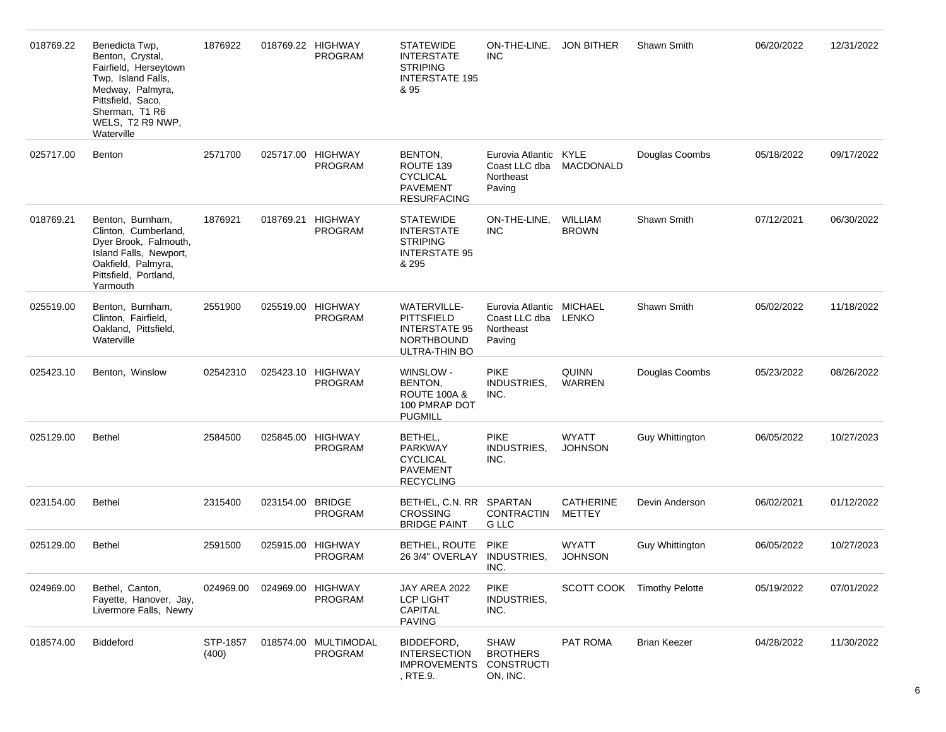| 018769.22 | Benedicta Twp.<br>Benton, Crystal,<br>Fairfield, Herseytown<br>Twp, Island Falls,<br>Medway, Palmyra,<br>Pittsfield, Saco,<br>Sherman, T1 R6<br>WELS, T2 R9 NWP,<br>Waterville | 1876922           |                  | 018769.22 HIGHWAY<br><b>PROGRAM</b> | <b>STATEWIDE</b><br><b>INTERSTATE</b><br><b>STRIPING</b><br><b>INTERSTATE 195</b><br>& 95             | ON-THE-LINE.<br><b>INC</b>                                      | <b>JON BITHER</b>              | Shawn Smith                | 06/20/2022 | 12/31/2022 |
|-----------|--------------------------------------------------------------------------------------------------------------------------------------------------------------------------------|-------------------|------------------|-------------------------------------|-------------------------------------------------------------------------------------------------------|-----------------------------------------------------------------|--------------------------------|----------------------------|------------|------------|
| 025717.00 | <b>Benton</b>                                                                                                                                                                  | 2571700           |                  | 025717.00 HIGHWAY<br><b>PROGRAM</b> | BENTON,<br>ROUTE 139<br><b>CYCLICAL</b><br><b>PAVEMENT</b><br><b>RESURFACING</b>                      | Eurovia Atlantic<br>Coast LLC dba<br>Northeast<br>Paving        | KYLE<br><b>MACDONALD</b>       | Douglas Coombs             | 05/18/2022 | 09/17/2022 |
| 018769.21 | Benton, Burnham,<br>Clinton, Cumberland,<br>Dyer Brook, Falmouth,<br>Island Falls, Newport,<br>Oakfield, Palmyra,<br>Pittsfield, Portland,<br>Yarmouth                         | 1876921           |                  | 018769.21 HIGHWAY<br><b>PROGRAM</b> | <b>STATEWIDE</b><br><b>INTERSTATE</b><br><b>STRIPING</b><br><b>INTERSTATE 95</b><br>& 295             | ON-THE-LINE,<br><b>INC</b>                                      | <b>WILLIAM</b><br><b>BROWN</b> | Shawn Smith                | 07/12/2021 | 06/30/2022 |
| 025519.00 | Benton, Burnham,<br>Clinton, Fairfield,<br>Oakland, Pittsfield,<br>Waterville                                                                                                  | 2551900           |                  | 025519.00 HIGHWAY<br>PROGRAM        | <b>WATERVILLE-</b><br><b>PITTSFIELD</b><br><b>INTERSTATE 95</b><br><b>NORTHBOUND</b><br>ULTRA-THIN BO | Eurovia Atlantic<br>Coast LLC dba<br>Northeast<br>Paving        | MICHAEL<br>LENKO               | Shawn Smith                | 05/02/2022 | 11/18/2022 |
| 025423.10 | Benton, Winslow                                                                                                                                                                | 02542310          |                  | 025423.10 HIGHWAY<br>PROGRAM        | WINSLOW -<br><b>BENTON,</b><br><b>ROUTE 100A &amp;</b><br>100 PMRAP DOT<br><b>PUGMILL</b>             | <b>PIKE</b><br>INDUSTRIES.<br>INC.                              | <b>QUINN</b><br><b>WARREN</b>  | Douglas Coombs             | 05/23/2022 | 08/26/2022 |
| 025129.00 | <b>Bethel</b>                                                                                                                                                                  | 2584500           |                  | 025845.00 HIGHWAY<br><b>PROGRAM</b> | BETHEL,<br><b>PARKWAY</b><br><b>CYCLICAL</b><br><b>PAVEMENT</b><br><b>RECYCLING</b>                   | <b>PIKE</b><br>INDUSTRIES,<br>INC.                              | <b>WYATT</b><br><b>JOHNSON</b> | Guy Whittington            | 06/05/2022 | 10/27/2023 |
| 023154.00 | <b>Bethel</b>                                                                                                                                                                  | 2315400           | 023154.00 BRIDGE | <b>PROGRAM</b>                      | BETHEL, C.N. RR SPARTAN<br><b>CROSSING</b><br><b>BRIDGE PAINT</b>                                     | <b>CONTRACTIN</b><br>G LLC                                      | <b>CATHERINE</b><br>METTEY     | Devin Anderson             | 06/02/2021 | 01/12/2022 |
| 025129.00 | <b>Bethel</b>                                                                                                                                                                  | 2591500           |                  | 025915.00 HIGHWAY<br><b>PROGRAM</b> | BETHEL, ROUTE<br>26 3/4" OVERLAY                                                                      | <b>PIKE</b><br>INDUSTRIES,<br>INC.                              | <b>WYATT</b><br><b>JOHNSON</b> | Guy Whittington            | 06/05/2022 | 10/27/2023 |
| 024969.00 | Bethel, Canton,<br>Fayette, Hanover, Jay,<br>Livermore Falls, Newry                                                                                                            | 024969.00         |                  | 024969.00 HIGHWAY<br>PROGRAM        | JAY AREA 2022<br><b>LCP LIGHT</b><br>CAPITAL<br><b>PAVING</b>                                         | <b>PIKE</b><br>INDUSTRIES.<br>INC.                              |                                | SCOTT COOK Timothy Pelotte | 05/19/2022 | 07/01/2022 |
| 018574.00 | Biddeford                                                                                                                                                                      | STP-1857<br>(400) |                  | 018574.00 MULTIMODAL<br>PROGRAM     | BIDDEFORD,<br><b>INTERSECTION</b><br><b>IMPROVEMENTS</b><br>, RTE.9.                                  | <b>SHAW</b><br><b>BROTHERS</b><br><b>CONSTRUCTI</b><br>ON, INC. | PAT ROMA                       | <b>Brian Keezer</b>        | 04/28/2022 | 11/30/2022 |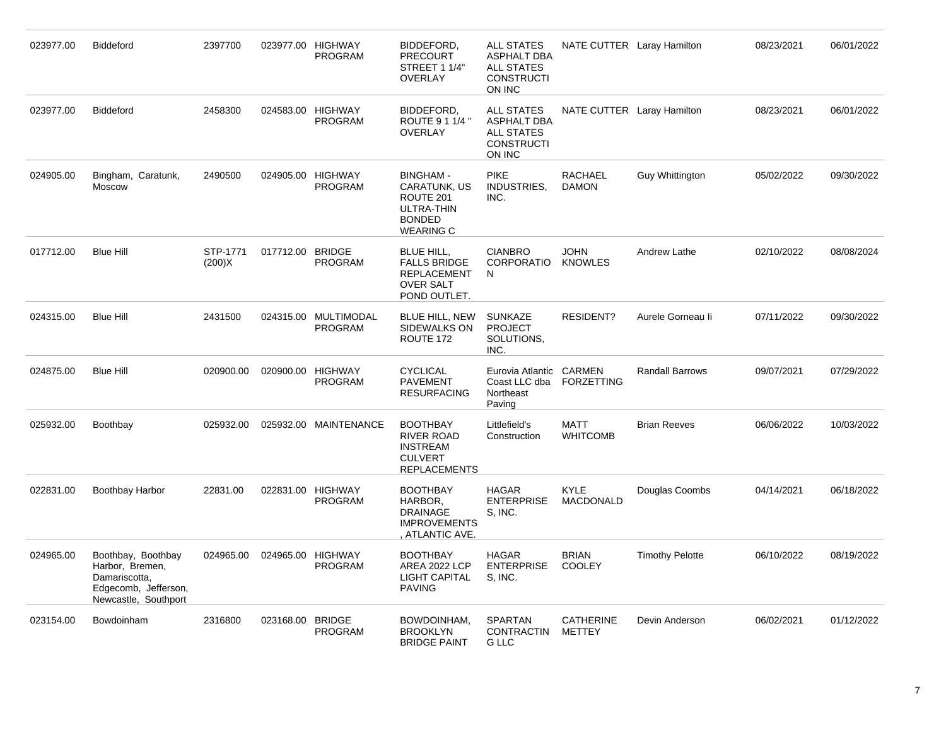| 023977.00 | <b>Biddeford</b>                                                                                       | 2397700            |                  | 023977.00 HIGHWAY<br><b>PROGRAM</b>    | BIDDEFORD,<br><b>PRECOURT</b><br>STREET 1 1/4"<br><b>OVERLAY</b>                                   | <b>ALL STATES</b><br><b>ASPHALT DBA</b><br>ALL STATES<br><b>CONSTRUCTI</b><br>ON INC        |                                   | NATE CUTTER Laray Hamilton | 08/23/2021 | 06/01/2022 |
|-----------|--------------------------------------------------------------------------------------------------------|--------------------|------------------|----------------------------------------|----------------------------------------------------------------------------------------------------|---------------------------------------------------------------------------------------------|-----------------------------------|----------------------------|------------|------------|
| 023977.00 | Biddeford                                                                                              | 2458300            |                  | 024583.00 HIGHWAY<br><b>PROGRAM</b>    | BIDDEFORD,<br>ROUTE 9 1 1/4 "<br><b>OVERLAY</b>                                                    | <b>ALL STATES</b><br><b>ASPHALT DBA</b><br><b>ALL STATES</b><br><b>CONSTRUCTI</b><br>ON INC |                                   | NATE CUTTER Laray Hamilton | 08/23/2021 | 06/01/2022 |
| 024905.00 | Bingham, Caratunk,<br>Moscow                                                                           | 2490500            |                  | 024905.00 HIGHWAY<br><b>PROGRAM</b>    | <b>BINGHAM -</b><br>CARATUNK, US<br>ROUTE 201<br>ULTRA-THIN<br><b>BONDED</b><br><b>WEARING C</b>   | <b>PIKE</b><br>INDUSTRIES,<br>INC.                                                          | RACHAEL<br><b>DAMON</b>           | <b>Guy Whittington</b>     | 05/02/2022 | 09/30/2022 |
| 017712.00 | <b>Blue Hill</b>                                                                                       | STP-1771<br>(200)X | 017712.00 BRIDGE | PROGRAM                                | <b>BLUE HILL,</b><br><b>FALLS BRIDGE</b><br><b>REPLACEMENT</b><br><b>OVER SALT</b><br>POND OUTLET. | <b>CIANBRO</b><br>CORPORATIO<br>N                                                           | <b>JOHN</b><br><b>KNOWLES</b>     | <b>Andrew Lathe</b>        | 02/10/2022 | 08/08/2024 |
| 024315.00 | <b>Blue Hill</b>                                                                                       | 2431500            |                  | 024315.00 MULTIMODAL<br><b>PROGRAM</b> | <b>BLUE HILL, NEW</b><br>SIDEWALKS ON<br>ROUTE 172                                                 | <b>SUNKAZE</b><br><b>PROJECT</b><br>SOLUTIONS,<br>INC.                                      | <b>RESIDENT?</b>                  | Aurele Gorneau li          | 07/11/2022 | 09/30/2022 |
| 024875.00 | <b>Blue Hill</b>                                                                                       | 020900.00          |                  | 020900.00 HIGHWAY<br><b>PROGRAM</b>    | <b>CYCLICAL</b><br><b>PAVEMENT</b><br><b>RESURFACING</b>                                           | Eurovia Atlantic<br>Coast LLC dba<br>Northeast<br>Paving                                    | CARMEN<br><b>FORZETTING</b>       | <b>Randall Barrows</b>     | 09/07/2021 | 07/29/2022 |
| 025932.00 | Boothbay                                                                                               | 025932.00          |                  | 025932.00 MAINTENANCE                  | <b>BOOTHBAY</b><br><b>RIVER ROAD</b><br><b>INSTREAM</b><br><b>CULVERT</b><br><b>REPLACEMENTS</b>   | Littlefield's<br>Construction                                                               | MATT<br><b>WHITCOMB</b>           | <b>Brian Reeves</b>        | 06/06/2022 | 10/03/2022 |
| 022831.00 | Boothbay Harbor                                                                                        | 22831.00           |                  | 022831.00 HIGHWAY<br><b>PROGRAM</b>    | <b>BOOTHBAY</b><br>HARBOR,<br><b>DRAINAGE</b><br><b>IMPROVEMENTS</b><br>ATLANTIC AVE.              | <b>HAGAR</b><br><b>ENTERPRISE</b><br>S. INC.                                                | <b>KYLE</b><br><b>MACDONALD</b>   | Douglas Coombs             | 04/14/2021 | 06/18/2022 |
| 024965.00 | Boothbay, Boothbay<br>Harbor, Bremen,<br>Damariscotta,<br>Edgecomb, Jefferson,<br>Newcastle, Southport | 024965.00          |                  | 024965.00 HIGHWAY<br><b>PROGRAM</b>    | <b>BOOTHBAY</b><br>AREA 2022 LCP<br><b>LIGHT CAPITAL</b><br><b>PAVING</b>                          | <b>HAGAR</b><br><b>ENTERPRISE</b><br>S, INC.                                                | <b>BRIAN</b><br><b>COOLEY</b>     | <b>Timothy Pelotte</b>     | 06/10/2022 | 08/19/2022 |
| 023154.00 | Bowdoinham                                                                                             | 2316800            | 023168.00 BRIDGE | <b>PROGRAM</b>                         | BOWDOINHAM,<br><b>BROOKLYN</b><br><b>BRIDGE PAINT</b>                                              | <b>SPARTAN</b><br><b>CONTRACTIN</b><br><b>G LLC</b>                                         | <b>CATHERINE</b><br><b>METTEY</b> | Devin Anderson             | 06/02/2021 | 01/12/2022 |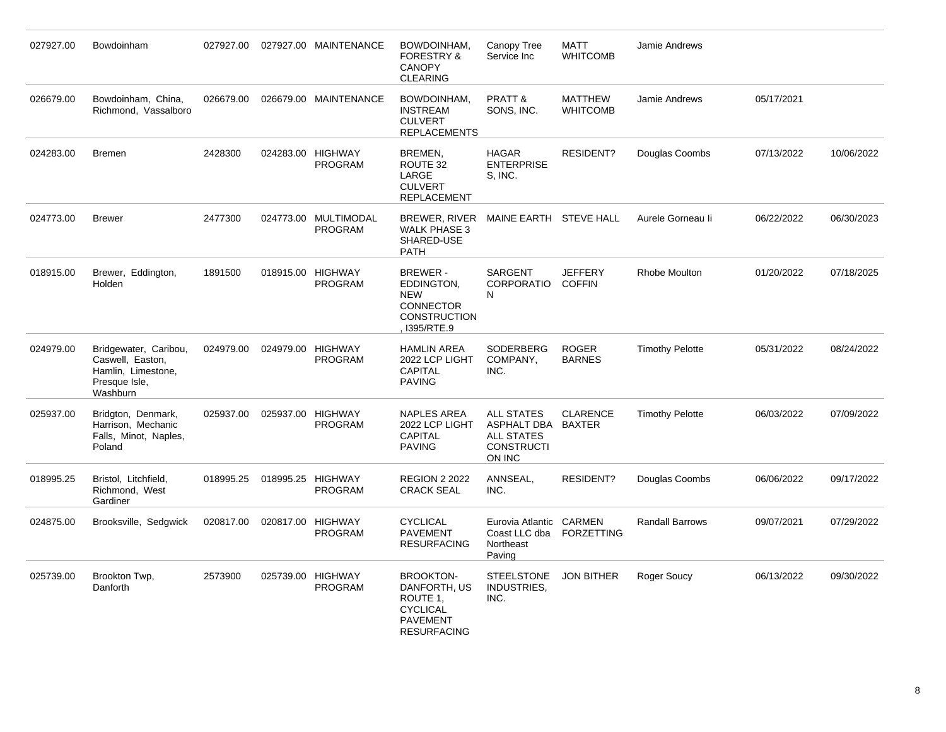| 027927.00 | Bowdoinham                                                                                   | 027927.00 |           | 027927.00 MAINTENANCE                  | BOWDOINHAM,<br><b>FORESTRY &amp;</b><br><b>CANOPY</b><br><b>CLEARING</b>                                 | Canopy Tree<br>Service Inc                                                                  | <b>MATT</b><br><b>WHITCOMB</b>     | Jamie Andrews          |            |            |
|-----------|----------------------------------------------------------------------------------------------|-----------|-----------|----------------------------------------|----------------------------------------------------------------------------------------------------------|---------------------------------------------------------------------------------------------|------------------------------------|------------------------|------------|------------|
| 026679.00 | Bowdoinham, China,<br>Richmond, Vassalboro                                                   | 026679.00 |           | 026679.00 MAINTENANCE                  | BOWDOINHAM,<br><b>INSTREAM</b><br><b>CULVERT</b><br><b>REPLACEMENTS</b>                                  | PRATT &<br>SONS, INC.                                                                       | <b>MATTHEW</b><br><b>WHITCOMB</b>  | Jamie Andrews          | 05/17/2021 |            |
| 024283.00 | <b>Bremen</b>                                                                                | 2428300   | 024283.00 | HIGHWAY<br><b>PROGRAM</b>              | BREMEN,<br>ROUTE 32<br>LARGE<br><b>CULVERT</b><br><b>REPLACEMENT</b>                                     | <b>HAGAR</b><br><b>ENTERPRISE</b><br>S, INC.                                                | <b>RESIDENT?</b>                   | Douglas Coombs         | 07/13/2022 | 10/06/2022 |
| 024773.00 | <b>Brewer</b>                                                                                | 2477300   |           | 024773.00 MULTIMODAL<br><b>PROGRAM</b> | BREWER, RIVER<br><b>WALK PHASE 3</b><br>SHARED-USE<br>PATH                                               | MAINE EARTH STEVE HALL                                                                      |                                    | Aurele Gorneau li      | 06/22/2022 | 06/30/2023 |
| 018915.00 | Brewer, Eddington,<br>Holden                                                                 | 1891500   |           | 018915.00 HIGHWAY<br><b>PROGRAM</b>    | BREWER -<br>EDDINGTON,<br><b>NEW</b><br><b>CONNECTOR</b><br><b>CONSTRUCTION</b><br>1395/RTE.9            | <b>SARGENT</b><br><b>CORPORATIO</b><br>N                                                    | <b>JEFFERY</b><br><b>COFFIN</b>    | <b>Rhobe Moulton</b>   | 01/20/2022 | 07/18/2025 |
| 024979.00 | Bridgewater, Caribou,<br>Caswell, Easton,<br>Hamlin, Limestone,<br>Presque Isle,<br>Washburn | 024979.00 |           | 024979.00 HIGHWAY<br><b>PROGRAM</b>    | <b>HAMLIN AREA</b><br>2022 LCP LIGHT<br>CAPITAL<br><b>PAVING</b>                                         | SODERBERG<br>COMPANY,<br>INC.                                                               | <b>ROGER</b><br><b>BARNES</b>      | <b>Timothy Pelotte</b> | 05/31/2022 | 08/24/2022 |
| 025937.00 | Bridgton, Denmark,<br>Harrison, Mechanic<br>Falls, Minot, Naples,<br>Poland                  | 025937.00 | 025937.00 | <b>HIGHWAY</b><br><b>PROGRAM</b>       | <b>NAPLES AREA</b><br>2022 LCP LIGHT<br><b>CAPITAL</b><br><b>PAVING</b>                                  | <b>ALL STATES</b><br>ASPHALT DBA BAXTER<br><b>ALL STATES</b><br><b>CONSTRUCTI</b><br>ON INC | <b>CLARENCE</b>                    | <b>Timothy Pelotte</b> | 06/03/2022 | 07/09/2022 |
| 018995.25 | Bristol, Litchfield,<br>Richmond, West<br>Gardiner                                           | 018995.25 |           | 018995.25 HIGHWAY<br><b>PROGRAM</b>    | <b>REGION 2 2022</b><br><b>CRACK SEAL</b>                                                                | ANNSEAL,<br>INC.                                                                            | <b>RESIDENT?</b>                   | Douglas Coombs         | 06/06/2022 | 09/17/2022 |
| 024875.00 | Brooksville, Sedgwick                                                                        | 020817.00 | 020817.00 | <b>HIGHWAY</b><br><b>PROGRAM</b>       | <b>CYCLICAL</b><br>PAVEMENT<br><b>RESURFACING</b>                                                        | Eurovia Atlantic<br>Coast LLC dba<br>Northeast<br>Paving                                    | <b>CARMEN</b><br><b>FORZETTING</b> | Randall Barrows        | 09/07/2021 | 07/29/2022 |
| 025739.00 | Brookton Twp,<br>Danforth                                                                    | 2573900   |           | 025739.00 HIGHWAY<br><b>PROGRAM</b>    | <b>BROOKTON-</b><br>DANFORTH, US<br>ROUTE 1,<br><b>CYCLICAL</b><br><b>PAVEMENT</b><br><b>RESURFACING</b> | <b>STEELSTONE</b><br>INDUSTRIES,<br>INC.                                                    | <b>JON BITHER</b>                  | Roger Soucy            | 06/13/2022 | 09/30/2022 |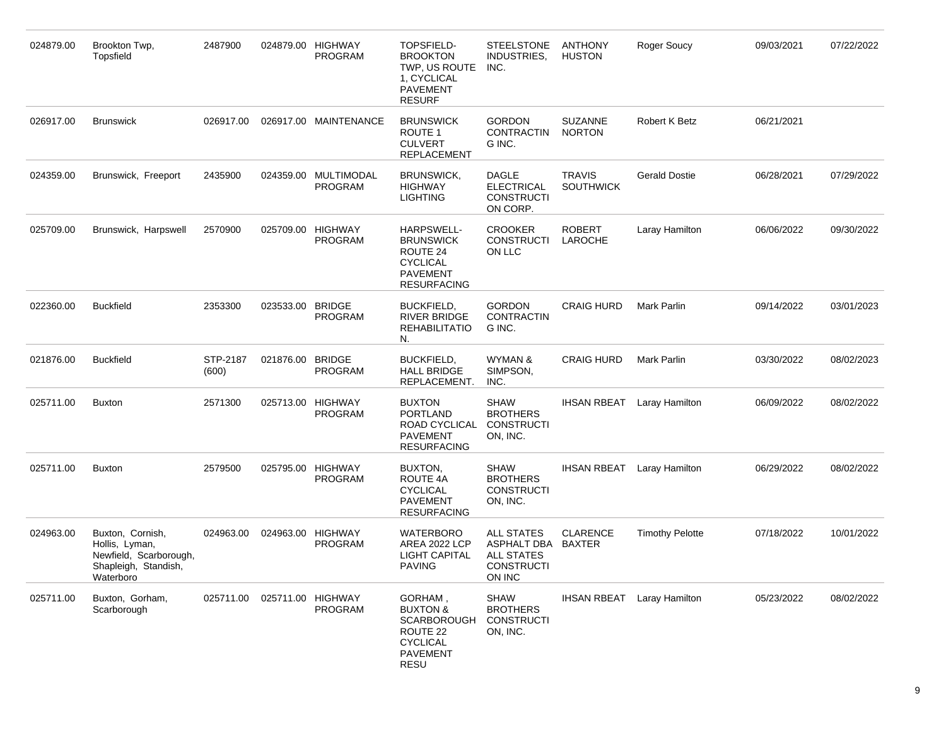| 024879.00 | Brookton Twp,<br>Topsfield                                                                        | 2487900           |                  | 024879.00 HIGHWAY<br><b>PROGRAM</b> | <b>TOPSFIELD-</b><br><b>BROOKTON</b><br>TWP, US ROUTE<br>1, CYCLICAL<br><b>PAVEMENT</b><br><b>RESURF</b>       | <b>STEELSTONE</b><br>INDUSTRIES,<br>INC.                                                    | <b>ANTHONY</b><br><b>HUSTON</b>   | <b>Roger Soucy</b>     | 09/03/2021 | 07/22/2022 |
|-----------|---------------------------------------------------------------------------------------------------|-------------------|------------------|-------------------------------------|----------------------------------------------------------------------------------------------------------------|---------------------------------------------------------------------------------------------|-----------------------------------|------------------------|------------|------------|
| 026917.00 | <b>Brunswick</b>                                                                                  | 026917.00         |                  | 026917.00 MAINTENANCE               | <b>BRUNSWICK</b><br>ROUTE 1<br><b>CULVERT</b><br><b>REPLACEMENT</b>                                            | <b>GORDON</b><br><b>CONTRACTIN</b><br>G INC.                                                | <b>SUZANNE</b><br><b>NORTON</b>   | Robert K Betz          | 06/21/2021 |            |
| 024359.00 | Brunswick, Freeport                                                                               | 2435900           |                  | 024359.00 MULTIMODAL<br>PROGRAM     | <b>BRUNSWICK,</b><br><b>HIGHWAY</b><br><b>LIGHTING</b>                                                         | DAGLE<br><b>ELECTRICAL</b><br><b>CONSTRUCTI</b><br>ON CORP.                                 | <b>TRAVIS</b><br><b>SOUTHWICK</b> | <b>Gerald Dostie</b>   | 06/28/2021 | 07/29/2022 |
| 025709.00 | Brunswick, Harpswell                                                                              | 2570900           |                  | 025709.00 HIGHWAY<br>PROGRAM        | <b>HARPSWELL-</b><br><b>BRUNSWICK</b><br>ROUTE 24<br><b>CYCLICAL</b><br><b>PAVEMENT</b><br><b>RESURFACING</b>  | <b>CROOKER</b><br><b>CONSTRUCTI</b><br>ON LLC                                               | <b>ROBERT</b><br>LAROCHE          | Laray Hamilton         | 06/06/2022 | 09/30/2022 |
| 022360.00 | <b>Buckfield</b>                                                                                  | 2353300           | 023533.00 BRIDGE | <b>PROGRAM</b>                      | <b>BUCKFIELD,</b><br><b>RIVER BRIDGE</b><br><b>REHABILITATIO</b><br>N.                                         | <b>GORDON</b><br><b>CONTRACTIN</b><br>G INC.                                                | <b>CRAIG HURD</b>                 | <b>Mark Parlin</b>     | 09/14/2022 | 03/01/2023 |
| 021876.00 | <b>Buckfield</b>                                                                                  | STP-2187<br>(600) | 021876.00 BRIDGE | <b>PROGRAM</b>                      | <b>BUCKFIELD,</b><br><b>HALL BRIDGE</b><br>REPLACEMENT.                                                        | WYMAN &<br>SIMPSON,<br>INC.                                                                 | <b>CRAIG HURD</b>                 | <b>Mark Parlin</b>     | 03/30/2022 | 08/02/2023 |
| 025711.00 | <b>Buxton</b>                                                                                     | 2571300           |                  | 025713.00 HIGHWAY<br><b>PROGRAM</b> | <b>BUXTON</b><br>PORTLAND<br>ROAD CYCLICAL<br><b>PAVEMENT</b><br><b>RESURFACING</b>                            | <b>SHAW</b><br><b>BROTHERS</b><br><b>CONSTRUCTI</b><br>ON, INC.                             | <b>IHSAN RBEAT</b>                | Laray Hamilton         | 06/09/2022 | 08/02/2022 |
| 025711.00 | <b>Buxton</b>                                                                                     | 2579500           |                  | 025795.00 HIGHWAY<br><b>PROGRAM</b> | BUXTON,<br>ROUTE 4A<br><b>CYCLICAL</b><br><b>PAVEMENT</b><br><b>RESURFACING</b>                                | <b>SHAW</b><br><b>BROTHERS</b><br><b>CONSTRUCTI</b><br>ON, INC.                             | <b>IHSAN RBEAT</b>                | Laray Hamilton         | 06/29/2022 | 08/02/2022 |
| 024963.00 | Buxton, Cornish,<br>Hollis, Lyman,<br>Newfield, Scarborough,<br>Shapleigh, Standish,<br>Waterboro | 024963.00         |                  | 024963.00 HIGHWAY<br><b>PROGRAM</b> | <b>WATERBORO</b><br>AREA 2022 LCP<br><b>LIGHT CAPITAL</b><br><b>PAVING</b>                                     | <b>ALL STATES</b><br>ASPHALT DBA BAXTER<br><b>ALL STATES</b><br><b>CONSTRUCTI</b><br>ON INC | <b>CLARENCE</b>                   | <b>Timothy Pelotte</b> | 07/18/2022 | 10/01/2022 |
| 025711.00 | Buxton, Gorham,<br>Scarborough                                                                    | 025711.00         |                  | 025711.00 HIGHWAY<br><b>PROGRAM</b> | GORHAM,<br><b>BUXTON &amp;</b><br>SCARBOROUGH<br>ROUTE 22<br><b>CYCLICAL</b><br><b>PAVEMENT</b><br><b>RESU</b> | <b>SHAW</b><br><b>BROTHERS</b><br><b>CONSTRUCTI</b><br>ON, INC.                             | <b>IHSAN RBEAT</b>                | Laray Hamilton         | 05/23/2022 | 08/02/2022 |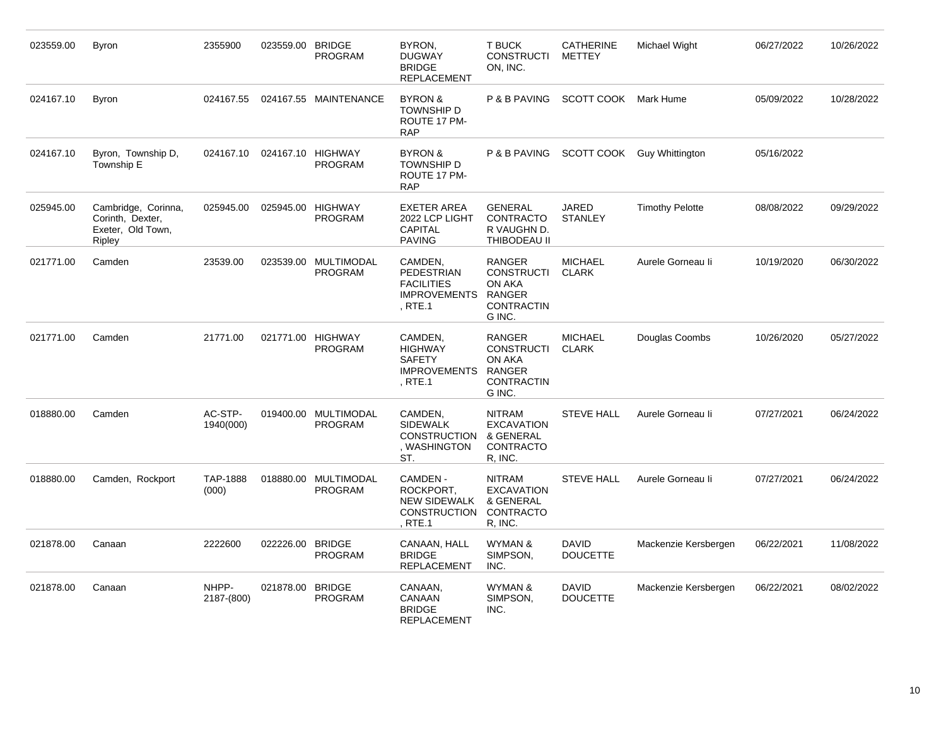| 023559.00 | <b>Byron</b>                                                           | 2355900              | 023559.00 BRIDGE | <b>PROGRAM</b>                         | BYRON,<br><b>DUGWAY</b><br><b>BRIDGE</b><br><b>REPLACEMENT</b>               | <b>T BUCK</b><br><b>CONSTRUCTI</b><br>ON, INC.                                               | <b>CATHERINE</b><br>METTEY      | Michael Wight              | 06/27/2022 | 10/26/2022 |
|-----------|------------------------------------------------------------------------|----------------------|------------------|----------------------------------------|------------------------------------------------------------------------------|----------------------------------------------------------------------------------------------|---------------------------------|----------------------------|------------|------------|
| 024167.10 | <b>Byron</b>                                                           | 024167.55            |                  | 024167.55 MAINTENANCE                  | <b>BYRON &amp;</b><br><b>TOWNSHIP D</b><br>ROUTE 17 PM-<br><b>RAP</b>        | P & B PAVING                                                                                 | SCOTT COOK Mark Hume            |                            | 05/09/2022 | 10/28/2022 |
| 024167.10 | Byron, Township D,<br>Township E                                       | 024167.10            |                  | 024167.10 HIGHWAY<br><b>PROGRAM</b>    | <b>BYRON &amp;</b><br><b>TOWNSHIP D</b><br>ROUTE 17 PM-<br><b>RAP</b>        | P & B PAVING                                                                                 |                                 | SCOTT COOK Guy Whittington | 05/16/2022 |            |
| 025945.00 | Cambridge, Corinna,<br>Corinth, Dexter,<br>Exeter, Old Town,<br>Ripley | 025945.00            |                  | 025945.00 HIGHWAY<br><b>PROGRAM</b>    | <b>EXETER AREA</b><br>2022 LCP LIGHT<br><b>CAPITAL</b><br><b>PAVING</b>      | <b>GENERAL</b><br><b>CONTRACTO</b><br>R VAUGHN D.<br>THIBODEAU II                            | <b>JARED</b><br><b>STANLEY</b>  | <b>Timothy Pelotte</b>     | 08/08/2022 | 09/29/2022 |
| 021771.00 | Camden                                                                 | 23539.00             |                  | 023539.00 MULTIMODAL<br><b>PROGRAM</b> | CAMDEN,<br>PEDESTRIAN<br><b>FACILITIES</b><br><b>IMPROVEMENTS</b><br>, RTE.1 | <b>RANGER</b><br><b>CONSTRUCTI</b><br>ON AKA<br>RANGER<br><b>CONTRACTIN</b><br>G INC.        | <b>MICHAEL</b><br><b>CLARK</b>  | Aurele Gorneau li          | 10/19/2020 | 06/30/2022 |
| 021771.00 | Camden                                                                 | 21771.00             |                  | 021771.00 HIGHWAY<br><b>PROGRAM</b>    | CAMDEN,<br><b>HIGHWAY</b><br><b>SAFETY</b><br><b>IMPROVEMENTS</b><br>, RTE.1 | <b>RANGER</b><br><b>CONSTRUCTI</b><br>ON AKA<br><b>RANGER</b><br><b>CONTRACTIN</b><br>G INC. | <b>MICHAEL</b><br><b>CLARK</b>  | Douglas Coombs             | 10/26/2020 | 05/27/2022 |
| 018880.00 | Camden                                                                 | AC-STP-<br>1940(000) |                  | 019400.00 MULTIMODAL<br><b>PROGRAM</b> | CAMDEN,<br><b>SIDEWALK</b><br><b>CONSTRUCTION</b><br>, WASHINGTON<br>ST.     | <b>NITRAM</b><br><b>EXCAVATION</b><br>& GENERAL<br>CONTRACTO<br>R, INC.                      | <b>STEVE HALL</b>               | Aurele Gorneau li          | 07/27/2021 | 06/24/2022 |
| 018880.00 | Camden, Rockport                                                       | TAP-1888<br>(000)    |                  | 018880.00 MULTIMODAL<br><b>PROGRAM</b> | CAMDEN -<br>ROCKPORT,<br><b>NEW SIDEWALK</b><br><b>CONSTRUCTION</b><br>RTE.1 | <b>NITRAM</b><br><b>EXCAVATION</b><br>& GENERAL<br>CONTRACTO<br>R, INC.                      | <b>STEVE HALL</b>               | Aurele Gorneau li          | 07/27/2021 | 06/24/2022 |
| 021878.00 | Canaan                                                                 | 2222600              | 022226.00 BRIDGE | <b>PROGRAM</b>                         | CANAAN, HALL<br><b>BRIDGE</b><br><b>REPLACEMENT</b>                          | WYMAN &<br>SIMPSON,<br>INC.                                                                  | <b>DAVID</b><br><b>DOUCETTE</b> | Mackenzie Kersbergen       | 06/22/2021 | 11/08/2022 |
| 021878.00 | Canaan                                                                 | NHPP-<br>2187-(800)  | 021878.00 BRIDGE | <b>PROGRAM</b>                         | CANAAN,<br>CANAAN<br><b>BRIDGE</b><br><b>REPLACEMENT</b>                     | WYMAN &<br>SIMPSON,<br>INC.                                                                  | <b>DAVID</b><br><b>DOUCETTE</b> | Mackenzie Kersbergen       | 06/22/2021 | 08/02/2022 |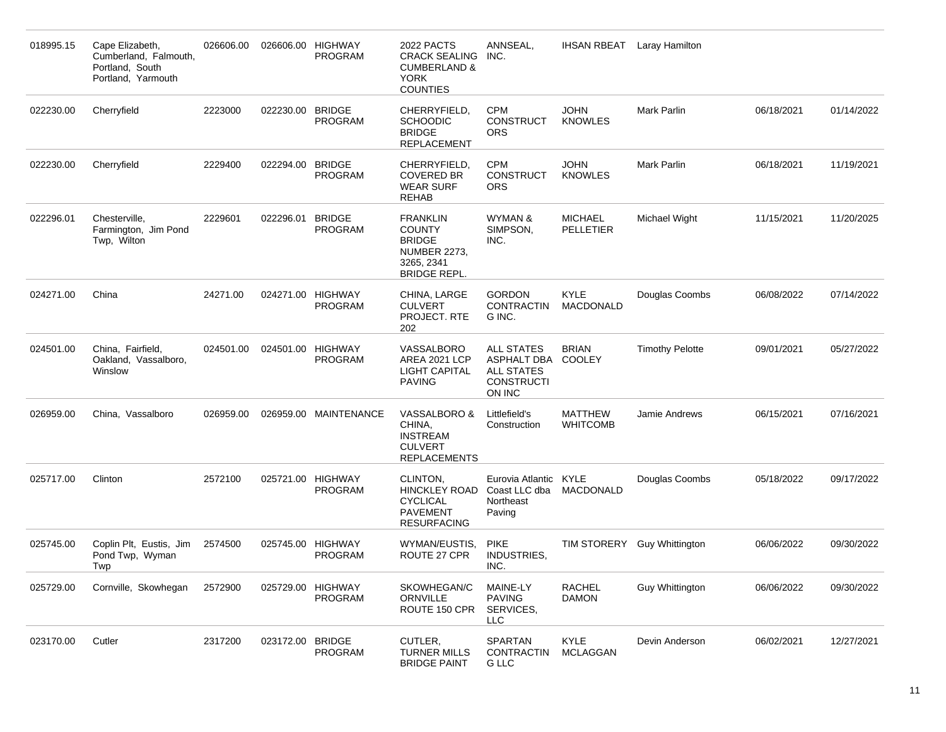| 018995.15 | Cape Elizabeth,<br>Cumberland, Falmouth,<br>Portland, South<br>Portland, Yarmouth | 026606.00 |                  | 026606.00 HIGHWAY<br><b>PROGRAM</b> | 2022 PACTS<br><b>CRACK SEALING</b><br><b>CUMBERLAND &amp;</b><br><b>YORK</b><br><b>COUNTIES</b>               | ANNSEAL,<br>INC.                                                                     | IHSAN RBEAT                        | Laray Hamilton         |            |            |
|-----------|-----------------------------------------------------------------------------------|-----------|------------------|-------------------------------------|---------------------------------------------------------------------------------------------------------------|--------------------------------------------------------------------------------------|------------------------------------|------------------------|------------|------------|
| 022230.00 | Cherryfield                                                                       | 2223000   | 022230.00        | <b>BRIDGE</b><br><b>PROGRAM</b>     | CHERRYFIELD,<br><b>SCHOODIC</b><br><b>BRIDGE</b><br><b>REPLACEMENT</b>                                        | <b>CPM</b><br><b>CONSTRUCT</b><br><b>ORS</b>                                         | <b>JOHN</b><br><b>KNOWLES</b>      | Mark Parlin            | 06/18/2021 | 01/14/2022 |
| 022230.00 | Cherryfield                                                                       | 2229400   | 022294.00 BRIDGE | <b>PROGRAM</b>                      | CHERRYFIELD,<br><b>COVERED BR</b><br><b>WEAR SURF</b><br><b>REHAB</b>                                         | <b>CPM</b><br><b>CONSTRUCT</b><br><b>ORS</b>                                         | <b>JOHN</b><br><b>KNOWLES</b>      | Mark Parlin            | 06/18/2021 | 11/19/2021 |
| 022296.01 | Chesterville,<br>Farmington, Jim Pond<br>Twp, Wilton                              | 2229601   | 022296.01        | <b>BRIDGE</b><br>PROGRAM            | <b>FRANKLIN</b><br><b>COUNTY</b><br><b>BRIDGE</b><br><b>NUMBER 2273,</b><br>3265, 2341<br><b>BRIDGE REPL.</b> | WYMAN &<br>SIMPSON,<br>INC.                                                          | <b>MICHAEL</b><br><b>PELLETIER</b> | Michael Wight          | 11/15/2021 | 11/20/2025 |
| 024271.00 | China                                                                             | 24271.00  |                  | 024271.00 HIGHWAY<br><b>PROGRAM</b> | CHINA, LARGE<br><b>CULVERT</b><br>PROJECT. RTE<br>202                                                         | <b>GORDON</b><br><b>CONTRACTIN</b><br>G INC.                                         | KYLE<br><b>MACDONALD</b>           | Douglas Coombs         | 06/08/2022 | 07/14/2022 |
| 024501.00 | China, Fairfield,<br>Oakland, Vassalboro,<br>Winslow                              | 024501.00 |                  | 024501.00 HIGHWAY<br><b>PROGRAM</b> | VASSALBORO<br>AREA 2021 LCP<br>LIGHT CAPITAL<br><b>PAVING</b>                                                 | <b>ALL STATES</b><br>ASPHALT DBA<br><b>ALL STATES</b><br><b>CONSTRUCTI</b><br>ON INC | <b>BRIAN</b><br>COOLEY             | <b>Timothy Pelotte</b> | 09/01/2021 | 05/27/2022 |
| 026959.00 | China, Vassalboro                                                                 | 026959.00 |                  | 026959.00 MAINTENANCE               | VASSALBORO &<br>CHINA,<br><b>INSTREAM</b><br><b>CULVERT</b><br><b>REPLACEMENTS</b>                            | Littlefield's<br>Construction                                                        | <b>MATTHEW</b><br><b>WHITCOMB</b>  | Jamie Andrews          | 06/15/2021 | 07/16/2021 |
| 025717.00 | Clinton                                                                           | 2572100   |                  | 025721.00 HIGHWAY<br>PROGRAM        | CLINTON,<br><b>HINCKLEY ROAD</b><br><b>CYCLICAL</b><br><b>PAVEMENT</b><br><b>RESURFACING</b>                  | Eurovia Atlantic<br>Coast LLC dba<br>Northeast<br>Paving                             | KYLE<br>MACDONALD                  | Douglas Coombs         | 05/18/2022 | 09/17/2022 |
| 025745.00 | Coplin Plt, Eustis, Jim<br>Pond Twp, Wyman<br>Twp                                 | 2574500   |                  | 025745.00 HIGHWAY<br><b>PROGRAM</b> | WYMAN/EUSTIS,<br>ROUTE 27 CPR                                                                                 | <b>PIKE</b><br>INDUSTRIES,<br>INC.                                                   | TIM STORERY                        | <b>Guy Whittington</b> | 06/06/2022 | 09/30/2022 |
| 025729.00 | Cornville, Skowhegan                                                              | 2572900   |                  | 025729.00 HIGHWAY<br>PROGRAM        | SKOWHEGAN/C<br><b>ORNVILLE</b><br>ROUTE 150 CPR                                                               | MAINE-LY<br><b>PAVING</b><br>SERVICES,<br>LLC                                        | <b>RACHEL</b><br><b>DAMON</b>      | Guy Whittington        | 06/06/2022 | 09/30/2022 |
| 023170.00 | Cutler                                                                            | 2317200   | 023172.00 BRIDGE | PROGRAM                             | CUTLER,<br>TURNER MILLS<br><b>BRIDGE PAINT</b>                                                                | <b>SPARTAN</b><br>CONTRACTIN<br>${\mathsf G}$ LLC                                    | <b>KYLE</b><br><b>MCLAGGAN</b>     | Devin Anderson         | 06/02/2021 | 12/27/2021 |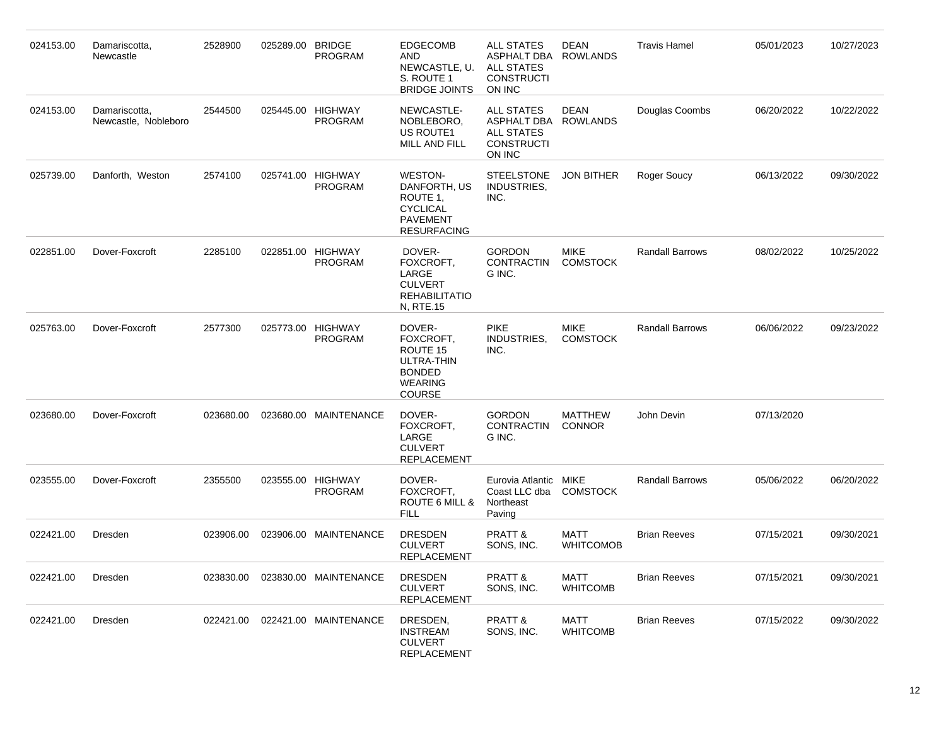| 024153.00 | Damariscotta,<br>Newcastle            | 2528900   | 025289.00 BRIDGE | PROGRAM                             | <b>EDGECOMB</b><br>AND<br>NEWCASTLE, U.<br>S. ROUTE 1<br><b>BRIDGE JOINTS</b>                          | <b>ALL STATES</b><br>ASPHALT DBA<br><b>ALL STATES</b><br><b>CONSTRUCTI</b><br>ON INC | <b>DEAN</b><br>ROWLANDS         | <b>Travis Hamel</b>    | 05/01/2023 | 10/27/2023 |
|-----------|---------------------------------------|-----------|------------------|-------------------------------------|--------------------------------------------------------------------------------------------------------|--------------------------------------------------------------------------------------|---------------------------------|------------------------|------------|------------|
| 024153.00 | Damariscotta,<br>Newcastle, Nobleboro | 2544500   |                  | 025445.00 HIGHWAY<br><b>PROGRAM</b> | NEWCASTLE-<br>NOBLEBORO,<br>US ROUTE1<br>MILL AND FILL                                                 | <b>ALL STATES</b><br>ASPHALT DBA<br><b>ALL STATES</b><br><b>CONSTRUCTI</b><br>ON INC | <b>DEAN</b><br><b>ROWLANDS</b>  | Douglas Coombs         | 06/20/2022 | 10/22/2022 |
| 025739.00 | Danforth, Weston                      | 2574100   |                  | 025741.00 HIGHWAY<br>PROGRAM        | <b>WESTON-</b><br>DANFORTH, US<br>ROUTE 1,<br><b>CYCLICAL</b><br><b>PAVEMENT</b><br><b>RESURFACING</b> | <b>STEELSTONE</b><br>INDUSTRIES,<br>INC.                                             | <b>JON BITHER</b>               | Roger Soucy            | 06/13/2022 | 09/30/2022 |
| 022851.00 | Dover-Foxcroft                        | 2285100   |                  | 022851.00 HIGHWAY<br><b>PROGRAM</b> | DOVER-<br>FOXCROFT,<br>LARGE<br><b>CULVERT</b><br><b>REHABILITATIO</b><br>N, RTE.15                    | <b>GORDON</b><br><b>CONTRACTIN</b><br>G INC.                                         | <b>MIKE</b><br><b>COMSTOCK</b>  | <b>Randall Barrows</b> | 08/02/2022 | 10/25/2022 |
| 025763.00 | Dover-Foxcroft                        | 2577300   |                  | 025773.00 HIGHWAY<br>PROGRAM        | DOVER-<br>FOXCROFT,<br>ROUTE 15<br>ULTRA-THIN<br><b>BONDED</b><br><b>WEARING</b><br><b>COURSE</b>      | <b>PIKE</b><br>INDUSTRIES.<br>INC.                                                   | <b>MIKE</b><br><b>COMSTOCK</b>  | <b>Randall Barrows</b> | 06/06/2022 | 09/23/2022 |
| 023680.00 | Dover-Foxcroft                        | 023680.00 |                  | 023680.00 MAINTENANCE               | DOVER-<br>FOXCROFT,<br>LARGE<br><b>CULVERT</b><br><b>REPLACEMENT</b>                                   | <b>GORDON</b><br><b>CONTRACTIN</b><br>G INC.                                         | <b>MATTHEW</b><br><b>CONNOR</b> | John Devin             | 07/13/2020 |            |
| 023555.00 | Dover-Foxcroft                        | 2355500   |                  | 023555.00 HIGHWAY<br><b>PROGRAM</b> | DOVER-<br>FOXCROFT,<br>ROUTE 6 MILL &<br><b>FILL</b>                                                   | Eurovia Atlantic<br>Coast LLC dba<br>Northeast<br>Paving                             | MIKE<br><b>COMSTOCK</b>         | <b>Randall Barrows</b> | 05/06/2022 | 06/20/2022 |
| 022421.00 | Dresden                               | 023906.00 |                  | 023906.00 MAINTENANCE               | <b>DRESDEN</b><br><b>CULVERT</b><br>REPLACEMENT                                                        | PRATT &<br>SONS, INC.                                                                | MATT<br><b>WHITCOMOB</b>        | <b>Brian Reeves</b>    | 07/15/2021 | 09/30/2021 |
| 022421.00 | Dresden                               |           |                  | 023830.00   023830.00   MAINTENANCE | <b>DRESDEN</b><br><b>CULVERT</b><br><b>REPLACEMENT</b>                                                 | PRATT &<br>SONS, INC.                                                                | <b>MATT</b><br><b>WHITCOMB</b>  | <b>Brian Reeves</b>    | 07/15/2021 | 09/30/2021 |
| 022421.00 | Dresden                               | 022421.00 |                  | 022421.00 MAINTENANCE               | DRESDEN,<br><b>INSTREAM</b><br><b>CULVERT</b><br><b>REPLACEMENT</b>                                    | PRATT &<br>SONS, INC.                                                                | <b>MATT</b><br><b>WHITCOMB</b>  | <b>Brian Reeves</b>    | 07/15/2022 | 09/30/2022 |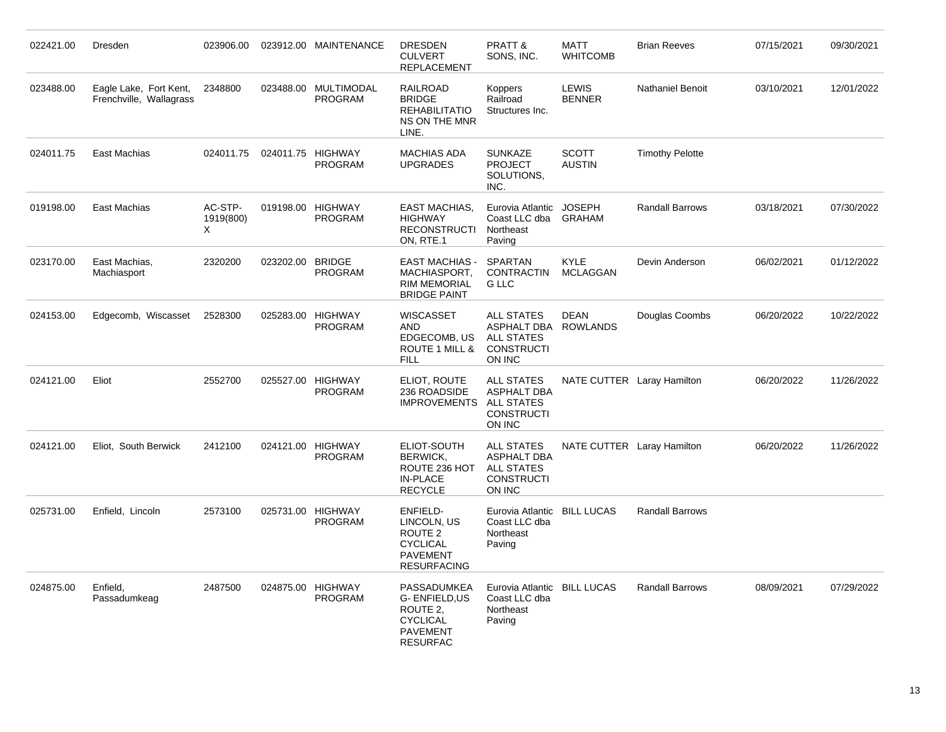| 022421.00 | Dresden                                           | 023906.00                 |                  | 023912.00 MAINTENANCE                  | <b>DRESDEN</b><br><b>CULVERT</b><br><b>REPLACEMENT</b>                                                    | PRATT &<br>SONS, INC.                                                                         | MATT<br><b>WHITCOMB</b>        | <b>Brian Reeves</b>        | 07/15/2021 | 09/30/2021 |
|-----------|---------------------------------------------------|---------------------------|------------------|----------------------------------------|-----------------------------------------------------------------------------------------------------------|-----------------------------------------------------------------------------------------------|--------------------------------|----------------------------|------------|------------|
| 023488.00 | Eagle Lake, Fort Kent,<br>Frenchville, Wallagrass | 2348800                   |                  | 023488.00 MULTIMODAL<br><b>PROGRAM</b> | <b>RAILROAD</b><br><b>BRIDGE</b><br><b>REHABILITATIO</b><br>NS ON THE MNR<br>LINE.                        | Koppers<br>Railroad<br>Structures Inc.                                                        | <b>LEWIS</b><br><b>BENNER</b>  | <b>Nathaniel Benoit</b>    | 03/10/2021 | 12/01/2022 |
| 024011.75 | East Machias                                      | 024011.75                 |                  | 024011.75 HIGHWAY<br><b>PROGRAM</b>    | <b>MACHIAS ADA</b><br><b>UPGRADES</b>                                                                     | <b>SUNKAZE</b><br><b>PROJECT</b><br>SOLUTIONS,<br>INC.                                        | <b>SCOTT</b><br><b>AUSTIN</b>  | <b>Timothy Pelotte</b>     |            |            |
| 019198.00 | East Machias                                      | AC-STP-<br>1919(800)<br>Χ |                  | 019198.00 HIGHWAY<br><b>PROGRAM</b>    | <b>EAST MACHIAS.</b><br><b>HIGHWAY</b><br><b>RECONSTRUCTI</b><br>ON, RTE.1                                | Eurovia Atlantic<br>Coast LLC dba<br>Northeast<br>Paving                                      | JOSEPH<br><b>GRAHAM</b>        | <b>Randall Barrows</b>     | 03/18/2021 | 07/30/2022 |
| 023170.00 | East Machias,<br>Machiasport                      | 2320200                   | 023202.00 BRIDGE | <b>PROGRAM</b>                         | <b>EAST MACHIAS -</b><br>MACHIASPORT,<br><b>RIM MEMORIAL</b><br><b>BRIDGE PAINT</b>                       | <b>SPARTAN</b><br><b>CONTRACTIN</b><br><b>G LLC</b>                                           | <b>KYLE</b><br><b>MCLAGGAN</b> | Devin Anderson             | 06/02/2021 | 01/12/2022 |
| 024153.00 | Edgecomb, Wiscasset                               | 2528300                   |                  | 025283.00 HIGHWAY<br><b>PROGRAM</b>    | <b>WISCASSET</b><br><b>AND</b><br>EDGECOMB, US<br>ROUTE 1 MILL &<br><b>FILL</b>                           | <b>ALL STATES</b><br>ASPHALT DBA ROWLANDS<br><b>ALL STATES</b><br><b>CONSTRUCTI</b><br>ON INC | <b>DEAN</b>                    | Douglas Coombs             | 06/20/2022 | 10/22/2022 |
| 024121.00 | Eliot                                             | 2552700                   |                  | 025527.00 HIGHWAY<br><b>PROGRAM</b>    | ELIOT, ROUTE<br>236 ROADSIDE<br><b>IMPROVEMENTS</b>                                                       | <b>ALL STATES</b><br><b>ASPHALT DBA</b><br><b>ALL STATES</b><br><b>CONSTRUCTI</b><br>ON INC   |                                | NATE CUTTER Laray Hamilton | 06/20/2022 | 11/26/2022 |
| 024121.00 | Eliot, South Berwick                              | 2412100                   |                  | 024121.00 HIGHWAY<br><b>PROGRAM</b>    | ELIOT-SOUTH<br><b>BERWICK,</b><br>ROUTE 236 HOT<br><b>IN-PLACE</b><br><b>RECYCLE</b>                      | <b>ALL STATES</b><br><b>ASPHALT DBA</b><br><b>ALL STATES</b><br><b>CONSTRUCTI</b><br>ON INC   |                                | NATE CUTTER Laray Hamilton | 06/20/2022 | 11/26/2022 |
| 025731.00 | Enfield, Lincoln                                  | 2573100                   |                  | 025731.00 HIGHWAY<br>PROGRAM           | ENFIELD-<br>LINCOLN, US<br>ROUTE <sub>2</sub><br><b>CYCLICAL</b><br><b>PAVEMENT</b><br><b>RESURFACING</b> | Eurovia Atlantic<br>Coast LLC dba<br>Northeast<br>Paving                                      | <b>BILL LUCAS</b>              | <b>Randall Barrows</b>     |            |            |
| 024875.00 | Enfield,<br>Passadumkeag                          | 2487500                   |                  | 024875.00 HIGHWAY<br><b>PROGRAM</b>    | PASSADUMKEA<br>G-ENFIELD, US<br>ROUTE 2,<br><b>CYCLICAL</b><br><b>PAVEMENT</b><br><b>RESURFAC</b>         | Eurovia Atlantic BILL LUCAS<br>Coast LLC dba<br>Northeast<br>Paving                           |                                | <b>Randall Barrows</b>     | 08/09/2021 | 07/29/2022 |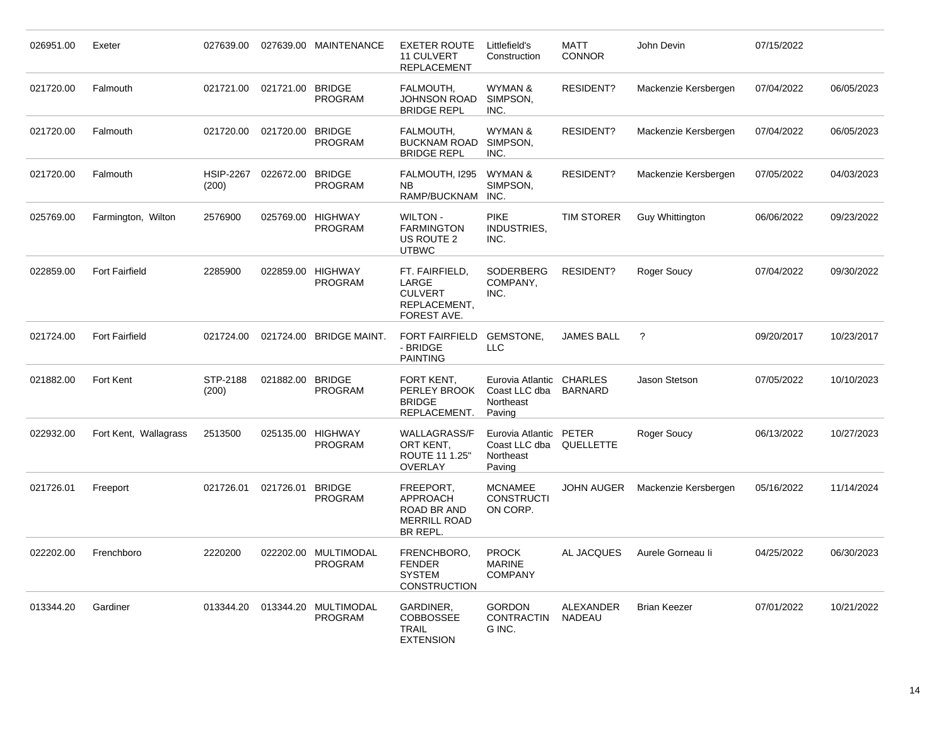| 026951.00 | Exeter                | 027639.00                 |                  | 027639.00 MAINTENANCE                  | <b>EXETER ROUTE</b><br><b>11 CULVERT</b><br><b>REPLACEMENT</b>           | Littlefield's<br>Construction                                  | MATT<br><b>CONNOR</b>            | John Devin             | 07/15/2022 |            |
|-----------|-----------------------|---------------------------|------------------|----------------------------------------|--------------------------------------------------------------------------|----------------------------------------------------------------|----------------------------------|------------------------|------------|------------|
| 021720.00 | Falmouth              | 021721.00                 | 021721.00 BRIDGE | <b>PROGRAM</b>                         | FALMOUTH,<br>JOHNSON ROAD<br><b>BRIDGE REPL</b>                          | WYMAN &<br>SIMPSON,<br>INC.                                    | <b>RESIDENT?</b>                 | Mackenzie Kersbergen   | 07/04/2022 | 06/05/2023 |
| 021720.00 | Falmouth              | 021720.00                 | 021720.00 BRIDGE | <b>PROGRAM</b>                         | FALMOUTH,<br>BUCKNAM ROAD SIMPSON,<br><b>BRIDGE REPL</b>                 | WYMAN &<br>INC.                                                | <b>RESIDENT?</b>                 | Mackenzie Kersbergen   | 07/04/2022 | 06/05/2023 |
| 021720.00 | Falmouth              | <b>HSIP-2267</b><br>(200) | 022672.00 BRIDGE | <b>PROGRAM</b>                         | FALMOUTH, I295<br>NB.<br>RAMP/BUCKNAM                                    | WYMAN &<br>SIMPSON,<br>INC.                                    | <b>RESIDENT?</b>                 | Mackenzie Kersbergen   | 07/05/2022 | 04/03/2023 |
| 025769.00 | Farmington, Wilton    | 2576900                   |                  | 025769.00 HIGHWAY<br><b>PROGRAM</b>    | <b>WILTON -</b><br><b>FARMINGTON</b><br>US ROUTE 2<br><b>UTBWC</b>       | <b>PIKE</b><br>INDUSTRIES,<br>INC.                             | <b>TIM STORER</b>                | <b>Guy Whittington</b> | 06/06/2022 | 09/23/2022 |
| 022859.00 | <b>Fort Fairfield</b> | 2285900                   |                  | 022859.00 HIGHWAY<br><b>PROGRAM</b>    | FT. FAIRFIELD,<br>LARGE<br><b>CULVERT</b><br>REPLACEMENT,<br>FOREST AVE. | SODERBERG<br>COMPANY,<br>INC.                                  | <b>RESIDENT?</b>                 | Roger Soucy            | 07/04/2022 | 09/30/2022 |
| 021724.00 | <b>Fort Fairfield</b> | 021724.00                 |                  | 021724.00 BRIDGE MAINT.                | FORT FAIRFIELD GEMSTONE,<br>- BRIDGE<br><b>PAINTING</b>                  | <b>LLC</b>                                                     | <b>JAMES BALL</b>                | $\overline{\cdot}$     | 09/20/2017 | 10/23/2017 |
| 021882.00 | Fort Kent             | STP-2188<br>(200)         | 021882.00 BRIDGE | <b>PROGRAM</b>                         | FORT KENT,<br>PERLEY BROOK<br><b>BRIDGE</b><br>REPLACEMENT.              | Eurovia Atlantic<br>Coast LLC dba<br>Northeast<br>Paving       | <b>CHARLES</b><br><b>BARNARD</b> | Jason Stetson          | 07/05/2022 | 10/10/2023 |
| 022932.00 | Fort Kent, Wallagrass | 2513500                   |                  | 025135.00 HIGHWAY<br><b>PROGRAM</b>    | <b>WALLAGRASS/F</b><br>ORT KENT,<br>ROUTE 11 1.25'<br>OVERLAY            | Eurovia Atlantic PETER<br>Coast LLC dba<br>Northeast<br>Paving | QUELLETTE                        | Roger Soucy            | 06/13/2022 | 10/27/2023 |
| 021726.01 | Freeport              | 021726.01                 | 021726.01 BRIDGE | <b>PROGRAM</b>                         | FREEPORT,<br>APPROACH<br>ROAD BR AND<br><b>MERRILL ROAD</b><br>BR REPL.  | <b>MCNAMEE</b><br><b>CONSTRUCTI</b><br>ON CORP.                | <b>JOHN AUGER</b>                | Mackenzie Kersbergen   | 05/16/2022 | 11/14/2024 |
| 022202.00 | Frenchboro            | 2220200                   |                  | 022202.00 MULTIMODAL<br><b>PROGRAM</b> | FRENCHBORO,<br><b>FENDER</b><br><b>SYSTEM</b><br><b>CONSTRUCTION</b>     | <b>PROCK</b><br><b>MARINE</b><br><b>COMPANY</b>                | AL JACQUES                       | Aurele Gorneau li      | 04/25/2022 | 06/30/2023 |
| 013344.20 | Gardiner              | 013344.20                 |                  | 013344.20 MULTIMODAL<br><b>PROGRAM</b> | GARDINER,<br><b>COBBOSSEE</b><br><b>TRAIL</b><br><b>EXTENSION</b>        | <b>GORDON</b><br><b>CONTRACTIN</b><br>G INC.                   | ALEXANDER<br><b>NADEAU</b>       | <b>Brian Keezer</b>    | 07/01/2022 | 10/21/2022 |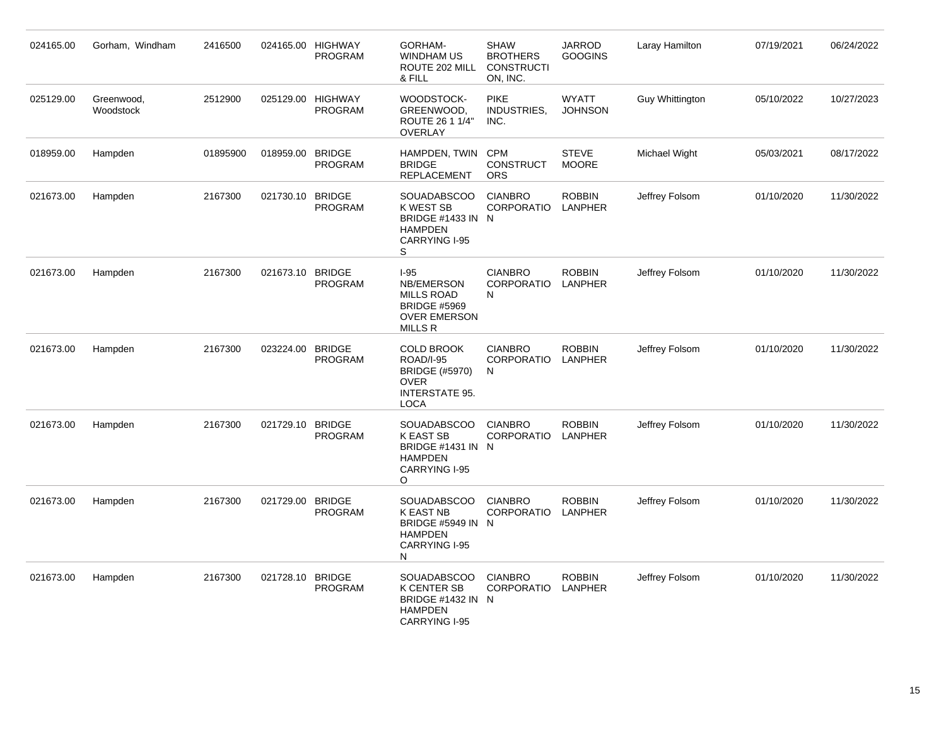| 024165.00 | Gorham, Windham         | 2416500  |                  | 024165.00 HIGHWAY<br><b>PROGRAM</b> | GORHAM-<br>WINDHAM US<br>ROUTE 202 MILL<br>& FILL                                                                     | <b>SHAW</b><br><b>BROTHERS</b><br><b>CONSTRUCTI</b><br>ON, INC. | <b>JARROD</b><br><b>GOOGINS</b> | Laray Hamilton  | 07/19/2021 | 06/24/2022 |
|-----------|-------------------------|----------|------------------|-------------------------------------|-----------------------------------------------------------------------------------------------------------------------|-----------------------------------------------------------------|---------------------------------|-----------------|------------|------------|
| 025129.00 | Greenwood,<br>Woodstock | 2512900  |                  | 025129.00 HIGHWAY<br><b>PROGRAM</b> | WOODSTOCK-<br>GREENWOOD.<br>ROUTE 26 1 1/4"<br><b>OVERLAY</b>                                                         | <b>PIKE</b><br>INDUSTRIES,<br>INC.                              | <b>WYATT</b><br><b>JOHNSON</b>  | Guy Whittington | 05/10/2022 | 10/27/2023 |
| 018959.00 | Hampden                 | 01895900 | 018959.00 BRIDGE | <b>PROGRAM</b>                      | HAMPDEN, TWIN CPM<br><b>BRIDGE</b><br>REPLACEMENT                                                                     | <b>CONSTRUCT</b><br><b>ORS</b>                                  | <b>STEVE</b><br><b>MOORE</b>    | Michael Wight   | 05/03/2021 | 08/17/2022 |
| 021673.00 | Hampden                 | 2167300  | 021730.10 BRIDGE | <b>PROGRAM</b>                      | <b>SOUADABSCOO</b><br>K WEST SB<br>BRIDGE #1433 IN N<br><b>HAMPDEN</b><br><b>CARRYING I-95</b><br>S                   | <b>CIANBRO</b><br><b>CORPORATIO</b>                             | <b>ROBBIN</b><br><b>LANPHER</b> | Jeffrey Folsom  | 01/10/2020 | 11/30/2022 |
| 021673.00 | Hampden                 | 2167300  | 021673.10 BRIDGE | <b>PROGRAM</b>                      | $I-95$<br><b>NB/EMERSON</b><br><b>MILLS ROAD</b><br><b>BRIDGE #5969</b><br><b>OVER EMERSON</b><br><b>MILLS R</b>      | <b>CIANBRO</b><br><b>CORPORATIO</b><br>N                        | <b>ROBBIN</b><br>LANPHER        | Jeffrey Folsom  | 01/10/2020 | 11/30/2022 |
| 021673.00 | Hampden                 | 2167300  | 023224.00 BRIDGE | <b>PROGRAM</b>                      | <b>COLD BROOK</b><br><b>ROAD/I-95</b><br><b>BRIDGE (#5970)</b><br><b>OVER</b><br><b>INTERSTATE 95.</b><br><b>LOCA</b> | <b>CIANBRO</b><br>CORPORATIO<br>N                               | <b>ROBBIN</b><br><b>LANPHER</b> | Jeffrey Folsom  | 01/10/2020 | 11/30/2022 |
| 021673.00 | Hampden                 | 2167300  | 021729.10 BRIDGE | <b>PROGRAM</b>                      | <b>SOUADABSCOO</b><br><b>K EAST SB</b><br><b>BRIDGE #1431 IN N</b><br><b>HAMPDEN</b><br>CARRYING I-95<br>O            | <b>CIANBRO</b><br><b>CORPORATIO</b>                             | <b>ROBBIN</b><br><b>LANPHER</b> | Jeffrey Folsom  | 01/10/2020 | 11/30/2022 |
| 021673.00 | Hampden                 | 2167300  | 021729.00 BRIDGE | <b>PROGRAM</b>                      | <b>SOUADABSCOO</b><br><b>K EAST NB</b><br>BRIDGE #5949 IN N<br><b>HAMPDEN</b><br>CARRYING I-95<br>N                   | <b>CIANBRO</b><br><b>CORPORATIO</b>                             | <b>ROBBIN</b><br><b>LANPHER</b> | Jeffrey Folsom  | 01/10/2020 | 11/30/2022 |
| 021673.00 | Hampden                 | 2167300  | 021728.10 BRIDGE | <b>PROGRAM</b>                      | <b>SOUADABSCOO</b><br><b>K CENTER SB</b><br>BRIDGE #1432 IN N<br><b>HAMPDEN</b><br><b>CARRYING I-95</b>               | <b>CIANBRO</b><br>CORPORATIO                                    | <b>ROBBIN</b><br><b>LANPHER</b> | Jeffrey Folsom  | 01/10/2020 | 11/30/2022 |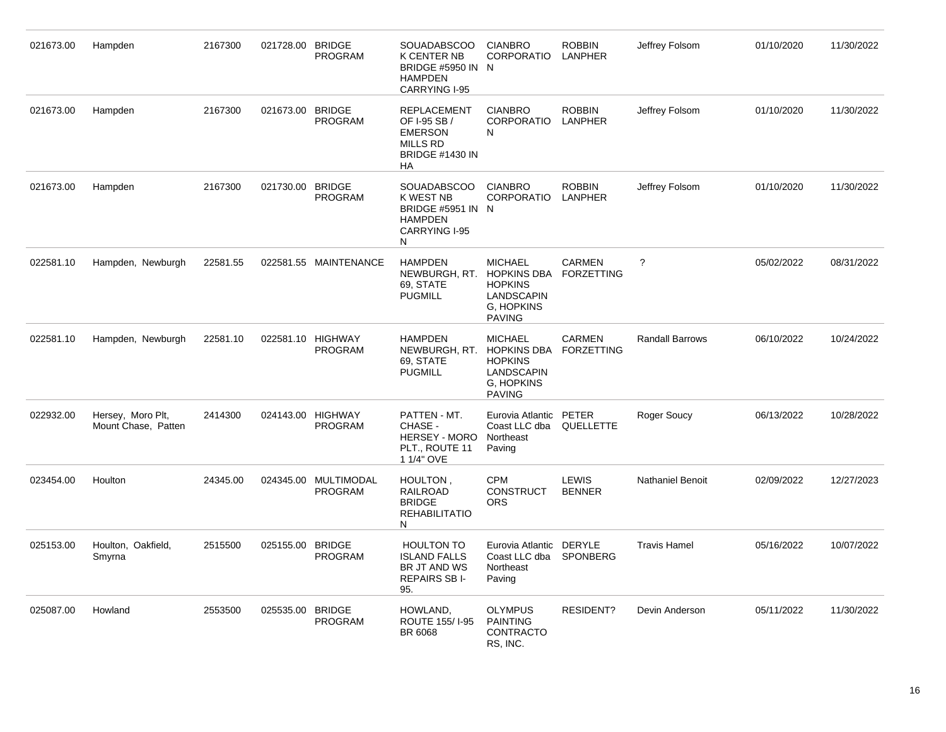| 021673.00 | Hampden                                  | 2167300  | 021728.00 BRIDGE | PROGRAM                             | <b>SOUADABSCOO</b><br><b>K CENTER NB</b><br>BRIDGE #5950 IN N<br><b>HAMPDEN</b><br>CARRYING I-95           | <b>CIANBRO</b><br><b>CORPORATIO</b>                                                                        | <b>ROBBIN</b><br>LANPHER           | Jeffrey Folsom          | 01/10/2020 | 11/30/2022 |
|-----------|------------------------------------------|----------|------------------|-------------------------------------|------------------------------------------------------------------------------------------------------------|------------------------------------------------------------------------------------------------------------|------------------------------------|-------------------------|------------|------------|
| 021673.00 | Hampden                                  | 2167300  | 021673.00 BRIDGE | <b>PROGRAM</b>                      | <b>REPLACEMENT</b><br>OF 1-95 SB /<br><b>EMERSON</b><br><b>MILLS RD</b><br><b>BRIDGE #1430 IN</b><br>HA    | <b>CIANBRO</b><br>CORPORATIO<br>N                                                                          | <b>ROBBIN</b><br><b>LANPHER</b>    | Jeffrey Folsom          | 01/10/2020 | 11/30/2022 |
| 021673.00 | Hampden                                  | 2167300  | 021730.00 BRIDGE | <b>PROGRAM</b>                      | <b>SOUADABSCOO</b><br><b>K WEST NB</b><br><b>BRIDGE #5951 IN N</b><br><b>HAMPDEN</b><br>CARRYING I-95<br>N | <b>CIANBRO</b><br><b>CORPORATIO</b>                                                                        | <b>ROBBIN</b><br><b>LANPHER</b>    | Jeffrey Folsom          | 01/10/2020 | 11/30/2022 |
| 022581.10 | Hampden, Newburgh                        | 22581.55 |                  | 022581.55 MAINTENANCE               | <b>HAMPDEN</b><br>NEWBURGH, RT.<br>69. STATE<br><b>PUGMILL</b>                                             | <b>MICHAEL</b><br><b>HOPKINS DBA</b><br><b>HOPKINS</b><br>LANDSCAPIN<br>G. HOPKINS<br><b>PAVING</b>        | <b>CARMEN</b><br><b>FORZETTING</b> | $\gamma$                | 05/02/2022 | 08/31/2022 |
| 022581.10 | Hampden, Newburgh                        | 22581.10 |                  | 022581.10 HIGHWAY<br><b>PROGRAM</b> | <b>HAMPDEN</b><br>NEWBURGH, RT.<br>69, STATE<br><b>PUGMILL</b>                                             | <b>MICHAEL</b><br><b>HOPKINS DBA</b><br><b>HOPKINS</b><br><b>LANDSCAPIN</b><br>G. HOPKINS<br><b>PAVING</b> | <b>CARMEN</b><br><b>FORZETTING</b> | <b>Randall Barrows</b>  | 06/10/2022 | 10/24/2022 |
| 022932.00 | Hersey, Moro Plt,<br>Mount Chase, Patten | 2414300  |                  | 024143.00 HIGHWAY<br><b>PROGRAM</b> | PATTEN - MT.<br>CHASE -<br><b>HERSEY - MORO</b><br>PLT., ROUTE 11<br>1 1/4" OVE                            | Eurovia Atlantic<br>Coast LLC dba<br>Northeast<br>Paving                                                   | PETER<br>QUELLETTE                 | Roger Soucy             | 06/13/2022 | 10/28/2022 |
| 023454.00 | Houlton                                  | 24345.00 |                  | 024345.00 MULTIMODAL<br>PROGRAM     | HOULTON,<br><b>RAILROAD</b><br><b>BRIDGE</b><br><b>REHABILITATIO</b><br>N                                  | <b>CPM</b><br><b>CONSTRUCT</b><br><b>ORS</b>                                                               | <b>LEWIS</b><br><b>BENNER</b>      | <b>Nathaniel Benoit</b> | 02/09/2022 | 12/27/2023 |
| 025153.00 | Houlton, Oakfield,<br>Smyrna             | 2515500  | 025155.00        | <b>BRIDGE</b><br>PROGRAM            | <b>HOULTON TO</b><br><b>ISLAND FALLS</b><br>BR JT AND WS<br><b>REPAIRS SBI-</b><br>95.                     | Eurovia Atlantic<br>Coast LLC dba<br>Northeast<br>Paving                                                   | <b>DERYLE</b><br>SPONBERG          | <b>Travis Hamel</b>     | 05/16/2022 | 10/07/2022 |
| 025087.00 | Howland                                  | 2553500  | 025535.00 BRIDGE | PROGRAM                             | HOWLAND,<br>ROUTE 155/1-95<br>BR 6068                                                                      | <b>OLYMPUS</b><br><b>PAINTING</b><br><b>CONTRACTO</b><br>RS, INC.                                          | <b>RESIDENT?</b>                   | Devin Anderson          | 05/11/2022 | 11/30/2022 |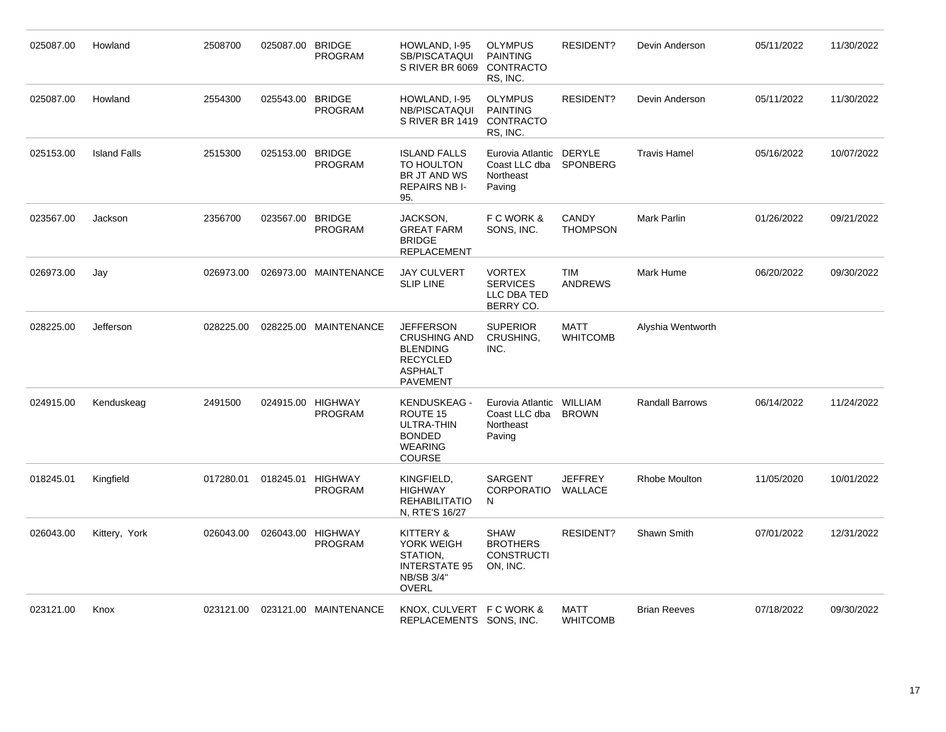| 025087.00 | Howland             | 2508700   | 025087.00 BRIDGE | <b>PROGRAM</b>                      | HOWLAND, I-95<br><b>SB/PISCATAQUI</b><br>S RIVER BR 6069                                                           | <b>OLYMPUS</b><br><b>PAINTING</b><br>CONTRACTO<br>RS, INC.      | <b>RESIDENT?</b>                | Devin Anderson         | 05/11/2022 | 11/30/2022 |
|-----------|---------------------|-----------|------------------|-------------------------------------|--------------------------------------------------------------------------------------------------------------------|-----------------------------------------------------------------|---------------------------------|------------------------|------------|------------|
| 025087.00 | Howland             | 2554300   | 025543.00 BRIDGE | <b>PROGRAM</b>                      | HOWLAND, I-95<br>NB/PISCATAQUI<br>S RIVER BR 1419 CONTRACTO                                                        | <b>OLYMPUS</b><br><b>PAINTING</b><br>RS, INC.                   | <b>RESIDENT?</b>                | Devin Anderson         | 05/11/2022 | 11/30/2022 |
| 025153.00 | <b>Island Falls</b> | 2515300   | 025153.00 BRIDGE | <b>PROGRAM</b>                      | <b>ISLAND FALLS</b><br>TO HOULTON<br>BR JT AND WS<br><b>REPAIRS NBI-</b><br>95.                                    | Eurovia Atlantic<br>Coast LLC dba<br>Northeast<br>Paving        | DERYLE<br><b>SPONBERG</b>       | <b>Travis Hamel</b>    | 05/16/2022 | 10/07/2022 |
| 023567.00 | Jackson             | 2356700   | 023567.00 BRIDGE | <b>PROGRAM</b>                      | JACKSON,<br><b>GREAT FARM</b><br><b>BRIDGE</b><br><b>REPLACEMENT</b>                                               | F C WORK &<br>SONS, INC.                                        | <b>CANDY</b><br><b>THOMPSON</b> | Mark Parlin            | 01/26/2022 | 09/21/2022 |
| 026973.00 | Jay                 | 026973.00 |                  | 026973.00 MAINTENANCE               | <b>JAY CULVERT</b><br><b>SLIP LINE</b>                                                                             | <b>VORTEX</b><br><b>SERVICES</b><br>LLC DBA TED<br>BERRY CO.    | <b>TIM</b><br><b>ANDREWS</b>    | Mark Hume              | 06/20/2022 | 09/30/2022 |
| 028225.00 | Jefferson           | 028225.00 |                  | 028225.00 MAINTENANCE               | <b>JEFFERSON</b><br><b>CRUSHING AND</b><br><b>BLENDING</b><br><b>RECYCLED</b><br><b>ASPHALT</b><br><b>PAVEMENT</b> | <b>SUPERIOR</b><br>CRUSHING,<br>INC.                            | <b>MATT</b><br><b>WHITCOMB</b>  | Alyshia Wentworth      |            |            |
| 024915.00 | Kenduskeag          | 2491500   |                  | 024915.00 HIGHWAY<br><b>PROGRAM</b> | <b>KENDUSKEAG -</b><br>ROUTE 15<br>ULTRA-THIN<br><b>BONDED</b><br><b>WEARING</b><br><b>COURSE</b>                  | Eurovia Atlantic<br>Coast LLC dba<br>Northeast<br>Paving        | WILLIAM<br><b>BROWN</b>         | <b>Randall Barrows</b> | 06/14/2022 | 11/24/2022 |
| 018245.01 | Kingfield           | 017280.01 |                  | 018245.01 HIGHWAY<br><b>PROGRAM</b> | KINGFIELD,<br><b>HIGHWAY</b><br><b>REHABILITATIO</b><br>N, RTE'S 16/27                                             | <b>SARGENT</b><br><b>CORPORATIO</b><br>N                        | <b>JEFFREY</b><br>WALLACE       | <b>Rhobe Moulton</b>   | 11/05/2020 | 10/01/2022 |
| 026043.00 | Kittery, York       | 026043.00 |                  | 026043.00 HIGHWAY<br><b>PROGRAM</b> | KITTERY &<br>YORK WEIGH<br>STATION,<br><b>INTERSTATE 95</b><br>NB/SB 3/4"<br><b>OVERL</b>                          | <b>SHAW</b><br><b>BROTHERS</b><br><b>CONSTRUCTI</b><br>ON, INC. | RESIDENT?                       | Shawn Smith            | 07/01/2022 | 12/31/2022 |
| 023121.00 | Knox                | 023121.00 |                  | 023121.00 MAINTENANCE               | KNOX, CULVERT F C WORK &<br>REPLACEMENTS SONS, INC.                                                                |                                                                 | MATT<br><b>WHITCOMB</b>         | <b>Brian Reeves</b>    | 07/18/2022 | 09/30/2022 |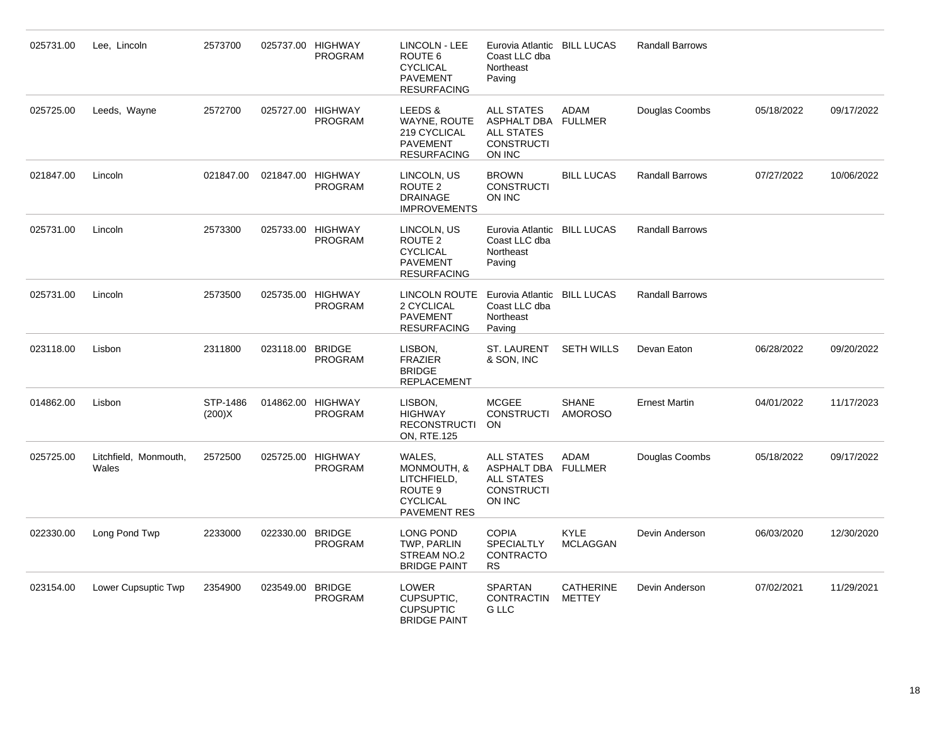| 025731.00 | Lee, Lincoln                   | 2573700            |                  | 025737.00 HIGHWAY<br><b>PROGRAM</b> | LINCOLN - LEE<br>ROUTE <sub>6</sub><br><b>CYCLICAL</b><br><b>PAVEMENT</b><br><b>RESURFACING</b> | Eurovia Atlantic<br>Coast LLC dba<br>Northeast<br>Paving                                     | <b>BILL LUCAS</b>                 | <b>Randall Barrows</b> |            |            |
|-----------|--------------------------------|--------------------|------------------|-------------------------------------|-------------------------------------------------------------------------------------------------|----------------------------------------------------------------------------------------------|-----------------------------------|------------------------|------------|------------|
| 025725.00 | Leeds, Wayne                   | 2572700            |                  | 025727.00 HIGHWAY<br>PROGRAM        | LEEDS &<br>WAYNE, ROUTE<br>219 CYCLICAL<br><b>PAVEMENT</b><br><b>RESURFACING</b>                | <b>ALL STATES</b><br>ASPHALT DBA FULLMER<br><b>ALL STATES</b><br><b>CONSTRUCTI</b><br>ON INC | ADAM                              | Douglas Coombs         | 05/18/2022 | 09/17/2022 |
| 021847.00 | Lincoln                        | 021847.00          |                  | 021847.00 HIGHWAY<br>PROGRAM        | LINCOLN, US<br>ROUTE <sub>2</sub><br><b>DRAINAGE</b><br><b>IMPROVEMENTS</b>                     | <b>BROWN</b><br><b>CONSTRUCTI</b><br>ON INC                                                  | <b>BILL LUCAS</b>                 | <b>Randall Barrows</b> | 07/27/2022 | 10/06/2022 |
| 025731.00 | Lincoln                        | 2573300            |                  | 025733.00 HIGHWAY<br>PROGRAM        | LINCOLN, US<br>ROUTE <sub>2</sub><br><b>CYCLICAL</b><br><b>PAVEMENT</b><br><b>RESURFACING</b>   | Eurovia Atlantic<br>Coast LLC dba<br>Northeast<br>Paving                                     | <b>BILL LUCAS</b>                 | <b>Randall Barrows</b> |            |            |
| 025731.00 | Lincoln                        | 2573500            |                  | 025735.00 HIGHWAY<br><b>PROGRAM</b> | LINCOLN ROUTE<br>2 CYCLICAL<br><b>PAVEMENT</b><br><b>RESURFACING</b>                            | Eurovia Atlantic<br>Coast LLC dba<br>Northeast<br>Paving                                     | <b>BILL LUCAS</b>                 | <b>Randall Barrows</b> |            |            |
| 023118.00 | Lisbon                         | 2311800            | 023118.00 BRIDGE | PROGRAM                             | LISBON,<br><b>FRAZIER</b><br><b>BRIDGE</b><br><b>REPLACEMENT</b>                                | <b>ST. LAURENT</b><br>& SON, INC                                                             | <b>SETH WILLS</b>                 | Devan Eaton            | 06/28/2022 | 09/20/2022 |
| 014862.00 | Lisbon                         | STP-1486<br>(200)X |                  | 014862.00 HIGHWAY<br>PROGRAM        | LISBON,<br><b>HIGHWAY</b><br><b>RECONSTRUCTI</b><br>ON, RTE.125                                 | <b>MCGEE</b><br><b>CONSTRUCTI</b><br>ON                                                      | <b>SHANE</b><br><b>AMOROSO</b>    | <b>Ernest Martin</b>   | 04/01/2022 | 11/17/2023 |
| 025725.00 | Litchfield, Monmouth,<br>Wales | 2572500            |                  | 025725.00 HIGHWAY<br><b>PROGRAM</b> | WALES,<br>MONMOUTH, &<br>LITCHFIELD,<br>ROUTE 9<br><b>CYCLICAL</b><br><b>PAVEMENT RES</b>       | <b>ALL STATES</b><br>ASPHALT DBA<br><b>ALL STATES</b><br><b>CONSTRUCTI</b><br>ON INC         | <b>ADAM</b><br><b>FULLMER</b>     | Douglas Coombs         | 05/18/2022 | 09/17/2022 |
| 022330.00 | Long Pond Twp                  | 2233000            | 022330.00 BRIDGE | <b>PROGRAM</b>                      | LONG POND<br>TWP, PARLIN<br>STREAM NO.2<br><b>BRIDGE PAINT</b>                                  | <b>COPIA</b><br>SPECIALTLY<br>CONTRACTO<br><b>RS</b>                                         | <b>KYLE</b><br><b>MCLAGGAN</b>    | Devin Anderson         | 06/03/2020 | 12/30/2020 |
| 023154.00 | Lower Cupsuptic Twp            | 2354900            | 023549.00 BRIDGE | PROGRAM                             | LOWER<br>CUPSUPTIC,<br><b>CUPSUPTIC</b><br><b>BRIDGE PAINT</b>                                  | <b>SPARTAN</b><br><b>CONTRACTIN</b><br>G LLC                                                 | <b>CATHERINE</b><br><b>METTEY</b> | Devin Anderson         | 07/02/2021 | 11/29/2021 |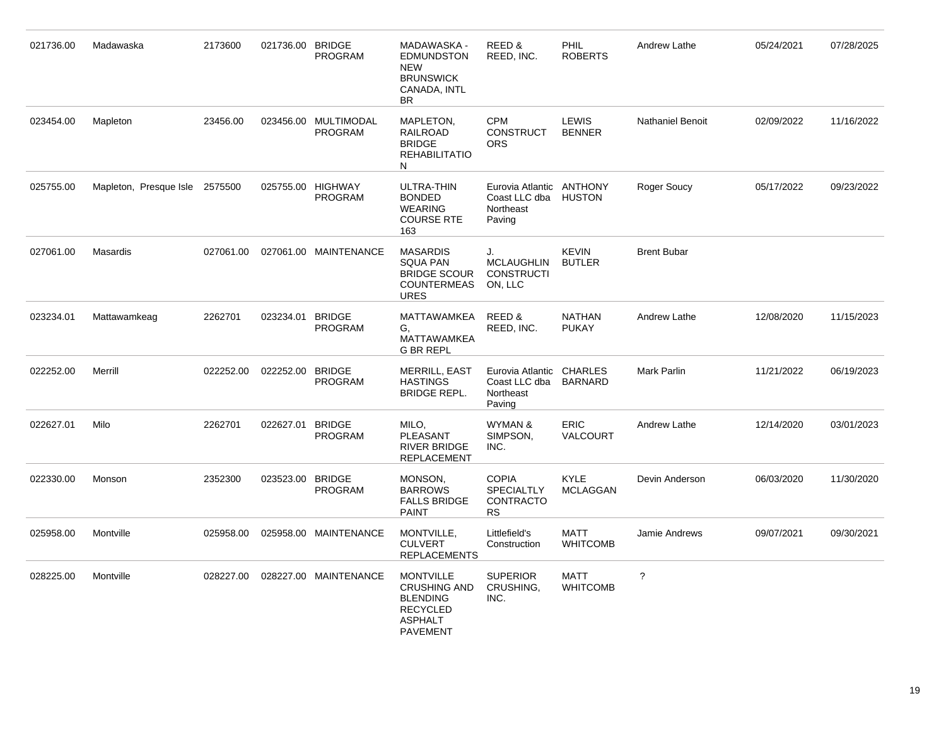| 021736.00 | Madawaska                      | 2173600   | 021736.00 BRIDGE | <b>PROGRAM</b>                         | MADAWASKA -<br><b>EDMUNDSTON</b><br><b>NEW</b><br><b>BRUNSWICK</b><br>CANADA, INTL<br><b>BR</b>                    | REED &<br>REED, INC.                                             | <b>PHIL</b><br><b>ROBERTS</b>    | Andrew Lathe            | 05/24/2021 | 07/28/2025 |
|-----------|--------------------------------|-----------|------------------|----------------------------------------|--------------------------------------------------------------------------------------------------------------------|------------------------------------------------------------------|----------------------------------|-------------------------|------------|------------|
| 023454.00 | Mapleton                       | 23456.00  |                  | 023456.00 MULTIMODAL<br><b>PROGRAM</b> | MAPLETON,<br>RAILROAD<br><b>BRIDGE</b><br><b>REHABILITATIO</b><br>N                                                | <b>CPM</b><br>CONSTRUCT<br><b>ORS</b>                            | <b>LEWIS</b><br><b>BENNER</b>    | <b>Nathaniel Benoit</b> | 02/09/2022 | 11/16/2022 |
| 025755.00 | Mapleton, Presque Isle 2575500 |           |                  | 025755.00 HIGHWAY<br><b>PROGRAM</b>    | <b>ULTRA-THIN</b><br><b>BONDED</b><br><b>WEARING</b><br><b>COURSE RTE</b><br>163                                   | Eurovia Atlantic ANTHONY<br>Coast LLC dba<br>Northeast<br>Paving | HUSTON                           | Roger Soucy             | 05/17/2022 | 09/23/2022 |
| 027061.00 | Masardis                       | 027061.00 |                  | 027061.00 MAINTENANCE                  | <b>MASARDIS</b><br><b>SQUA PAN</b><br><b>BRIDGE SCOUR</b><br><b>COUNTERMEAS</b><br><b>URES</b>                     | J.<br><b>MCLAUGHLIN</b><br><b>CONSTRUCTI</b><br>ON, LLC          | <b>KEVIN</b><br><b>BUTLER</b>    | <b>Brent Bubar</b>      |            |            |
| 023234.01 | Mattawamkeag                   | 2262701   | 023234.01        | <b>BRIDGE</b><br>PROGRAM               | <b>MATTAWAMKEA</b><br>G,<br><b>MATTAWAMKEA</b><br><b>G BR REPL</b>                                                 | REED &<br>REED, INC.                                             | <b>NATHAN</b><br><b>PUKAY</b>    | Andrew Lathe            | 12/08/2020 | 11/15/2023 |
| 022252.00 | Merrill                        | 022252.00 | 022252.00 BRIDGE | <b>PROGRAM</b>                         | <b>MERRILL, EAST</b><br><b>HASTINGS</b><br><b>BRIDGE REPL.</b>                                                     | Eurovia Atlantic<br>Coast LLC dba<br>Northeast<br>Paving         | <b>CHARLES</b><br><b>BARNARD</b> | Mark Parlin             | 11/21/2022 | 06/19/2023 |
| 022627.01 | Milo                           | 2262701   | 022627.01 BRIDGE | <b>PROGRAM</b>                         | MILO,<br>PLEASANT<br><b>RIVER BRIDGE</b><br><b>REPLACEMENT</b>                                                     | WYMAN &<br>SIMPSON,<br>INC.                                      | <b>ERIC</b><br><b>VALCOURT</b>   | Andrew Lathe            | 12/14/2020 | 03/01/2023 |
| 022330.00 | Monson                         | 2352300   | 023523.00 BRIDGE | <b>PROGRAM</b>                         | MONSON,<br><b>BARROWS</b><br><b>FALLS BRIDGE</b><br><b>PAINT</b>                                                   | <b>COPIA</b><br><b>SPECIALTLY</b><br>CONTRACTO<br><b>RS</b>      | <b>KYLE</b><br><b>MCLAGGAN</b>   | Devin Anderson          | 06/03/2020 | 11/30/2020 |
| 025958.00 | Montville                      | 025958.00 |                  | 025958.00 MAINTENANCE                  | MONTVILLE,<br><b>CULVERT</b><br><b>REPLACEMENTS</b>                                                                | Littlefield's<br>Construction                                    | <b>MATT</b><br><b>WHITCOMB</b>   | Jamie Andrews           | 09/07/2021 | 09/30/2021 |
| 028225.00 | Montville                      | 028227.00 |                  | 028227.00 MAINTENANCE                  | <b>MONTVILLE</b><br><b>CRUSHING AND</b><br><b>BLENDING</b><br><b>RECYCLED</b><br><b>ASPHALT</b><br><b>PAVEMENT</b> | <b>SUPERIOR</b><br>CRUSHING,<br>INC.                             | <b>MATT</b><br><b>WHITCOMB</b>   | $\gamma$                |            |            |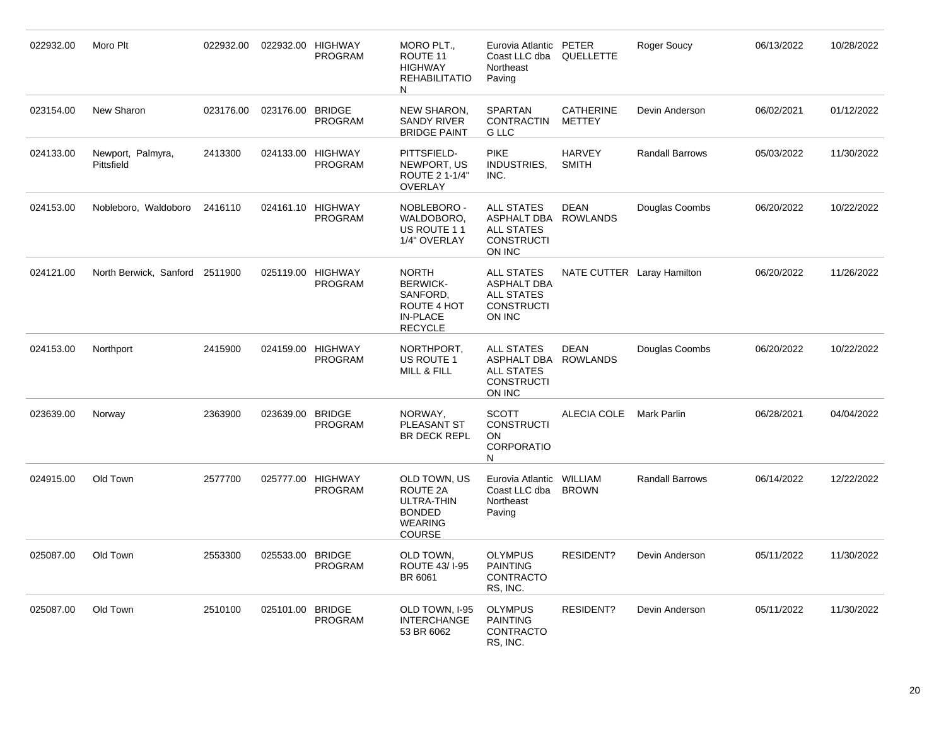| 022932.00 | Moro Plt                        | 022932.00 |                  | 022932.00 HIGHWAY<br><b>PROGRAM</b> | MORO PLT.,<br>ROUTE 11<br><b>HIGHWAY</b><br><b>REHABILITATIO</b><br>N                           | Eurovia Atlantic<br>Coast LLC dba<br>Northeast<br>Paving                                    | PETER<br>QUELLETTE             | Roger Soucy                | 06/13/2022 | 10/28/2022 |
|-----------|---------------------------------|-----------|------------------|-------------------------------------|-------------------------------------------------------------------------------------------------|---------------------------------------------------------------------------------------------|--------------------------------|----------------------------|------------|------------|
| 023154.00 | New Sharon                      | 023176.00 | 023176.00 BRIDGE | <b>PROGRAM</b>                      | <b>NEW SHARON,</b><br><b>SANDY RIVER</b><br><b>BRIDGE PAINT</b>                                 | <b>SPARTAN</b><br><b>CONTRACTIN</b><br>G LLC                                                | <b>CATHERINE</b><br>METTEY     | Devin Anderson             | 06/02/2021 | 01/12/2022 |
| 024133.00 | Newport, Palmyra,<br>Pittsfield | 2413300   |                  | 024133.00 HIGHWAY<br><b>PROGRAM</b> | PITTSFIELD-<br>NEWPORT, US<br>ROUTE 2 1-1/4"<br>OVERLAY                                         | <b>PIKE</b><br>INDUSTRIES,<br>INC.                                                          | <b>HARVEY</b><br><b>SMITH</b>  | <b>Randall Barrows</b>     | 05/03/2022 | 11/30/2022 |
| 024153.00 | Nobleboro, Waldoboro            | 2416110   |                  | 024161.10 HIGHWAY<br><b>PROGRAM</b> | NOBLEBORO -<br>WALDOBORO,<br>US ROUTE 11<br>1/4" OVERLAY                                        | <b>ALL STATES</b><br>ASPHALT DBA<br><b>ALL STATES</b><br><b>CONSTRUCTI</b><br>ON INC        | <b>DEAN</b><br><b>ROWLANDS</b> | Douglas Coombs             | 06/20/2022 | 10/22/2022 |
| 024121.00 | North Berwick, Sanford 2511900  |           |                  | 025119.00 HIGHWAY<br>PROGRAM        | <b>NORTH</b><br><b>BERWICK-</b><br>SANFORD,<br>ROUTE 4 HOT<br><b>IN-PLACE</b><br><b>RECYCLE</b> | <b>ALL STATES</b><br><b>ASPHALT DBA</b><br><b>ALL STATES</b><br><b>CONSTRUCTI</b><br>ON INC |                                | NATE CUTTER Laray Hamilton | 06/20/2022 | 11/26/2022 |
| 024153.00 | Northport                       | 2415900   |                  | 024159.00 HIGHWAY<br>PROGRAM        | NORTHPORT,<br>US ROUTE 1<br>MILL & FILL                                                         | <b>ALL STATES</b><br>ASPHALT DBA<br><b>ALL STATES</b><br><b>CONSTRUCTI</b><br>ON INC        | <b>DEAN</b><br><b>ROWLANDS</b> | Douglas Coombs             | 06/20/2022 | 10/22/2022 |
| 023639.00 | Norway                          | 2363900   | 023639.00 BRIDGE | PROGRAM                             | NORWAY,<br>PLEASANT ST<br><b>BR DECK REPL</b>                                                   | <b>SCOTT</b><br><b>CONSTRUCTI</b><br><b>ON</b><br><b>CORPORATIO</b><br>N                    | ALECIA COLE Mark Parlin        |                            | 06/28/2021 | 04/04/2022 |
| 024915.00 | Old Town                        | 2577700   |                  | 025777.00 HIGHWAY<br>PROGRAM        | OLD TOWN, US<br>ROUTE 2A<br>ULTRA-THIN<br><b>BONDED</b><br><b>WEARING</b><br><b>COURSE</b>      | Eurovia Atlantic<br>Coast LLC dba<br>Northeast<br>Paving                                    | WILLIAM<br><b>BROWN</b>        | Randall Barrows            | 06/14/2022 | 12/22/2022 |
| 025087.00 | Old Town                        | 2553300   | 025533.00 BRIDGE | PROGRAM                             | OLD TOWN,<br>ROUTE 43/1-95<br>BR 6061                                                           | <b>OLYMPUS</b><br><b>PAINTING</b><br>CONTRACTO<br>RS, INC.                                  | RESIDENT?                      | Devin Anderson             | 05/11/2022 | 11/30/2022 |
| 025087.00 | Old Town                        | 2510100   | 025101.00 BRIDGE | <b>PROGRAM</b>                      | OLD TOWN, I-95<br><b>INTERCHANGE</b><br>53 BR 6062                                              | <b>OLYMPUS</b><br><b>PAINTING</b><br>CONTRACTO<br>RS, INC.                                  | <b>RESIDENT?</b>               | Devin Anderson             | 05/11/2022 | 11/30/2022 |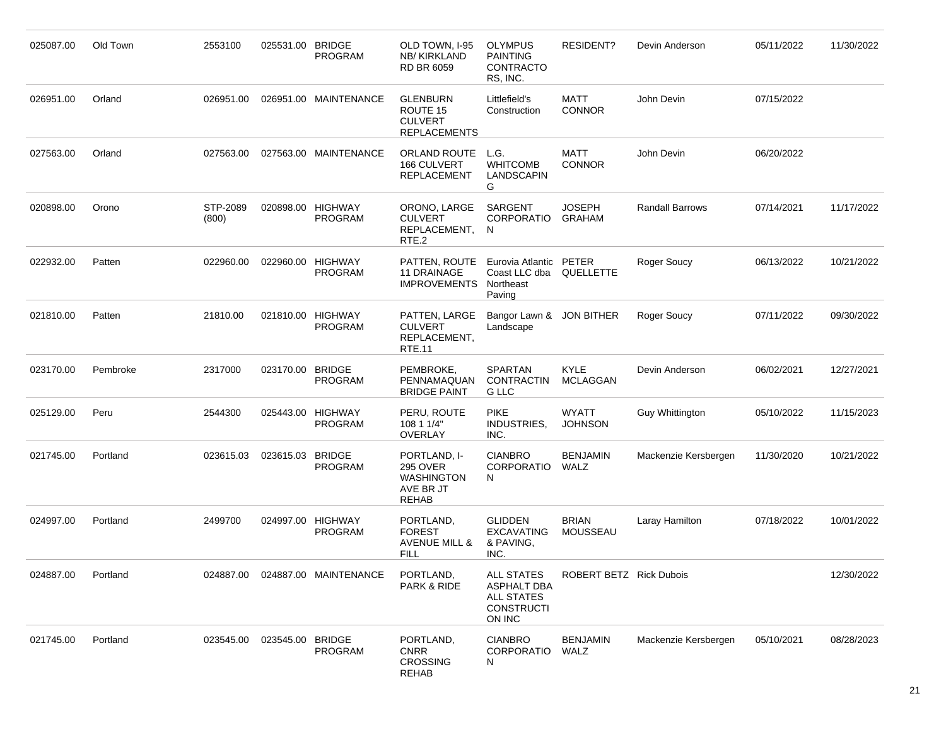| 025087.00 | Old Town | 2553100           | 025531.00 BRIDGE  | <b>PROGRAM</b>                      | OLD TOWN, I-95<br><b>NB/KIRKLAND</b><br><b>RD BR 6059</b>                  | <b>OLYMPUS</b><br>PAINTING<br>CONTRACTO<br>RS, INC.                                         | RESIDENT?                       | Devin Anderson         | 05/11/2022 | 11/30/2022 |
|-----------|----------|-------------------|-------------------|-------------------------------------|----------------------------------------------------------------------------|---------------------------------------------------------------------------------------------|---------------------------------|------------------------|------------|------------|
| 026951.00 | Orland   | 026951.00         |                   | 026951.00 MAINTENANCE               | <b>GLENBURN</b><br>ROUTE 15<br><b>CULVERT</b><br><b>REPLACEMENTS</b>       | Littlefield's<br>Construction                                                               | MATT<br><b>CONNOR</b>           | John Devin             | 07/15/2022 |            |
| 027563.00 | Orland   | 027563.00         |                   | 027563.00 MAINTENANCE               | ORLAND ROUTE<br>166 CULVERT<br><b>REPLACEMENT</b>                          | L.G.<br><b>WHITCOMB</b><br>LANDSCAPIN<br>G                                                  | MATT<br><b>CONNOR</b>           | John Devin             | 06/20/2022 |            |
| 020898.00 | Orono    | STP-2089<br>(800) |                   | 020898.00 HIGHWAY<br><b>PROGRAM</b> | ORONO, LARGE<br><b>CULVERT</b><br>REPLACEMENT,<br>RTE.2                    | <b>SARGENT</b><br><b>CORPORATIO</b><br>N                                                    | <b>JOSEPH</b><br><b>GRAHAM</b>  | <b>Randall Barrows</b> | 07/14/2021 | 11/17/2022 |
| 022932.00 | Patten   | 022960.00         | 022960.00 HIGHWAY | <b>PROGRAM</b>                      | PATTEN, ROUTE<br><b>11 DRAINAGE</b><br>IMPROVEMENTS Northeast              | Eurovia Atlantic PETER<br>Coast LLC dba<br>Paving                                           | QUELLETTE                       | Roger Soucy            | 06/13/2022 | 10/21/2022 |
| 021810.00 | Patten   | 21810.00          |                   | 021810.00 HIGHWAY<br><b>PROGRAM</b> | PATTEN, LARGE<br><b>CULVERT</b><br>REPLACEMENT,<br><b>RTE.11</b>           | Bangor Lawn & JON BITHER<br>Landscape                                                       |                                 | Roger Soucy            | 07/11/2022 | 09/30/2022 |
| 023170.00 | Pembroke | 2317000           | 023170.00 BRIDGE  | <b>PROGRAM</b>                      | PEMBROKE,<br>PENNAMAQUAN<br><b>BRIDGE PAINT</b>                            | SPARTAN<br><b>CONTRACTIN</b><br><b>G LLC</b>                                                | KYLE<br><b>MCLAGGAN</b>         | Devin Anderson         | 06/02/2021 | 12/27/2021 |
| 025129.00 | Peru     | 2544300           |                   | 025443.00 HIGHWAY<br><b>PROGRAM</b> | PERU, ROUTE<br>108 1 1/4"<br>OVERLAY                                       | <b>PIKE</b><br>INDUSTRIES,<br>INC.                                                          | <b>WYATT</b><br><b>JOHNSON</b>  | Guy Whittington        | 05/10/2022 | 11/15/2023 |
| 021745.00 | Portland | 023615.03         | 023615.03 BRIDGE  | <b>PROGRAM</b>                      | PORTLAND, I-<br>295 OVER<br><b>WASHINGTON</b><br>AVE BR JT<br><b>REHAB</b> | <b>CIANBRO</b><br><b>CORPORATIO</b><br>N                                                    | <b>BENJAMIN</b><br>WALZ         | Mackenzie Kersbergen   | 11/30/2020 | 10/21/2022 |
| 024997.00 | Portland | 2499700           |                   | 024997.00 HIGHWAY<br><b>PROGRAM</b> | PORTLAND,<br><b>FOREST</b><br><b>AVENUE MILL &amp;</b><br><b>FILL</b>      | <b>GLIDDEN</b><br><b>EXCAVATING</b><br>& PAVING,<br>INC.                                    | <b>BRIAN</b><br><b>MOUSSEAU</b> | Laray Hamilton         | 07/18/2022 | 10/01/2022 |
| 024887.00 | Portland | 024887.00         |                   | 024887.00 MAINTENANCE               | PORTLAND,<br><b>PARK &amp; RIDE</b>                                        | <b>ALL STATES</b><br><b>ASPHALT DBA</b><br><b>ALL STATES</b><br><b>CONSTRUCTI</b><br>ON INC | ROBERT BETZ Rick Dubois         |                        |            | 12/30/2022 |
| 021745.00 | Portland | 023545.00         | 023545.00 BRIDGE  | PROGRAM                             | PORTLAND,<br><b>CNRR</b><br><b>CROSSING</b><br><b>REHAB</b>                | <b>CIANBRO</b><br>CORPORATIO<br>N                                                           | <b>BENJAMIN</b><br>WALZ         | Mackenzie Kersbergen   | 05/10/2021 | 08/28/2023 |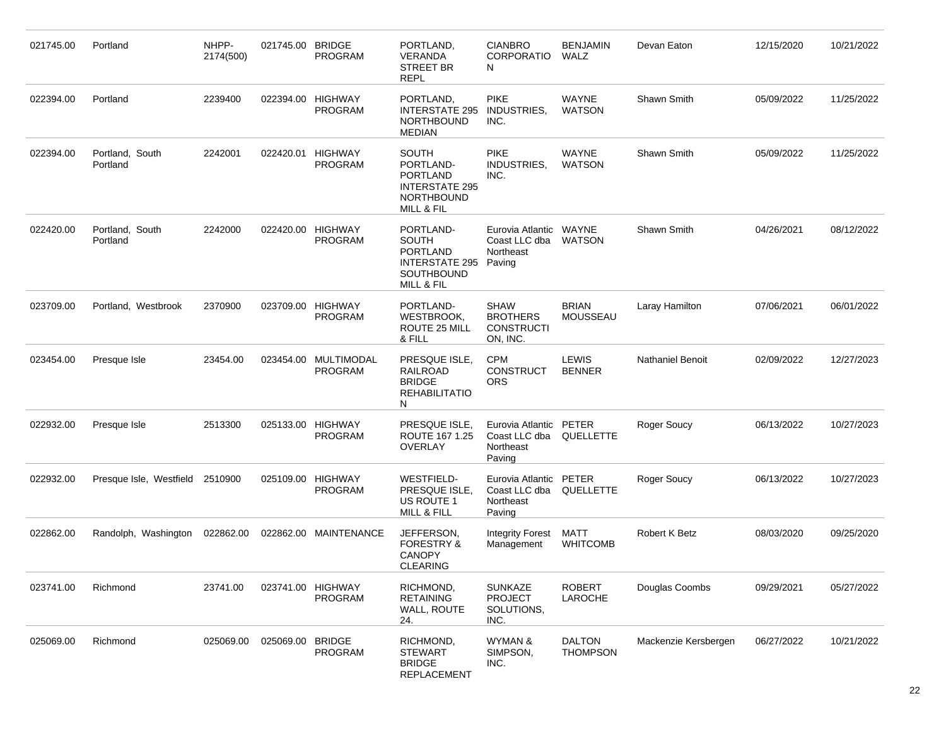| 021745.00 | Portland                        | NHPP-<br>2174(500) | 021745.00 BRIDGE | <b>PROGRAM</b>                      | PORTLAND,<br>VERANDA<br><b>STREET BR</b><br><b>REPL</b>                                           | <b>CIANBRO</b><br><b>CORPORATIO</b><br>N                        | <b>BENJAMIN</b><br>WALZ          | Devan Eaton             | 12/15/2020 | 10/21/2022 |
|-----------|---------------------------------|--------------------|------------------|-------------------------------------|---------------------------------------------------------------------------------------------------|-----------------------------------------------------------------|----------------------------------|-------------------------|------------|------------|
| 022394.00 | Portland                        | 2239400            |                  | 022394.00 HIGHWAY<br><b>PROGRAM</b> | PORTLAND,<br><b>INTERSTATE 295</b><br><b>NORTHBOUND</b><br><b>MEDIAN</b>                          | <b>PIKE</b><br>INDUSTRIES,<br>INC.                              | <b>WAYNE</b><br><b>WATSON</b>    | Shawn Smith             | 05/09/2022 | 11/25/2022 |
| 022394.00 | Portland, South<br>Portland     | 2242001            |                  | 022420.01 HIGHWAY<br>PROGRAM        | SOUTH<br>PORTLAND-<br><b>PORTLAND</b><br><b>INTERSTATE 295</b><br><b>NORTHBOUND</b><br>MILL & FIL | <b>PIKE</b><br>INDUSTRIES,<br>INC.                              | <b>WAYNE</b><br><b>WATSON</b>    | Shawn Smith             | 05/09/2022 | 11/25/2022 |
| 022420.00 | Portland, South<br>Portland     | 2242000            |                  | 022420.00 HIGHWAY<br>PROGRAM        | PORTLAND-<br><b>SOUTH</b><br><b>PORTLAND</b><br>INTERSTATE 295<br>SOUTHBOUND<br>MILL & FIL        | Eurovia Atlantic<br>Coast LLC dba<br>Northeast<br>Paving        | WAYNE<br><b>WATSON</b>           | Shawn Smith             | 04/26/2021 | 08/12/2022 |
| 023709.00 | Portland, Westbrook             | 2370900            |                  | 023709.00 HIGHWAY<br>PROGRAM        | PORTLAND-<br><b>WESTBROOK,</b><br>ROUTE 25 MILL<br>& FILL                                         | <b>SHAW</b><br><b>BROTHERS</b><br><b>CONSTRUCTI</b><br>ON, INC. | <b>BRIAN</b><br><b>MOUSSEAU</b>  | Laray Hamilton          | 07/06/2021 | 06/01/2022 |
| 023454.00 | Presque Isle                    | 23454.00           | 023454.00        | MULTIMODAL<br><b>PROGRAM</b>        | PRESQUE ISLE,<br><b>RAILROAD</b><br><b>BRIDGE</b><br><b>REHABILITATIO</b><br>N                    | <b>CPM</b><br>CONSTRUCT<br><b>ORS</b>                           | <b>LEWIS</b><br><b>BENNER</b>    | <b>Nathaniel Benoit</b> | 02/09/2022 | 12/27/2023 |
| 022932.00 | Presque Isle                    | 2513300            |                  | 025133.00 HIGHWAY<br><b>PROGRAM</b> | PRESQUE ISLE,<br>ROUTE 167 1.25<br><b>OVERLAY</b>                                                 | Eurovia Atlantic<br>Coast LLC dba<br>Northeast<br>Paving        | <b>PETER</b><br>QUELLETTE        | Roger Soucy             | 06/13/2022 | 10/27/2023 |
| 022932.00 | Presque Isle, Westfield 2510900 |                    |                  | 025109.00 HIGHWAY<br><b>PROGRAM</b> | <b>WESTFIELD-</b><br>PRESQUE ISLE,<br>US ROUTE 1<br>MILL & FILL                                   | Eurovia Atlantic<br>Coast LLC dba<br>Northeast<br>Paving        | PETER<br>QUELLETTE               | Roger Soucy             | 06/13/2022 | 10/27/2023 |
| 022862.00 | Randolph, Washington            | 022862.00          |                  | 022862.00 MAINTENANCE               | JEFFERSON,<br><b>FORESTRY &amp;</b><br><b>CANOPY</b><br><b>CLEARING</b>                           | <b>Integrity Forest</b><br>Management                           | MATT<br><b>WHITCOMB</b>          | Robert K Betz           | 08/03/2020 | 09/25/2020 |
| 023741.00 | Richmond                        | 23741.00           |                  | 023741.00 HIGHWAY<br>PROGRAM        | RICHMOND,<br><b>RETAINING</b><br>WALL, ROUTE<br>24.                                               | <b>SUNKAZE</b><br><b>PROJECT</b><br>SOLUTIONS,<br>INC.          | <b>ROBERT</b><br>LAROCHE         | Douglas Coombs          | 09/29/2021 | 05/27/2022 |
| 025069.00 | Richmond                        | 025069.00          | 025069.00 BRIDGE | PROGRAM                             | RICHMOND,<br><b>STEWART</b><br><b>BRIDGE</b><br>REPLACEMENT                                       | WYMAN &<br>SIMPSON,<br>INC.                                     | <b>DALTON</b><br><b>THOMPSON</b> | Mackenzie Kersbergen    | 06/27/2022 | 10/21/2022 |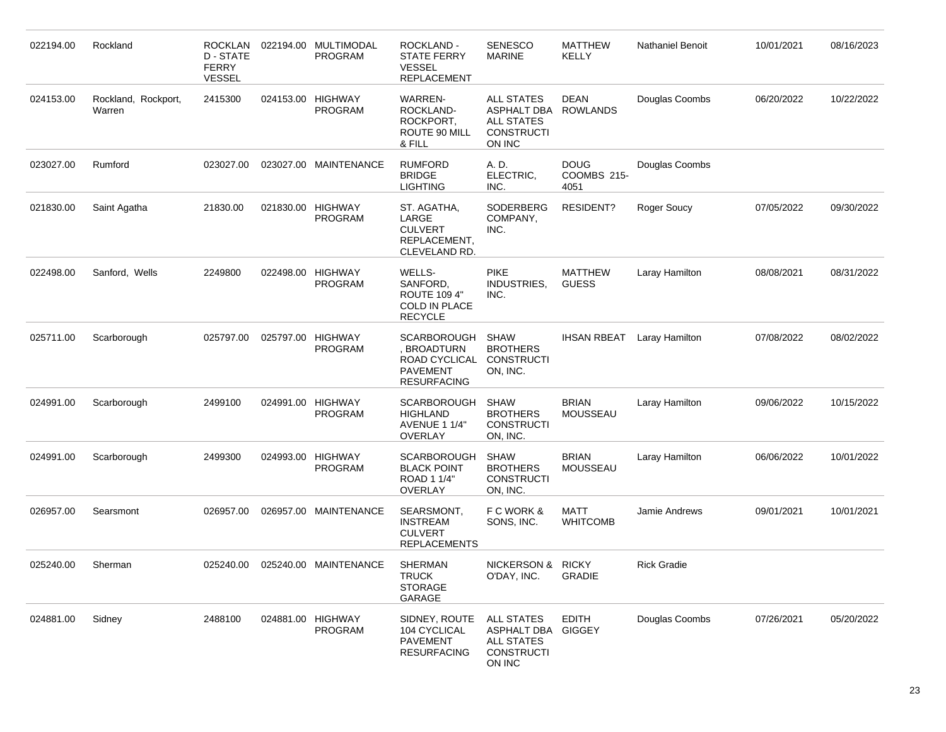| 022194.00 | Rockland                      | ROCKLAN<br>D - STATE<br><b>FERRY</b><br><b>VESSEL</b> | 022194.00 MULTIMODAL<br><b>PROGRAM</b> | ROCKLAND -<br>STATE FERRY<br><b>VESSEL</b><br><b>REPLACEMENT</b>                                 | <b>SENESCO</b><br><b>MARINE</b>                                                             | <b>MATTHEW</b><br>KELLY            | <b>Nathaniel Benoit</b> | 10/01/2021 | 08/16/2023 |
|-----------|-------------------------------|-------------------------------------------------------|----------------------------------------|--------------------------------------------------------------------------------------------------|---------------------------------------------------------------------------------------------|------------------------------------|-------------------------|------------|------------|
| 024153.00 | Rockland, Rockport,<br>Warren | 2415300                                               | 024153.00 HIGHWAY<br><b>PROGRAM</b>    | <b>WARREN-</b><br>ROCKLAND-<br>ROCKPORT,<br>ROUTE 90 MILL<br>& FILL                              | <b>ALL STATES</b><br>ASPHALT DBA<br><b>ALL STATES</b><br><b>CONSTRUCTI</b><br>ON INC        | <b>DEAN</b><br><b>ROWLANDS</b>     | Douglas Coombs          | 06/20/2022 | 10/22/2022 |
| 023027.00 | Rumford                       | 023027.00                                             | 023027.00 MAINTENANCE                  | <b>RUMFORD</b><br><b>BRIDGE</b><br><b>LIGHTING</b>                                               | A. D.<br>ELECTRIC,<br>INC.                                                                  | <b>DOUG</b><br>COOMBS 215-<br>4051 | Douglas Coombs          |            |            |
| 021830.00 | Saint Agatha                  | 21830.00                                              | 021830.00 HIGHWAY<br><b>PROGRAM</b>    | ST. AGATHA,<br>LARGE<br><b>CULVERT</b><br>REPLACEMENT,<br>CLEVELAND RD.                          | SODERBERG<br>COMPANY,<br>INC.                                                               | <b>RESIDENT?</b>                   | Roger Soucy             | 07/05/2022 | 09/30/2022 |
| 022498.00 | Sanford, Wells                | 2249800                                               | 022498.00 HIGHWAY<br><b>PROGRAM</b>    | WELLS-<br>SANFORD,<br><b>ROUTE 109 4"</b><br><b>COLD IN PLACE</b><br><b>RECYCLE</b>              | <b>PIKE</b><br>INDUSTRIES,<br>INC.                                                          | <b>MATTHEW</b><br><b>GUESS</b>     | Laray Hamilton          | 08/08/2021 | 08/31/2022 |
| 025711.00 | Scarborough                   | 025797.00                                             | 025797.00 HIGHWAY<br><b>PROGRAM</b>    | <b>SCARBOROUGH</b><br><b>BROADTURN</b><br>ROAD CYCLICAL<br><b>PAVEMENT</b><br><b>RESURFACING</b> | <b>SHAW</b><br><b>BROTHERS</b><br><b>CONSTRUCTI</b><br>ON, INC.                             | <b>IHSAN RBEAT</b>                 | Laray Hamilton          | 07/08/2022 | 08/02/2022 |
| 024991.00 | Scarborough                   | 2499100                                               | 024991.00 HIGHWAY<br><b>PROGRAM</b>    | <b>SCARBOROUGH</b><br><b>HIGHLAND</b><br>AVENUE 1 1/4"<br>OVERLAY                                | <b>SHAW</b><br><b>BROTHERS</b><br><b>CONSTRUCTI</b><br>ON, INC.                             | <b>BRIAN</b><br>MOUSSEAU           | Laray Hamilton          | 09/06/2022 | 10/15/2022 |
| 024991.00 | Scarborough                   | 2499300                                               | 024993.00 HIGHWAY<br><b>PROGRAM</b>    | <b>SCARBOROUGH</b><br><b>BLACK POINT</b><br>ROAD 1 1/4"<br>OVERLAY                               | <b>SHAW</b><br><b>BROTHERS</b><br><b>CONSTRUCTI</b><br>ON, INC.                             | <b>BRIAN</b><br><b>MOUSSEAU</b>    | Laray Hamilton          | 06/06/2022 | 10/01/2022 |
| 026957.00 | Searsmont                     | 026957.00                                             | 026957.00 MAINTENANCE                  | SEARSMONT,<br><b>INSTREAM</b><br><b>CULVERT</b><br><b>REPLACEMENTS</b>                           | F C WORK &<br>SONS, INC.                                                                    | MATT<br><b>WHITCOMB</b>            | Jamie Andrews           | 09/01/2021 | 10/01/2021 |
| 025240.00 | Sherman                       | 025240.00                                             | 025240.00 MAINTENANCE                  | <b>SHERMAN</b><br><b>TRUCK</b><br><b>STORAGE</b><br>GARAGE                                       | NICKERSON & RICKY<br>O'DAY, INC.                                                            | <b>GRADIE</b>                      | <b>Rick Gradie</b>      |            |            |
| 024881.00 | Sidney                        | 2488100                                               | 024881.00 HIGHWAY<br><b>PROGRAM</b>    | SIDNEY, ROUTE<br>104 CYCLICAL<br><b>PAVEMENT</b><br><b>RESURFACING</b>                           | <b>ALL STATES</b><br>ASPHALT DBA GIGGEY<br><b>ALL STATES</b><br><b>CONSTRUCTI</b><br>ON INC | <b>EDITH</b>                       | Douglas Coombs          | 07/26/2021 | 05/20/2022 |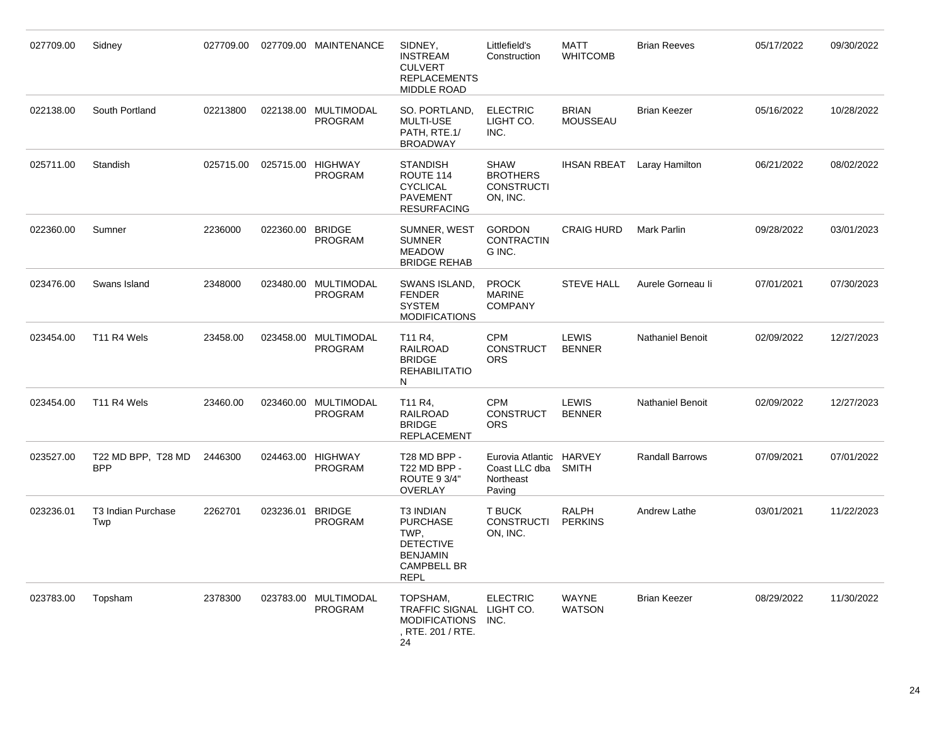| 027709.00 | Sidney                           | 027709.00 |                  | 027709.00 MAINTENANCE                  | SIDNEY,<br><b>INSTREAM</b><br><b>CULVERT</b><br><b>REPLACEMENTS</b><br>MIDDLE ROAD                                      | Littlefield's<br>Construction                                   | <b>MATT</b><br><b>WHITCOMB</b>  | <b>Brian Reeves</b>     | 05/17/2022 | 09/30/2022 |
|-----------|----------------------------------|-----------|------------------|----------------------------------------|-------------------------------------------------------------------------------------------------------------------------|-----------------------------------------------------------------|---------------------------------|-------------------------|------------|------------|
| 022138.00 | South Portland                   | 02213800  |                  | 022138.00 MULTIMODAL<br><b>PROGRAM</b> | SO. PORTLAND,<br>MULTI-USE<br>PATH, RTE.1/<br><b>BROADWAY</b>                                                           | <b>ELECTRIC</b><br>LIGHT CO.<br>INC.                            | <b>BRIAN</b><br><b>MOUSSEAU</b> | <b>Brian Keezer</b>     | 05/16/2022 | 10/28/2022 |
| 025711.00 | Standish                         | 025715.00 |                  | 025715.00 HIGHWAY<br><b>PROGRAM</b>    | STANDISH<br>ROUTE 114<br><b>CYCLICAL</b><br><b>PAVEMENT</b><br><b>RESURFACING</b>                                       | <b>SHAW</b><br><b>BROTHERS</b><br><b>CONSTRUCTI</b><br>ON, INC. | <b>IHSAN RBEAT</b>              | Laray Hamilton          | 06/21/2022 | 08/02/2022 |
| 022360.00 | Sumner                           | 2236000   | 022360.00 BRIDGE | <b>PROGRAM</b>                         | SUMNER, WEST<br><b>SUMNER</b><br><b>MEADOW</b><br><b>BRIDGE REHAB</b>                                                   | <b>GORDON</b><br><b>CONTRACTIN</b><br>G INC.                    | <b>CRAIG HURD</b>               | <b>Mark Parlin</b>      | 09/28/2022 | 03/01/2023 |
| 023476.00 | Swans Island                     | 2348000   |                  | 023480.00 MULTIMODAL<br><b>PROGRAM</b> | SWANS ISLAND,<br><b>FENDER</b><br><b>SYSTEM</b><br><b>MODIFICATIONS</b>                                                 | <b>PROCK</b><br><b>MARINE</b><br><b>COMPANY</b>                 | <b>STEVE HALL</b>               | Aurele Gorneau li       | 07/01/2021 | 07/30/2023 |
| 023454.00 | T11 R4 Wels                      | 23458.00  |                  | 023458.00 MULTIMODAL<br><b>PROGRAM</b> | T11 R4.<br><b>RAILROAD</b><br><b>BRIDGE</b><br><b>REHABILITATIO</b><br>N                                                | <b>CPM</b><br><b>CONSTRUCT</b><br><b>ORS</b>                    | <b>LEWIS</b><br><b>BENNER</b>   | <b>Nathaniel Benoit</b> | 02/09/2022 | 12/27/2023 |
| 023454.00 | T11 R4 Wels                      | 23460.00  |                  | 023460.00 MULTIMODAL<br><b>PROGRAM</b> | T <sub>11</sub> R <sub>4</sub><br><b>RAILROAD</b><br><b>BRIDGE</b><br>REPLACEMENT                                       | <b>CPM</b><br><b>CONSTRUCT</b><br><b>ORS</b>                    | <b>LEWIS</b><br><b>BENNER</b>   | <b>Nathaniel Benoit</b> | 02/09/2022 | 12/27/2023 |
| 023527.00 | T22 MD BPP, T28 MD<br><b>BPP</b> | 2446300   |                  | 024463.00 HIGHWAY<br><b>PROGRAM</b>    | T28 MD BPP -<br>T22 MD BPP -<br><b>ROUTE 9 3/4"</b><br>OVERLAY                                                          | Eurovia Atlantic<br>Coast LLC dba<br>Northeast<br>Paving        | HARVEY<br><b>SMITH</b>          | <b>Randall Barrows</b>  | 07/09/2021 | 07/01/2022 |
| 023236.01 | T3 Indian Purchase<br>Twp        | 2262701   | 023236.01 BRIDGE | <b>PROGRAM</b>                         | <b>T3 INDIAN</b><br><b>PURCHASE</b><br>TWP.<br><b>DETECTIVE</b><br><b>BENJAMIN</b><br><b>CAMPBELL BR</b><br><b>REPL</b> | T BUCK<br><b>CONSTRUCTI</b><br>ON, INC.                         | <b>RALPH</b><br><b>PERKINS</b>  | Andrew Lathe            | 03/01/2021 | 11/22/2023 |
| 023783.00 | Topsham                          | 2378300   |                  | 023783.00 MULTIMODAL<br><b>PROGRAM</b> | TOPSHAM,<br>TRAFFIC SIGNAL LIGHT CO.<br><b>MODIFICATIONS</b><br>, RTE. 201 / RTE.<br>24                                 | <b>ELECTRIC</b><br>INC.                                         | <b>WAYNE</b><br><b>WATSON</b>   | <b>Brian Keezer</b>     | 08/29/2022 | 11/30/2022 |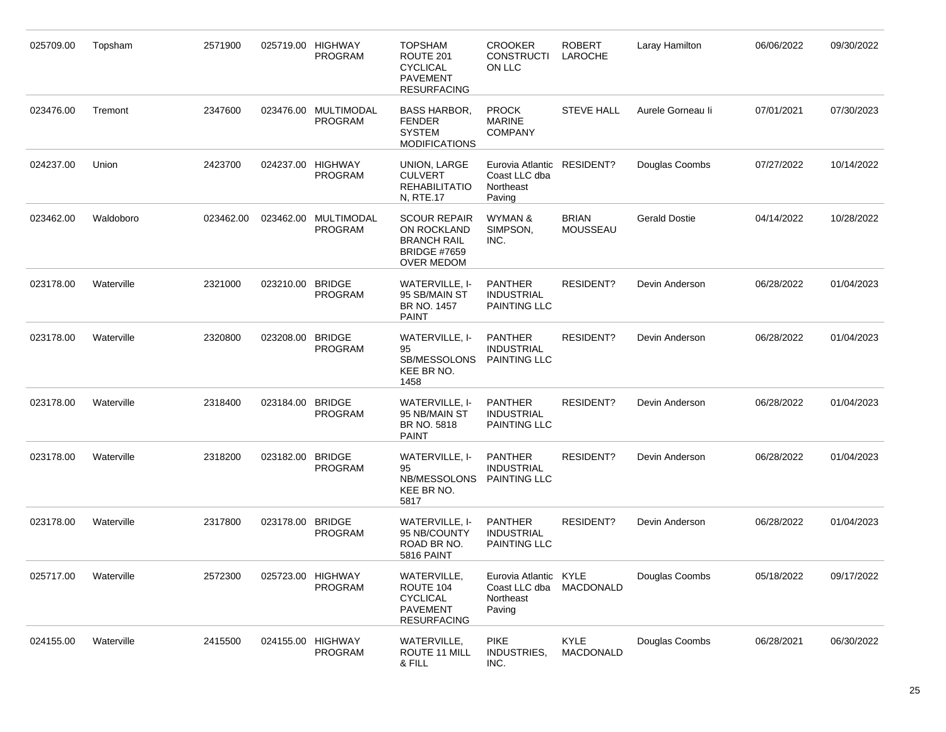| 025709.00 | Topsham    | 2571900   |                  | 025719.00 HIGHWAY<br>PROGRAM           | <b>TOPSHAM</b><br>ROUTE 201<br><b>CYCLICAL</b><br><b>PAVEMENT</b><br><b>RESURFACING</b>              | <b>CROOKER</b><br><b>CONSTRUCTI</b><br>ON LLC                 | <b>ROBERT</b><br>LAROCHE        | Laray Hamilton       | 06/06/2022 | 09/30/2022 |
|-----------|------------|-----------|------------------|----------------------------------------|------------------------------------------------------------------------------------------------------|---------------------------------------------------------------|---------------------------------|----------------------|------------|------------|
| 023476.00 | Tremont    | 2347600   |                  | 023476.00 MULTIMODAL<br><b>PROGRAM</b> | <b>BASS HARBOR,</b><br><b>FENDER</b><br>SYSTEM<br><b>MODIFICATIONS</b>                               | <b>PROCK</b><br><b>MARINE</b><br><b>COMPANY</b>               | <b>STEVE HALL</b>               | Aurele Gorneau li    | 07/01/2021 | 07/30/2023 |
| 024237.00 | Union      | 2423700   |                  | 024237.00 HIGHWAY<br><b>PROGRAM</b>    | UNION, LARGE<br><b>CULVERT</b><br><b>REHABILITATIO</b><br><b>N, RTE.17</b>                           | Eurovia Atlantic<br>Coast LLC dba<br>Northeast<br>Paving      | RESIDENT?                       | Douglas Coombs       | 07/27/2022 | 10/14/2022 |
| 023462.00 | Waldoboro  | 023462.00 |                  | 023462.00 MULTIMODAL<br><b>PROGRAM</b> | <b>SCOUR REPAIR</b><br>ON ROCKLAND<br><b>BRANCH RAIL</b><br><b>BRIDGE #7659</b><br><b>OVER MEDOM</b> | WYMAN &<br>SIMPSON,<br>INC.                                   | <b>BRIAN</b><br><b>MOUSSEAU</b> | <b>Gerald Dostie</b> | 04/14/2022 | 10/28/2022 |
| 023178.00 | Waterville | 2321000   | 023210.00 BRIDGE | <b>PROGRAM</b>                         | WATERVILLE, I-<br>95 SB/MAIN ST<br>BR NO. 1457<br><b>PAINT</b>                                       | <b>PANTHER</b><br><b>INDUSTRIAL</b><br>PAINTING LLC           | <b>RESIDENT?</b>                | Devin Anderson       | 06/28/2022 | 01/04/2023 |
| 023178.00 | Waterville | 2320800   | 023208.00        | <b>BRIDGE</b><br><b>PROGRAM</b>        | WATERVILLE, I-<br>95<br>SB/MESSOLONS<br>KEE BR NO.<br>1458                                           | <b>PANTHER</b><br><b>INDUSTRIAL</b><br><b>PAINTING LLC</b>    | <b>RESIDENT?</b>                | Devin Anderson       | 06/28/2022 | 01/04/2023 |
| 023178.00 | Waterville | 2318400   | 023184.00 BRIDGE | <b>PROGRAM</b>                         | WATERVILLE, I-<br>95 NB/MAIN ST<br>BR NO. 5818<br><b>PAINT</b>                                       | <b>PANTHER</b><br><b>INDUSTRIAL</b><br><b>PAINTING LLC</b>    | <b>RESIDENT?</b>                | Devin Anderson       | 06/28/2022 | 01/04/2023 |
| 023178.00 | Waterville | 2318200   | 023182.00 BRIDGE | <b>PROGRAM</b>                         | WATERVILLE, I-<br>95<br>NB/MESSOLONS<br>KEE BR NO.<br>5817                                           | <b>PANTHER</b><br><b>INDUSTRIAL</b><br><b>PAINTING LLC</b>    | RESIDENT?                       | Devin Anderson       | 06/28/2022 | 01/04/2023 |
| 023178.00 | Waterville | 2317800   | 023178.00 BRIDGE | <b>PROGRAM</b>                         | WATERVILLE, I-<br>95 NB/COUNTY<br>ROAD BR NO.<br>5816 PAINT                                          | <b>PANTHER</b><br><b>INDUSTRIAL</b><br>PAINTING LLC           | <b>RESIDENT?</b>                | Devin Anderson       | 06/28/2022 | 01/04/2023 |
| 025717.00 | Waterville | 2572300   |                  | 025723.00 HIGHWAY<br>PROGRAM           | WATERVILLE,<br>ROUTE 104<br><b>CYCLICAL</b><br><b>PAVEMENT</b><br><b>RESURFACING</b>                 | Eurovia Atlantic KYLE<br>Coast LLC dba<br>Northeast<br>Paving | <b>MACDONALD</b>                | Douglas Coombs       | 05/18/2022 | 09/17/2022 |
| 024155.00 | Waterville | 2415500   |                  | 024155.00 HIGHWAY<br>PROGRAM           | WATERVILLE,<br>ROUTE 11 MILL<br>& FILL                                                               | <b>PIKE</b><br>INDUSTRIES,<br>INC.                            | <b>KYLE</b><br>MACDONALD        | Douglas Coombs       | 06/28/2021 | 06/30/2022 |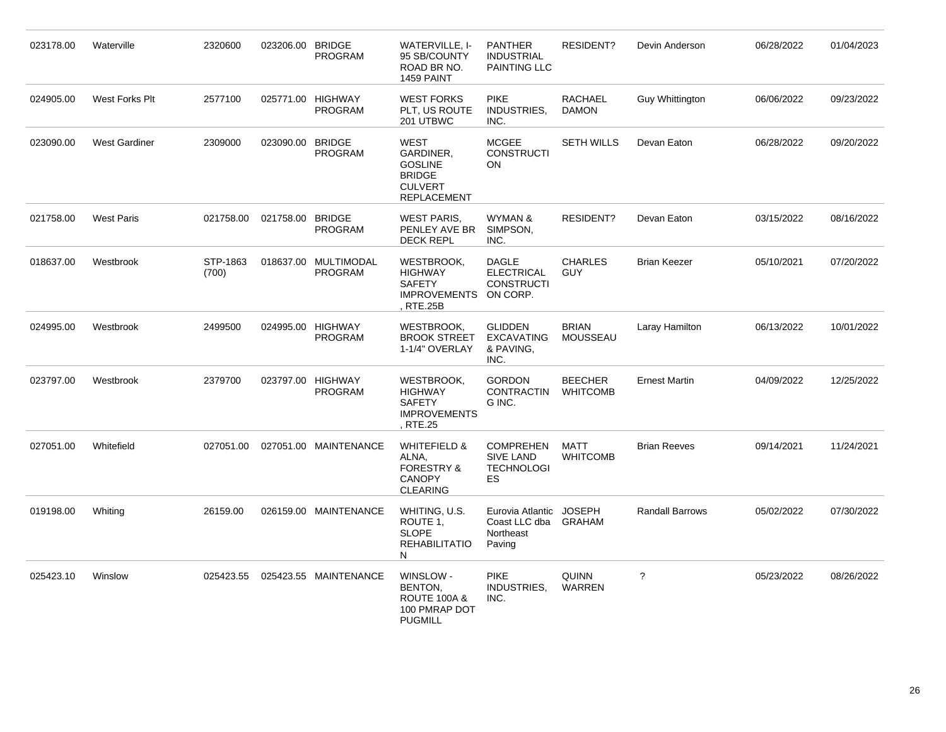| 023178.00 | Waterville           | 2320600           | 023206.00        | <b>BRIDGE</b><br><b>PROGRAM</b>     | WATERVILLE, I-<br>95 SB/COUNTY<br>ROAD BR NO.<br>1459 PAINT                                         | <b>PANTHER</b><br><b>INDUSTRIAL</b><br><b>PAINTING LLC</b>      | <b>RESIDENT?</b>                  | Devin Anderson         | 06/28/2022 | 01/04/2023 |
|-----------|----------------------|-------------------|------------------|-------------------------------------|-----------------------------------------------------------------------------------------------------|-----------------------------------------------------------------|-----------------------------------|------------------------|------------|------------|
| 024905.00 | West Forks Plt       | 2577100           |                  | 025771.00 HIGHWAY<br><b>PROGRAM</b> | <b>WEST FORKS</b><br>PLT, US ROUTE<br>201 UTBWC                                                     | <b>PIKE</b><br>INDUSTRIES,<br>INC.                              | <b>RACHAEL</b><br><b>DAMON</b>    | <b>Guy Whittington</b> | 06/06/2022 | 09/23/2022 |
| 023090.00 | <b>West Gardiner</b> | 2309000           | 023090.00        | <b>BRIDGE</b><br><b>PROGRAM</b>     | <b>WEST</b><br>GARDINER,<br><b>GOSLINE</b><br><b>BRIDGE</b><br><b>CULVERT</b><br><b>REPLACEMENT</b> | <b>MCGEE</b><br><b>CONSTRUCTI</b><br><b>ON</b>                  | <b>SETH WILLS</b>                 | Devan Eaton            | 06/28/2022 | 09/20/2022 |
| 021758.00 | <b>West Paris</b>    | 021758.00         | 021758.00 BRIDGE | <b>PROGRAM</b>                      | <b>WEST PARIS,</b><br>PENLEY AVE BR<br><b>DECK REPL</b>                                             | WYMAN &<br>SIMPSON,<br>INC.                                     | <b>RESIDENT?</b>                  | Devan Eaton            | 03/15/2022 | 08/16/2022 |
| 018637.00 | Westbrook            | STP-1863<br>(700) | 018637.00        | MULTIMODAL<br><b>PROGRAM</b>        | WESTBROOK,<br><b>HIGHWAY</b><br><b>SAFETY</b><br>IMPROVEMENTS ON CORP.<br>RTE.25B                   | <b>DAGLE</b><br><b>ELECTRICAL</b><br><b>CONSTRUCTI</b>          | <b>CHARLES</b><br><b>GUY</b>      | <b>Brian Keezer</b>    | 05/10/2021 | 07/20/2022 |
| 024995.00 | Westbrook            | 2499500           |                  | 024995.00 HIGHWAY<br><b>PROGRAM</b> | <b>WESTBROOK,</b><br><b>BROOK STREET</b><br>1-1/4" OVERLAY                                          | <b>GLIDDEN</b><br><b>EXCAVATING</b><br>& PAVING.<br>INC.        | <b>BRIAN</b><br><b>MOUSSEAU</b>   | Laray Hamilton         | 06/13/2022 | 10/01/2022 |
| 023797.00 | Westbrook            | 2379700           |                  | 023797.00 HIGHWAY<br><b>PROGRAM</b> | <b>WESTBROOK,</b><br><b>HIGHWAY</b><br><b>SAFETY</b><br><b>IMPROVEMENTS</b><br><b>RTE.25</b>        | <b>GORDON</b><br><b>CONTRACTIN</b><br>G INC.                    | <b>BEECHER</b><br><b>WHITCOMB</b> | <b>Ernest Martin</b>   | 04/09/2022 | 12/25/2022 |
| 027051.00 | Whitefield           | 027051.00         |                  | 027051.00 MAINTENANCE               | <b>WHITEFIELD &amp;</b><br>ALNA,<br><b>FORESTRY &amp;</b><br><b>CANOPY</b><br><b>CLEARING</b>       | <b>COMPREHEN</b><br><b>SIVE LAND</b><br><b>TECHNOLOGI</b><br>ES | MATT<br><b>WHITCOMB</b>           | <b>Brian Reeves</b>    | 09/14/2021 | 11/24/2021 |
| 019198.00 | Whiting              | 26159.00          |                  | 026159.00 MAINTENANCE               | WHITING, U.S.<br>ROUTE 1,<br><b>SLOPE</b><br><b>REHABILITATIO</b><br>N                              | Eurovia Atlantic<br>Coast LLC dba<br>Northeast<br>Paving        | <b>JOSEPH</b><br><b>GRAHAM</b>    | <b>Randall Barrows</b> | 05/02/2022 | 07/30/2022 |
| 025423.10 | Winslow              | 025423.55         |                  | 025423.55 MAINTENANCE               | WINSLOW -<br>BENTON,<br><b>ROUTE 100A &amp;</b><br>100 PMRAP DOT<br><b>PUGMILL</b>                  | <b>PIKE</b><br>INDUSTRIES,<br>INC.                              | <b>QUINN</b><br><b>WARREN</b>     | ?                      | 05/23/2022 | 08/26/2022 |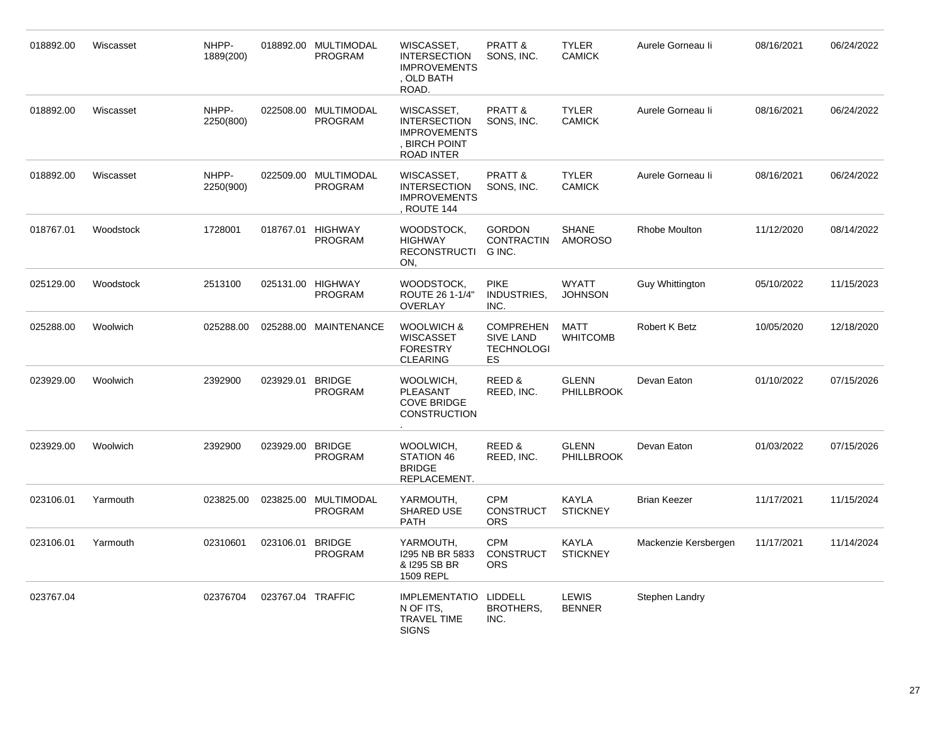| 018892.00 | Wiscasset | NHPP-<br>1889(200) |                   | 018892.00 MULTIMODAL<br><b>PROGRAM</b> | WISCASSET,<br><b>INTERSECTION</b><br><b>IMPROVEMENTS</b><br>, OLD BATH<br>ROAD.                | PRATT &<br>SONS, INC.                                           | <b>TYLER</b><br><b>CAMICK</b>     | Aurele Gorneau li      | 08/16/2021 | 06/24/2022 |
|-----------|-----------|--------------------|-------------------|----------------------------------------|------------------------------------------------------------------------------------------------|-----------------------------------------------------------------|-----------------------------------|------------------------|------------|------------|
| 018892.00 | Wiscasset | NHPP-<br>2250(800) |                   | 022508.00 MULTIMODAL<br><b>PROGRAM</b> | WISCASSET,<br><b>INTERSECTION</b><br><b>IMPROVEMENTS</b><br>, BIRCH POINT<br><b>ROAD INTER</b> | <b>PRATT &amp;</b><br>SONS, INC.                                | <b>TYLER</b><br><b>CAMICK</b>     | Aurele Gorneau li      | 08/16/2021 | 06/24/2022 |
| 018892.00 | Wiscasset | NHPP-<br>2250(900) |                   | 022509.00 MULTIMODAL<br><b>PROGRAM</b> | WISCASSET,<br><b>INTERSECTION</b><br><b>IMPROVEMENTS</b><br>ROUTE 144                          | <b>PRATT &amp;</b><br>SONS, INC.                                | <b>TYLER</b><br><b>CAMICK</b>     | Aurele Gorneau li      | 08/16/2021 | 06/24/2022 |
| 018767.01 | Woodstock | 1728001            |                   | 018767.01 HIGHWAY<br>PROGRAM           | WOODSTOCK,<br><b>HIGHWAY</b><br><b>RECONSTRUCTI</b><br>ON,                                     | <b>GORDON</b><br><b>CONTRACTIN</b><br>G INC.                    | <b>SHANE</b><br><b>AMOROSO</b>    | Rhobe Moulton          | 11/12/2020 | 08/14/2022 |
| 025129.00 | Woodstock | 2513100            |                   | 025131.00 HIGHWAY<br>PROGRAM           | WOODSTOCK,<br>ROUTE 26 1-1/4"<br>OVERLAY                                                       | <b>PIKE</b><br>INDUSTRIES,<br>INC.                              | <b>WYATT</b><br><b>JOHNSON</b>    | <b>Guy Whittington</b> | 05/10/2022 | 11/15/2023 |
| 025288.00 | Woolwich  | 025288.00          |                   | 025288.00 MAINTENANCE                  | WOOLWICH &<br><b>WISCASSET</b><br><b>FORESTRY</b><br><b>CLEARING</b>                           | <b>COMPREHEN</b><br><b>SIVE LAND</b><br><b>TECHNOLOGI</b><br>ES | MATT<br><b>WHITCOMB</b>           | Robert K Betz          | 10/05/2020 | 12/18/2020 |
| 023929.00 | Woolwich  | 2392900            | 023929.01         | <b>BRIDGE</b><br>PROGRAM               | WOOLWICH,<br>PLEASANT<br><b>COVE BRIDGE</b><br><b>CONSTRUCTION</b>                             | REED &<br>REED, INC.                                            | <b>GLENN</b><br><b>PHILLBROOK</b> | Devan Eaton            | 01/10/2022 | 07/15/2026 |
| 023929.00 | Woolwich  | 2392900            | 023929.00         | <b>BRIDGE</b><br>PROGRAM               | WOOLWICH,<br>STATION 46<br><b>BRIDGE</b><br>REPLACEMENT.                                       | REED &<br>REED, INC.                                            | <b>GLENN</b><br><b>PHILLBROOK</b> | Devan Eaton            | 01/03/2022 | 07/15/2026 |
| 023106.01 | Yarmouth  | 023825.00          |                   | 023825.00 MULTIMODAL<br><b>PROGRAM</b> | YARMOUTH,<br>SHARED USE<br><b>PATH</b>                                                         | <b>CPM</b><br><b>CONSTRUCT</b><br><b>ORS</b>                    | <b>KAYLA</b><br><b>STICKNEY</b>   | <b>Brian Keezer</b>    | 11/17/2021 | 11/15/2024 |
| 023106.01 | Yarmouth  | 02310601           | 023106.01         | <b>BRIDGE</b><br><b>PROGRAM</b>        | YARMOUTH,<br>1295 NB BR 5833<br>& I295 SB BR<br>1509 REPL                                      | <b>CPM</b><br><b>CONSTRUCT</b><br><b>ORS</b>                    | <b>KAYLA</b><br><b>STICKNEY</b>   | Mackenzie Kersbergen   | 11/17/2021 | 11/14/2024 |
| 023767.04 |           | 02376704           | 023767.04 TRAFFIC |                                        | IMPLEMENTATIO LIDDELL<br>N OF ITS,<br>TRAVEL TIME<br><b>SIGNS</b>                              | <b>BROTHERS,</b><br>INC.                                        | <b>LEWIS</b><br><b>BENNER</b>     | Stephen Landry         |            |            |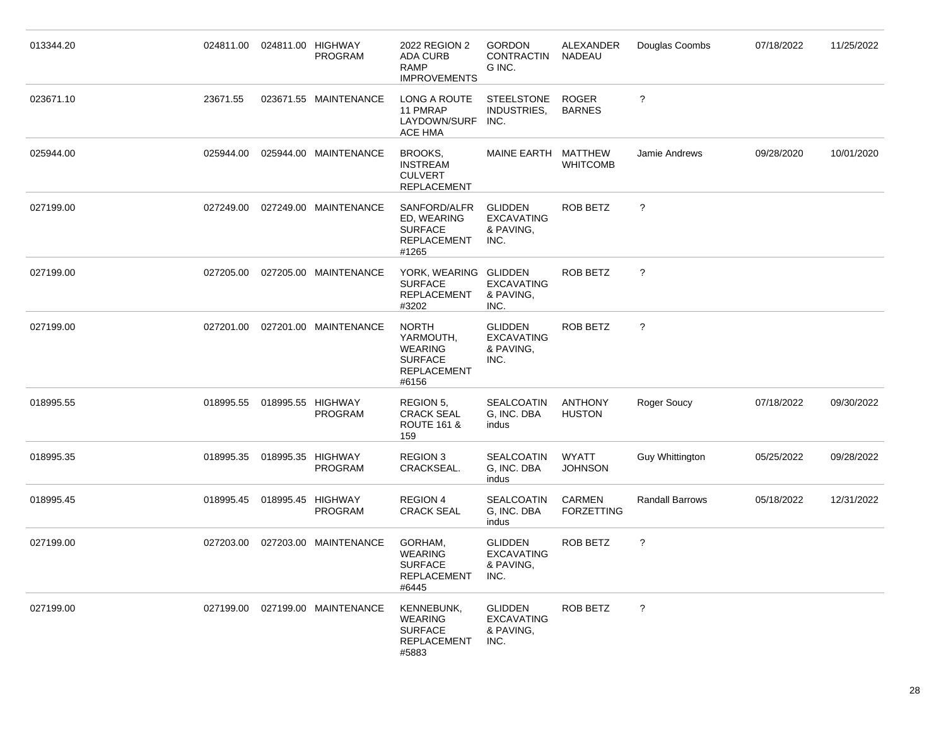| 013344.20 | 024811.00 | 024811.00 HIGHWAY | <b>PROGRAM</b>                    | 2022 REGION 2<br><b>ADA CURB</b><br><b>RAMP</b><br><b>IMPROVEMENTS</b>                       | <b>GORDON</b><br>CONTRACTIN<br>G INC.                    | ALEXANDER<br>NADEAU                | Douglas Coombs         | 07/18/2022 | 11/25/2022 |
|-----------|-----------|-------------------|-----------------------------------|----------------------------------------------------------------------------------------------|----------------------------------------------------------|------------------------------------|------------------------|------------|------------|
| 023671.10 | 23671.55  |                   | 023671.55 MAINTENANCE             | LONG A ROUTE<br>11 PMRAP<br>LAYDOWN/SURF<br>ACE HMA                                          | <b>STEELSTONE</b><br>INDUSTRIES.<br>INC.                 | <b>ROGER</b><br><b>BARNES</b>      | $\overline{\cdot}$     |            |            |
| 025944.00 | 025944.00 |                   | 025944.00 MAINTENANCE             | BROOKS,<br><b>INSTREAM</b><br><b>CULVERT</b><br><b>REPLACEMENT</b>                           | MAINE EARTH                                              | MATTHEW<br><b>WHITCOMB</b>         | Jamie Andrews          | 09/28/2020 | 10/01/2020 |
| 027199.00 | 027249.00 |                   | 027249.00 MAINTENANCE             | SANFORD/ALFR<br>ED, WEARING<br><b>SURFACE</b><br><b>REPLACEMENT</b><br>#1265                 | <b>GLIDDEN</b><br><b>EXCAVATING</b><br>& PAVING,<br>INC. | ROB BETZ                           | $\overline{\cdot}$     |            |            |
| 027199.00 | 027205.00 |                   | 027205.00 MAINTENANCE             | YORK, WEARING GLIDDEN<br><b>SURFACE</b><br><b>REPLACEMENT</b><br>#3202                       | <b>EXCAVATING</b><br>& PAVING,<br>INC.                   | <b>ROB BETZ</b>                    | ?                      |            |            |
| 027199.00 | 027201.00 |                   | 027201.00 MAINTENANCE             | <b>NORTH</b><br>YARMOUTH,<br><b>WEARING</b><br><b>SURFACE</b><br><b>REPLACEMENT</b><br>#6156 | <b>GLIDDEN</b><br><b>EXCAVATING</b><br>& PAVING.<br>INC. | ROB BETZ                           | $\tilde{?}$            |            |            |
| 018995.55 | 018995.55 | 018995.55 HIGHWAY | <b>PROGRAM</b>                    | REGION 5,<br><b>CRACK SEAL</b><br><b>ROUTE 161 &amp;</b><br>159                              | <b>SEALCOATIN</b><br>G, INC. DBA<br>indus                | <b>ANTHONY</b><br><b>HUSTON</b>    | Roger Soucy            | 07/18/2022 | 09/30/2022 |
| 018995.35 | 018995.35 | 018995.35 HIGHWAY | <b>PROGRAM</b>                    | <b>REGION 3</b><br>CRACKSEAL.                                                                | <b>SEALCOATIN</b><br>G, INC. DBA<br>indus                | <b>WYATT</b><br><b>JOHNSON</b>     | <b>Guy Whittington</b> | 05/25/2022 | 09/28/2022 |
| 018995.45 | 018995.45 | 018995.45 HIGHWAY | <b>PROGRAM</b>                    | <b>REGION 4</b><br><b>CRACK SEAL</b>                                                         | <b>SEALCOATIN</b><br>G, INC. DBA<br>indus                | <b>CARMEN</b><br><b>FORZETTING</b> | <b>Randall Barrows</b> | 05/18/2022 | 12/31/2022 |
| 027199.00 | 027203.00 |                   | 027203.00 MAINTENANCE             | GORHAM,<br><b>WEARING</b><br><b>SURFACE</b><br>REPLACEMENT<br>#6445                          | <b>GLIDDEN</b><br><b>EXCAVATING</b><br>& PAVING.<br>INC. | ROB BETZ                           | ?                      |            |            |
| 027199.00 |           |                   | 027199.00  027199.00  MAINTENANCE | KENNEBUNK,<br><b>WEARING</b><br><b>SURFACE</b><br><b>REPLACEMENT</b><br>#5883                | <b>GLIDDEN</b><br><b>EXCAVATING</b><br>& PAVING.<br>INC. | ROB BETZ                           | $\tilde{?}$            |            |            |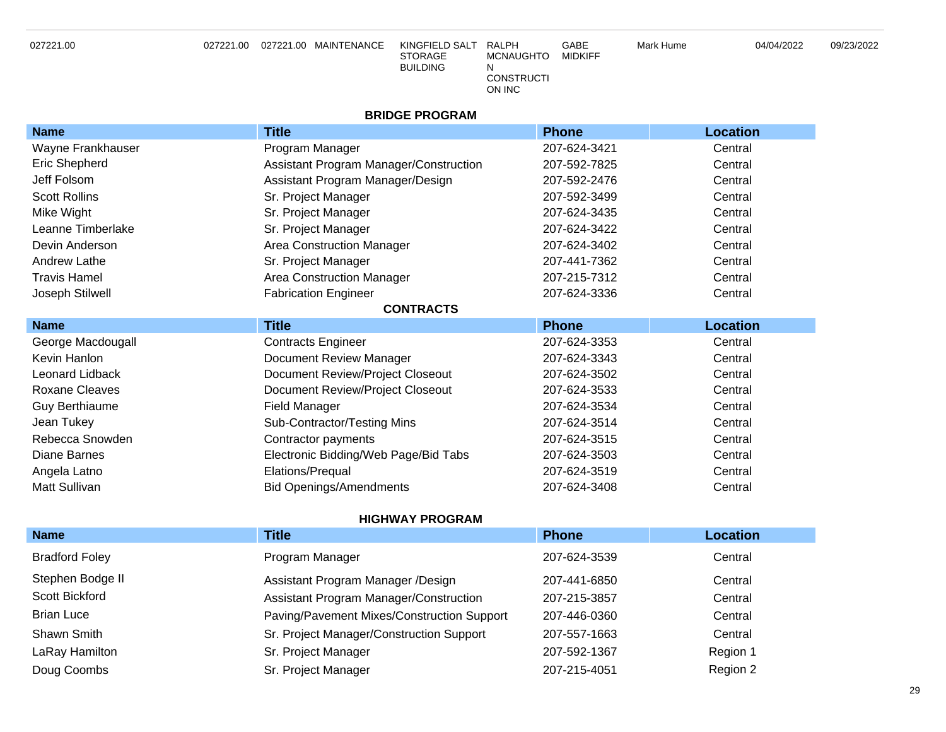027221.00 027221.00 027221.00 027221.00 MAINTENANCE

KINGFIELD SALT RALPH MCNAUGHTO MIDKIFF N

CONSTRUCTI ON INC

GABE

Mark Hume 04/04/2022 09/23/2022

### **BRIDGE PROGRAM**

STORAGE BUILDING

| <b>Name</b>            | <b>Title</b>                               | <b>Phone</b> | <b>Location</b> |
|------------------------|--------------------------------------------|--------------|-----------------|
| Wayne Frankhauser      | Program Manager                            | 207-624-3421 | Central         |
| Eric Shepherd          | Assistant Program Manager/Construction     | 207-592-7825 | Central         |
| <b>Jeff Folsom</b>     | Assistant Program Manager/Design           | 207-592-2476 | Central         |
| <b>Scott Rollins</b>   | Sr. Project Manager                        | 207-592-3499 | Central         |
| Mike Wight             | Sr. Project Manager                        | 207-624-3435 | Central         |
| Leanne Timberlake      | Sr. Project Manager                        | 207-624-3422 | Central         |
| Devin Anderson         | <b>Area Construction Manager</b>           | 207-624-3402 | Central         |
| <b>Andrew Lathe</b>    | Sr. Project Manager                        | 207-441-7362 | Central         |
| <b>Travis Hamel</b>    | <b>Area Construction Manager</b>           | 207-215-7312 | Central         |
| Joseph Stilwell        | <b>Fabrication Engineer</b>                | 207-624-3336 | Central         |
|                        | <b>CONTRACTS</b>                           |              |                 |
| <b>Name</b>            | <b>Title</b>                               | <b>Phone</b> | <b>Location</b> |
| George Macdougall      | <b>Contracts Engineer</b>                  | 207-624-3353 | Central         |
| Kevin Hanlon           | Document Review Manager                    | 207-624-3343 | Central         |
| <b>Leonard Lidback</b> | Document Review/Project Closeout           | 207-624-3502 | Central         |
| <b>Roxane Cleaves</b>  | Document Review/Project Closeout           | 207-624-3533 | Central         |
| <b>Guy Berthiaume</b>  | <b>Field Manager</b>                       | 207-624-3534 | Central         |
| Jean Tukey             | Sub-Contractor/Testing Mins                | 207-624-3514 | Central         |
| Rebecca Snowden        | Contractor payments                        | 207-624-3515 | Central         |
| Diane Barnes           | Electronic Bidding/Web Page/Bid Tabs       | 207-624-3503 | Central         |
| Angela Latno           | Elations/Prequal                           | 207-624-3519 | Central         |
| <b>Matt Sullivan</b>   | <b>Bid Openings/Amendments</b>             | 207-624-3408 | Central         |
|                        | <b>HIGHWAY PROGRAM</b>                     |              |                 |
| <b>Name</b>            | <b>Title</b>                               | <b>Phone</b> | <b>Location</b> |
| <b>Bradford Foley</b>  | Program Manager                            | 207-624-3539 | Central         |
| Stephen Bodge II       | Assistant Program Manager /Design          | 207-441-6850 | Central         |
| Scott Bickford         | Assistant Program Manager/Construction     | 207-215-3857 | Central         |
| <b>Brian Luce</b>      | Paving/Pavement Mixes/Construction Support | 207-446-0360 | Central         |
| Shawn Smith            | Sr. Project Manager/Construction Support   | 207-557-1663 | Central         |
| LaRay Hamilton         | Sr. Project Manager                        | 207-592-1367 | Region 1        |
| Doug Coombs            | Sr. Project Manager                        | 207-215-4051 | Region 2        |
|                        |                                            |              |                 |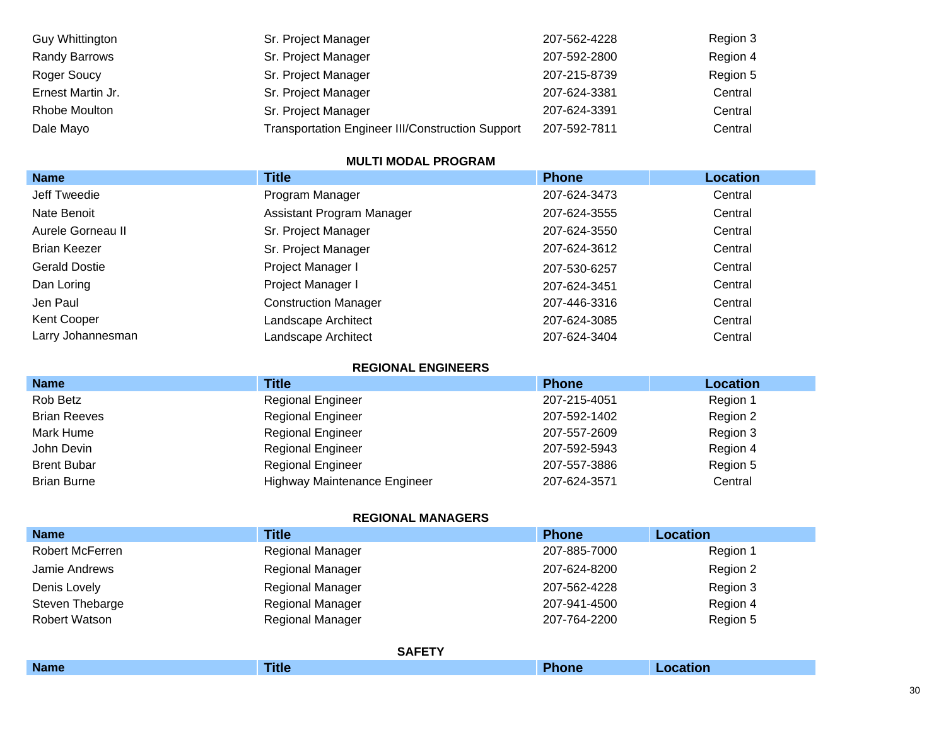| Sr. Project Manager                                     | 207-562-4228 | Region 3 |
|---------------------------------------------------------|--------------|----------|
| Sr. Project Manager                                     | 207-592-2800 | Region 4 |
| Sr. Project Manager                                     | 207-215-8739 | Region 5 |
| Sr. Project Manager                                     | 207-624-3381 | Central  |
| Sr. Project Manager                                     | 207-624-3391 | Central  |
| <b>Transportation Engineer III/Construction Support</b> | 207-592-7811 | Central  |
|                                                         |              |          |

## **MULTI MODAL PROGRAM**

| <b>Name</b>         | <b>Title</b>                | <b>Phone</b> | Location |
|---------------------|-----------------------------|--------------|----------|
| Jeff Tweedie        | Program Manager             | 207-624-3473 | Central  |
| Nate Benoit         | Assistant Program Manager   | 207-624-3555 | Central  |
| Aurele Gorneau II   | Sr. Project Manager         | 207-624-3550 | Central  |
| <b>Brian Keezer</b> | Sr. Project Manager         | 207-624-3612 | Central  |
| Gerald Dostie       | Project Manager I           | 207-530-6257 | Central  |
| Dan Loring          | Project Manager I           | 207-624-3451 | Central  |
| Jen Paul            | <b>Construction Manager</b> | 207-446-3316 | Central  |
| Kent Cooper         | Landscape Architect         | 207-624-3085 | Central  |
| Larry Johannesman   | Landscape Architect         | 207-624-3404 | Central  |

### **REGIONAL ENGINEERS**

| <b>Name</b>         | <b>Title</b>                 | <b>Phone</b> | <b>Location</b> |
|---------------------|------------------------------|--------------|-----------------|
| Rob Betz            | <b>Regional Engineer</b>     | 207-215-4051 | Region 1        |
| <b>Brian Reeves</b> | <b>Regional Engineer</b>     | 207-592-1402 | Region 2        |
| Mark Hume           | <b>Regional Engineer</b>     | 207-557-2609 | Region 3        |
| John Devin          | <b>Regional Engineer</b>     | 207-592-5943 | Region 4        |
| <b>Brent Bubar</b>  | <b>Regional Engineer</b>     | 207-557-3886 | Region 5        |
| <b>Brian Burne</b>  | Highway Maintenance Engineer | 207-624-3571 | Central         |

### **REGIONAL MANAGERS**

| <b>Name</b>          | <b>Title</b>            | <b>Phone</b> | Location |  |  |
|----------------------|-------------------------|--------------|----------|--|--|
| Robert McFerren      | <b>Regional Manager</b> | 207-885-7000 | Region 1 |  |  |
| Jamie Andrews        | Regional Manager        | 207-624-8200 | Region 2 |  |  |
| Denis Lovely         | <b>Regional Manager</b> | 207-562-4228 | Region 3 |  |  |
| Steven Thebarge      | Regional Manager        | 207-941-4500 | Region 4 |  |  |
| <b>Robert Watson</b> | Regional Manager        | 207-764-2200 | Region 5 |  |  |
|                      |                         |              |          |  |  |
| <b>SAFETY</b>        |                         |              |          |  |  |

|             | ______ |   |  |
|-------------|--------|---|--|
| <b>Name</b> | m      | n |  |
|             |        |   |  |